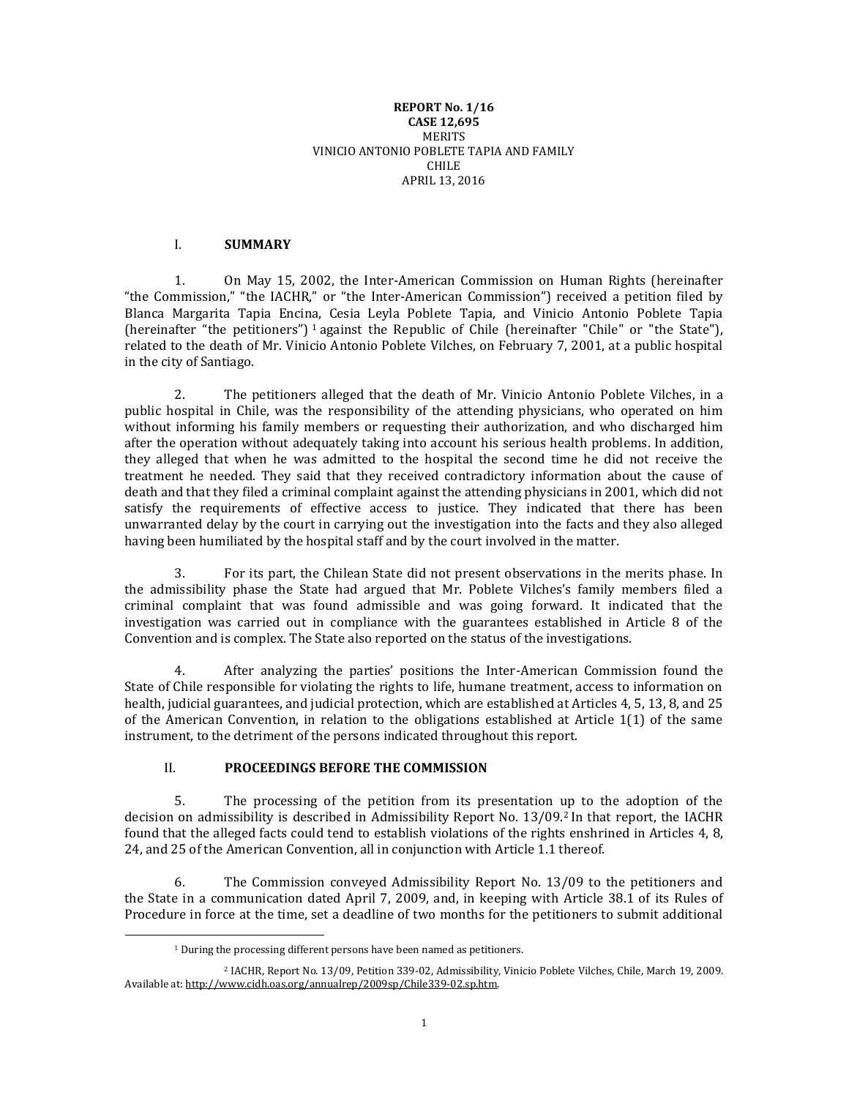#### **REPORT No. 1/16 CASE 12,695 MERITS** VINICIO ANTONIO POBLETE TAPIA AND FAMILY CHILE APRIL 13, 2016

## I. **SUMMARY**

1. On May 15, 2002, the Inter-American Commission on Human Rights (hereinafter "the Commission," "the IACHR," or "the Inter-American Commission") received a petition filed by Blanca Margarita Tapia Encina, Cesia Leyla Poblete Tapia, and Vinicio Antonio Poblete Tapia (hereinafter "the petitioners") <sup>1</sup> against the Republic of Chile (hereinafter "Chile" or "the State"), related to the death of Mr. Vinicio Antonio Poblete Vilches, on February 7, 2001, at a public hospital in the city of Santiago.

2. The petitioners alleged that the death of Mr. Vinicio Antonio Poblete Vilches, in a public hospital in Chile, was the responsibility of the attending physicians, who operated on him without informing his family members or requesting their authorization, and who discharged him after the operation without adequately taking into account his serious health problems. In addition, they alleged that when he was admitted to the hospital the second time he did not receive the treatment he needed. They said that they received contradictory information about the cause of death and that they filed a criminal complaint against the attending physicians in 2001, which did not satisfy the requirements of effective access to justice. They indicated that there has been unwarranted delay by the court in carrying out the investigation into the facts and they also alleged having been humiliated by the hospital staff and by the court involved in the matter.

3. For its part, the Chilean State did not present observations in the merits phase. In the admissibility phase the State had argued that Mr. Poblete Vilches's family members filed a criminal complaint that was found admissible and was going forward. It indicated that the investigation was carried out in compliance with the guarantees established in Article 8 of the Convention and is complex. The State also reported on the status of the investigations.

4. After analyzing the parties' positions the Inter-American Commission found the State of Chile responsible for violating the rights to life, humane treatment, access to information on health, judicial guarantees, and judicial protection, which are established at Articles 4, 5, 13, 8, and 25 of the American Convention, in relation to the obligations established at Article 1(1) of the same instrument, to the detriment of the persons indicated throughout this report.

# II. **PROCEEDINGS BEFORE THE COMMISSION**

5. The processing of the petition from its presentation up to the adoption of the decision on admissibility is described in Admissibility Report No. 13/09.<sup>2</sup> In that report, the IACHR found that the alleged facts could tend to establish violations of the rights enshrined in Articles 4, 8, 24, and 25 of the American Convention, all in conjunction with Article 1.1 thereof.

6. The Commission conveyed Admissibility Report No. 13/09 to the petitioners and the State in a communication dated April 7, 2009, and, in keeping with Article 38.1 of its Rules of Procedure in force at the time, set a deadline of two months for the petitioners to submit additional

 $\overline{\phantom{a}}$ 

<sup>&</sup>lt;sup>1</sup> During the processing different persons have been named as petitioners.

<sup>2</sup> IACHR, Report No. 13/09, Petition 339-02, Admissibility, Vinicio Poblete Vilches, Chile, March 19, 2009. Available at[: http://www.cidh.oas.org/annualrep/2009sp/Chile339-02.sp.htm.](http://www.cidh.oas.org/annualrep/2009sp/Chile339-02.sp.htm)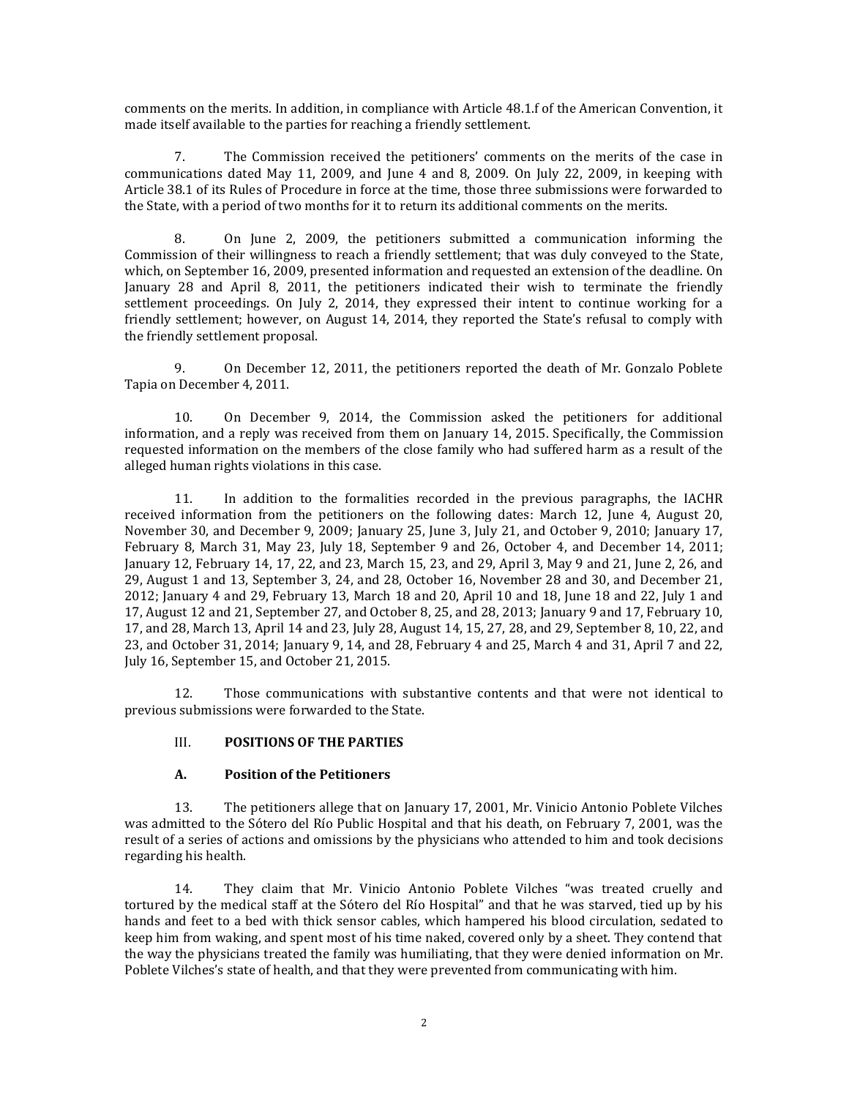comments on the merits. In addition, in compliance with Article 48.1.f of the American Convention, it made itself available to the parties for reaching a friendly settlement.

7. The Commission received the petitioners' comments on the merits of the case in communications dated May 11, 2009, and June 4 and 8, 2009. On July 22, 2009, in keeping with Article 38.1 of its Rules of Procedure in force at the time, those three submissions were forwarded to the State, with a period of two months for it to return its additional comments on the merits.

8. On June 2, 2009, the petitioners submitted a communication informing the Commission of their willingness to reach a friendly settlement; that was duly conveyed to the State, which, on September 16, 2009, presented information and requested an extension of the deadline. On January 28 and April 8, 2011, the petitioners indicated their wish to terminate the friendly settlement proceedings. On July 2, 2014, they expressed their intent to continue working for a friendly settlement; however, on August 14, 2014, they reported the State's refusal to comply with the friendly settlement proposal.

9. On December 12, 2011, the petitioners reported the death of Mr. Gonzalo Poblete Tapia on December 4, 2011.

10. On December 9, 2014, the Commission asked the petitioners for additional information, and a reply was received from them on January 14, 2015. Specifically, the Commission requested information on the members of the close family who had suffered harm as a result of the alleged human rights violations in this case.

11. In addition to the formalities recorded in the previous paragraphs, the IACHR received information from the petitioners on the following dates: March 12, June 4, August 20, November 30, and December 9, 2009; January 25, June 3, July 21, and October 9, 2010; January 17, February 8, March 31, May 23, July 18, September 9 and 26, October 4, and December 14, 2011; January 12, February 14, 17, 22, and 23, March 15, 23, and 29, April 3, May 9 and 21, June 2, 26, and 29, August 1 and 13, September 3, 24, and 28, October 16, November 28 and 30, and December 21, 2012; January 4 and 29, February 13, March 18 and 20, April 10 and 18, June 18 and 22, July 1 and 17, August 12 and 21, September 27, and October 8, 25, and 28, 2013; January 9 and 17, February 10, 17, and 28, March 13, April 14 and 23, July 28, August 14, 15, 27, 28, and 29, September 8, 10, 22, and 23, and October 31, 2014; January 9, 14, and 28, February 4 and 25, March 4 and 31, April 7 and 22, July 16, September 15, and October 21, 2015.

12. Those communications with substantive contents and that were not identical to previous submissions were forwarded to the State.

# III. **POSITIONS OF THE PARTIES**

#### **A. Position of the Petitioners**

13. The petitioners allege that on January 17, 2001, Mr. Vinicio Antonio Poblete Vilches was admitted to the Sótero del Río Public Hospital and that his death, on February 7, 2001, was the result of a series of actions and omissions by the physicians who attended to him and took decisions regarding his health.

14. They claim that Mr. Vinicio Antonio Poblete Vilches "was treated cruelly and tortured by the medical staff at the Sótero del Río Hospital" and that he was starved, tied up by his hands and feet to a bed with thick sensor cables, which hampered his blood circulation, sedated to keep him from waking, and spent most of his time naked, covered only by a sheet. They contend that the way the physicians treated the family was humiliating, that they were denied information on Mr. Poblete Vilches's state of health, and that they were prevented from communicating with him.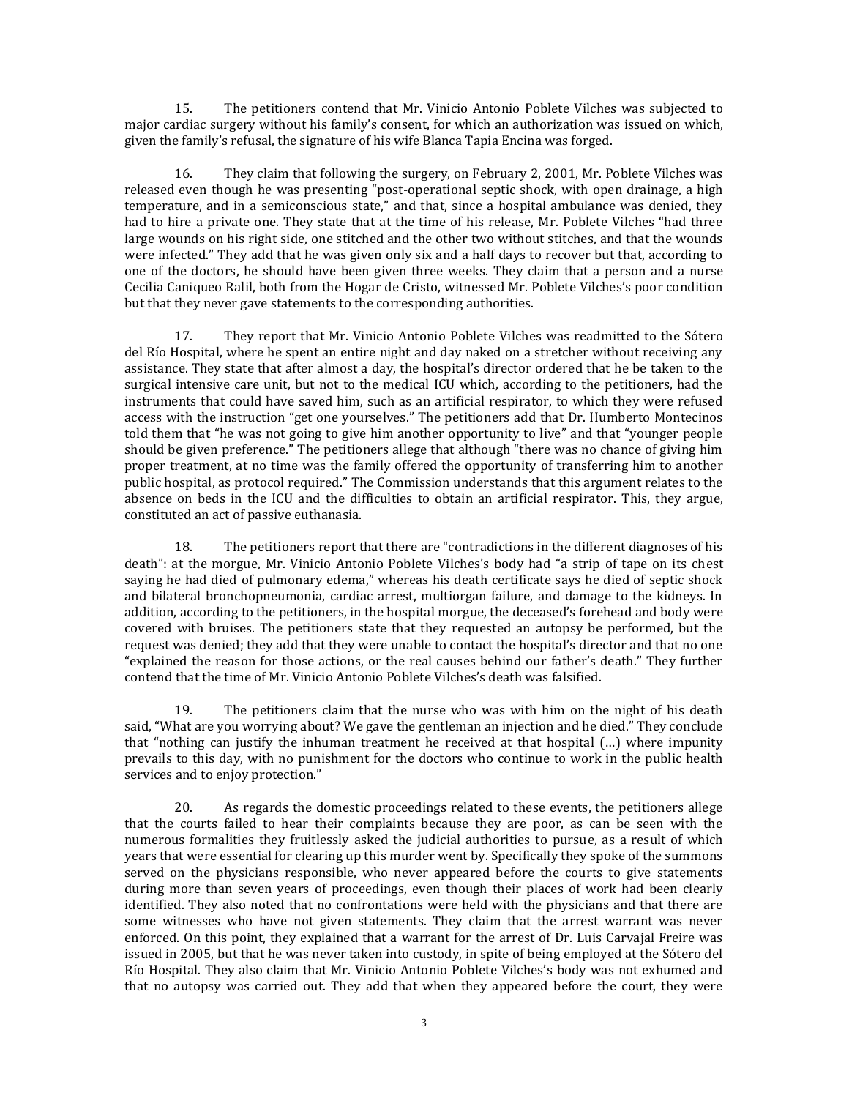15. The petitioners contend that Mr. Vinicio Antonio Poblete Vilches was subjected to major cardiac surgery without his family's consent, for which an authorization was issued on which, given the family's refusal, the signature of his wife Blanca Tapia Encina was forged.

16. They claim that following the surgery, on February 2, 2001, Mr. Poblete Vilches was released even though he was presenting "post-operational septic shock, with open drainage, a high temperature, and in a semiconscious state," and that, since a hospital ambulance was denied, they had to hire a private one. They state that at the time of his release, Mr. Poblete Vilches "had three large wounds on his right side, one stitched and the other two without stitches, and that the wounds were infected." They add that he was given only six and a half days to recover but that, according to one of the doctors, he should have been given three weeks. They claim that a person and a nurse Cecilia Caniqueo Ralil, both from the Hogar de Cristo, witnessed Mr. Poblete Vilches's poor condition but that they never gave statements to the corresponding authorities.

17. They report that Mr. Vinicio Antonio Poblete Vilches was readmitted to the Sótero del Río Hospital, where he spent an entire night and day naked on a stretcher without receiving any assistance. They state that after almost a day, the hospital's director ordered that he be taken to the surgical intensive care unit, but not to the medical ICU which, according to the petitioners, had the instruments that could have saved him, such as an artificial respirator, to which they were refused access with the instruction "get one yourselves." The petitioners add that Dr. Humberto Montecinos told them that "he was not going to give him another opportunity to live" and that "younger people should be given preference." The petitioners allege that although "there was no chance of giving him proper treatment, at no time was the family offered the opportunity of transferring him to another public hospital, as protocol required." The Commission understands that this argument relates to the absence on beds in the ICU and the difficulties to obtain an artificial respirator. This, they argue, constituted an act of passive euthanasia.

18. The petitioners report that there are "contradictions in the different diagnoses of his death": at the morgue, Mr. Vinicio Antonio Poblete Vilches's body had "a strip of tape on its chest saying he had died of pulmonary edema," whereas his death certificate says he died of septic shock and bilateral bronchopneumonia, cardiac arrest, multiorgan failure, and damage to the kidneys. In addition, according to the petitioners, in the hospital morgue, the deceased's forehead and body were covered with bruises. The petitioners state that they requested an autopsy be performed, but the request was denied; they add that they were unable to contact the hospital's director and that no one "explained the reason for those actions, or the real causes behind our father's death." They further contend that the time of Mr. Vinicio Antonio Poblete Vilches's death was falsified.

19. The petitioners claim that the nurse who was with him on the night of his death said, "What are you worrying about? We gave the gentleman an injection and he died." They conclude that "nothing can justify the inhuman treatment he received at that hospital (…) where impunity prevails to this day, with no punishment for the doctors who continue to work in the public health services and to enjoy protection."

20. As regards the domestic proceedings related to these events, the petitioners allege that the courts failed to hear their complaints because they are poor, as can be seen with the numerous formalities they fruitlessly asked the judicial authorities to pursue, as a result of which years that were essential for clearing up this murder went by. Specifically they spoke of the summons served on the physicians responsible, who never appeared before the courts to give statements during more than seven years of proceedings, even though their places of work had been clearly identified. They also noted that no confrontations were held with the physicians and that there are some witnesses who have not given statements. They claim that the arrest warrant was never enforced. On this point, they explained that a warrant for the arrest of Dr. Luis Carvajal Freire was issued in 2005, but that he was never taken into custody, in spite of being employed at the Sótero del Río Hospital. They also claim that Mr. Vinicio Antonio Poblete Vilches's body was not exhumed and that no autopsy was carried out. They add that when they appeared before the court, they were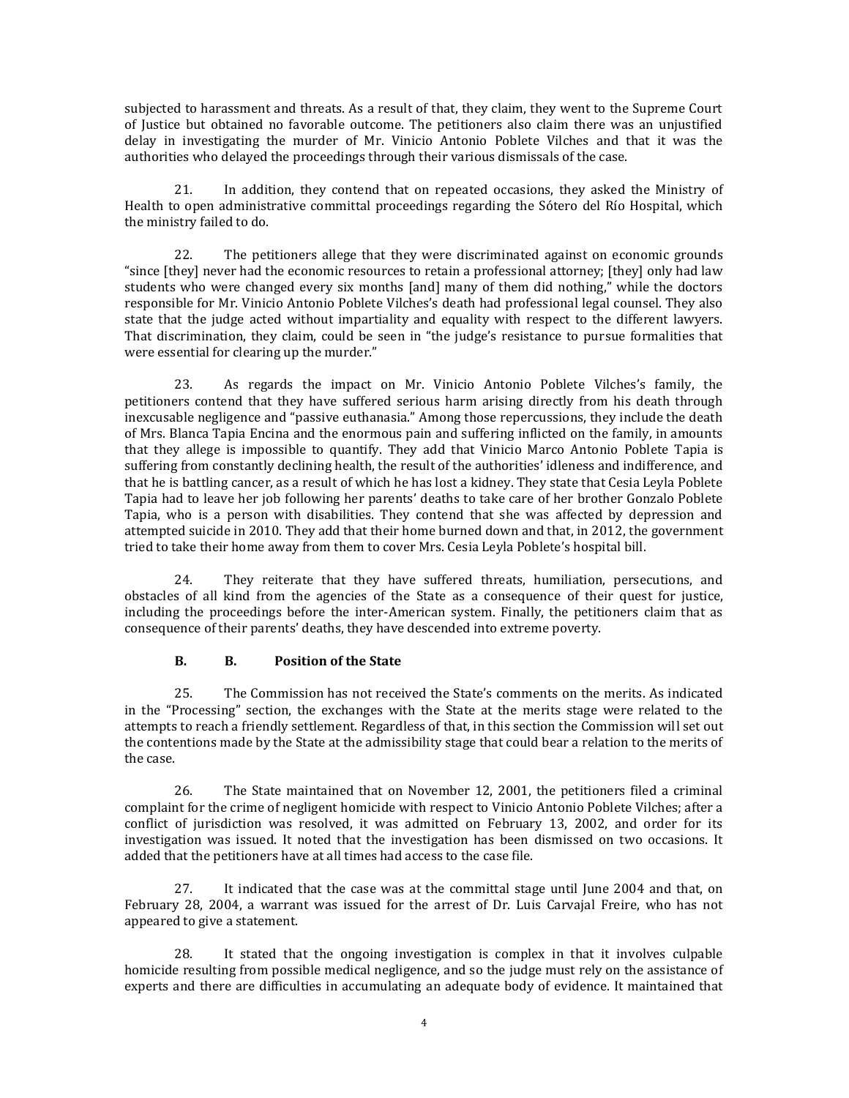subjected to harassment and threats. As a result of that, they claim, they went to the Supreme Court of Justice but obtained no favorable outcome. The petitioners also claim there was an unjustified delay in investigating the murder of Mr. Vinicio Antonio Poblete Vilches and that it was the authorities who delayed the proceedings through their various dismissals of the case.

21. In addition, they contend that on repeated occasions, they asked the Ministry of Health to open administrative committal proceedings regarding the Sótero del Río Hospital, which the ministry failed to do.

22. The petitioners allege that they were discriminated against on economic grounds "since [they] never had the economic resources to retain a professional attorney; [they] only had law students who were changed every six months [and] many of them did nothing," while the doctors responsible for Mr. Vinicio Antonio Poblete Vilches's death had professional legal counsel. They also state that the judge acted without impartiality and equality with respect to the different lawyers. That discrimination, they claim, could be seen in "the judge's resistance to pursue formalities that were essential for clearing up the murder."

23. As regards the impact on Mr. Vinicio Antonio Poblete Vilches's family, the petitioners contend that they have suffered serious harm arising directly from his death through inexcusable negligence and "passive euthanasia." Among those repercussions, they include the death of Mrs. Blanca Tapia Encina and the enormous pain and suffering inflicted on the family, in amounts that they allege is impossible to quantify. They add that Vinicio Marco Antonio Poblete Tapia is suffering from constantly declining health, the result of the authorities' idleness and indifference, and that he is battling cancer, as a result of which he has lost a kidney. They state that Cesia Leyla Poblete Tapia had to leave her job following her parents' deaths to take care of her brother Gonzalo Poblete Tapia, who is a person with disabilities. They contend that she was affected by depression and attempted suicide in 2010. They add that their home burned down and that, in 2012, the government tried to take their home away from them to cover Mrs. Cesia Leyla Poblete's hospital bill.

24. They reiterate that they have suffered threats, humiliation, persecutions, and obstacles of all kind from the agencies of the State as a consequence of their quest for justice, including the proceedings before the inter-American system. Finally, the petitioners claim that as consequence of their parents' deaths, they have descended into extreme poverty.

# **B. B. Position of the State**

25. The Commission has not received the State's comments on the merits. As indicated in the "Processing" section, the exchanges with the State at the merits stage were related to the attempts to reach a friendly settlement. Regardless of that, in this section the Commission will set out the contentions made by the State at the admissibility stage that could bear a relation to the merits of the case.

26. The State maintained that on November 12, 2001, the petitioners filed a criminal complaint for the crime of negligent homicide with respect to Vinicio Antonio Poblete Vilches; after a conflict of jurisdiction was resolved, it was admitted on February 13, 2002, and order for its investigation was issued. It noted that the investigation has been dismissed on two occasions. It added that the petitioners have at all times had access to the case file.

27. It indicated that the case was at the committal stage until June 2004 and that, on February 28, 2004, a warrant was issued for the arrest of Dr. Luis Carvajal Freire, who has not appeared to give a statement.

28. It stated that the ongoing investigation is complex in that it involves culpable homicide resulting from possible medical negligence, and so the judge must rely on the assistance of experts and there are difficulties in accumulating an adequate body of evidence. It maintained that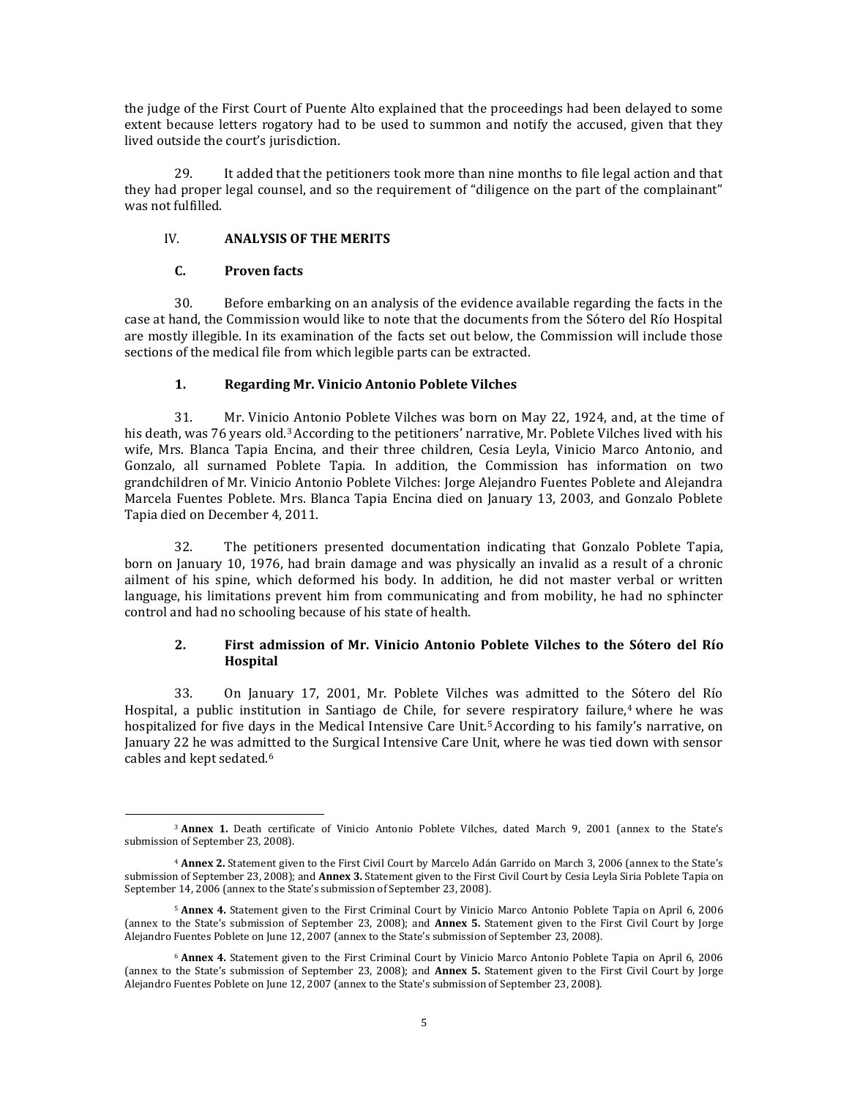the judge of the First Court of Puente Alto explained that the proceedings had been delayed to some extent because letters rogatory had to be used to summon and notify the accused, given that they lived outside the court's jurisdiction.

29. It added that the petitioners took more than nine months to file legal action and that they had proper legal counsel, and so the requirement of "diligence on the part of the complainant" was not fulfilled.

### IV. **ANALYSIS OF THE MERITS**

# **C. Proven facts**

 $\overline{\phantom{a}}$ 

30. Before embarking on an analysis of the evidence available regarding the facts in the case at hand, the Commission would like to note that the documents from the Sótero del Río Hospital are mostly illegible. In its examination of the facts set out below, the Commission will include those sections of the medical file from which legible parts can be extracted.

# **1. Regarding Mr. Vinicio Antonio Poblete Vilches**

31. Mr. Vinicio Antonio Poblete Vilches was born on May 22, 1924, and, at the time of his death, was 76 years old.<sup>3</sup> According to the petitioners' narrative, Mr. Poblete Vilches lived with his wife, Mrs. Blanca Tapia Encina, and their three children, Cesia Leyla, Vinicio Marco Antonio, and Gonzalo, all surnamed Poblete Tapia. In addition, the Commission has information on two grandchildren of Mr. Vinicio Antonio Poblete Vilches: Jorge Alejandro Fuentes Poblete and Alejandra Marcela Fuentes Poblete. Mrs. Blanca Tapia Encina died on January 13, 2003, and Gonzalo Poblete Tapia died on December 4, 2011.

32. The petitioners presented documentation indicating that Gonzalo Poblete Tapia, born on January 10, 1976, had brain damage and was physically an invalid as a result of a chronic ailment of his spine, which deformed his body. In addition, he did not master verbal or written language, his limitations prevent him from communicating and from mobility, he had no sphincter control and had no schooling because of his state of health.

# **2. First admission of Mr. Vinicio Antonio Poblete Vilches to the Sótero del Río Hospital**

33. On January 17, 2001, Mr. Poblete Vilches was admitted to the Sótero del Río Hospital, a public institution in Santiago de Chile, for severe respiratory failure,<sup>4</sup> where he was hospitalized for five days in the Medical Intensive Care Unit.<sup>5</sup> According to his family's narrative, on January 22 he was admitted to the Surgical Intensive Care Unit, where he was tied down with sensor cables and kept sedated.<sup>6</sup>

<sup>&</sup>lt;sup>3</sup> Annex 1. Death certificate of Vinicio Antonio Poblete Vilches, dated March 9, 2001 (annex to the State's submission of September 23, 2008).

<sup>4</sup> **Annex 2.** Statement given to the First Civil Court by Marcelo Adán Garrido on March 3, 2006 (annex to the State's submission of September 23, 2008); and **Annex 3.** Statement given to the First Civil Court by Cesia Leyla Siria Poblete Tapia on September 14, 2006 (annex to the State's submission of September 23, 2008).

<sup>5</sup> **Annex 4.** Statement given to the First Criminal Court by Vinicio Marco Antonio Poblete Tapia on April 6, 2006 (annex to the State's submission of September 23, 2008); and **Annex 5.** Statement given to the First Civil Court by Jorge Alejandro Fuentes Poblete on June 12, 2007 (annex to the State's submission of September 23, 2008).

<sup>6</sup> **Annex 4.** Statement given to the First Criminal Court by Vinicio Marco Antonio Poblete Tapia on April 6, 2006 (annex to the State's submission of September 23, 2008); and **Annex 5.** Statement given to the First Civil Court by Jorge Alejandro Fuentes Poblete on June 12, 2007 (annex to the State's submission of September 23, 2008).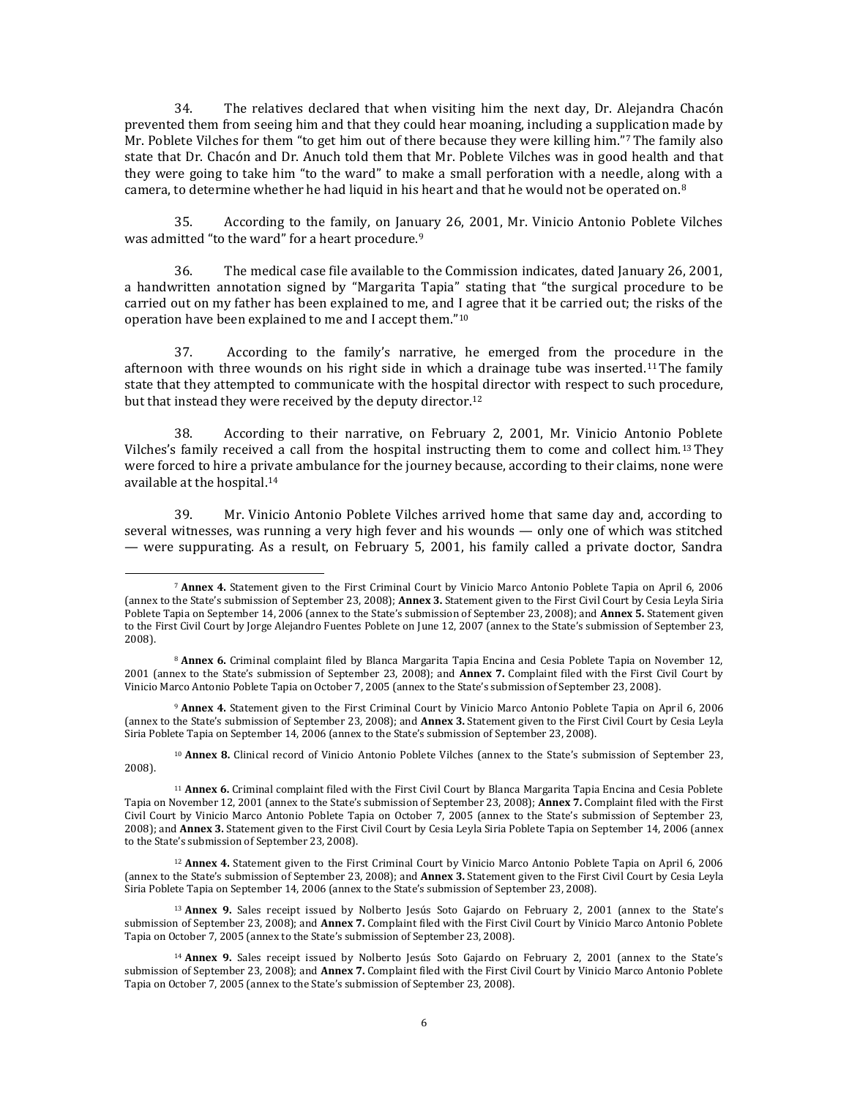34. The relatives declared that when visiting him the next day, Dr. Alejandra Chacón prevented them from seeing him and that they could hear moaning, including a supplication made by Mr. Poblete Vilches for them "to get him out of there because they were killing him."7The family also state that Dr. Chacón and Dr. Anuch told them that Mr. Poblete Vilches was in good health and that they were going to take him "to the ward" to make a small perforation with a needle, along with a camera, to determine whether he had liquid in his heart and that he would not be operated on. $8$ 

35. According to the family, on January 26, 2001, Mr. Vinicio Antonio Poblete Vilches was admitted "to the ward" for a heart procedure.<sup>9</sup>

36. The medical case file available to the Commission indicates, dated January 26, 2001, a handwritten annotation signed by "Margarita Tapia" stating that "the surgical procedure to be carried out on my father has been explained to me, and I agree that it be carried out; the risks of the operation have been explained to me and I accept them."<sup>10</sup>

37. According to the family's narrative, he emerged from the procedure in the afternoon with three wounds on his right side in which a drainage tube was inserted.<sup>11</sup> The family state that they attempted to communicate with the hospital director with respect to such procedure, but that instead they were received by the deputy director.<sup>12</sup>

38. According to their narrative, on February 2, 2001, Mr. Vinicio Antonio Poblete Vilches's family received a call from the hospital instructing them to come and collect him.13They were forced to hire a private ambulance for the journey because, according to their claims, none were available at the hospital.<sup>14</sup>

39. Mr. Vinicio Antonio Poblete Vilches arrived home that same day and, according to several witnesses, was running a very high fever and his wounds — only one of which was stitched — were suppurating. As a result, on February 5, 2001, his family called a private doctor, Sandra

l

<sup>9</sup> **Annex 4.** Statement given to the First Criminal Court by Vinicio Marco Antonio Poblete Tapia on April 6, 2006 (annex to the State's submission of September 23, 2008); and **Annex 3.** Statement given to the First Civil Court by Cesia Leyla Siria Poblete Tapia on September 14, 2006 (annex to the State's submission of September 23, 2008).

<sup>10</sup> **Annex 8.** Clinical record of Vinicio Antonio Poblete Vilches (annex to the State's submission of September 23, 2008).

<sup>7</sup> **Annex 4.** Statement given to the First Criminal Court by Vinicio Marco Antonio Poblete Tapia on April 6, 2006 (annex to the State's submission of September 23, 2008); **Annex 3.** Statement given to the First Civil Court by Cesia Leyla Siria Poblete Tapia on September 14, 2006 (annex to the State's submission of September 23, 2008); and **Annex 5.** Statement given to the First Civil Court by Jorge Alejandro Fuentes Poblete on June 12, 2007 (annex to the State's submission of September 23, 2008).

<sup>8</sup> **Annex 6.** Criminal complaint filed by Blanca Margarita Tapia Encina and Cesia Poblete Tapia on November 12, 2001 (annex to the State's submission of September 23, 2008); and **Annex 7.** Complaint filed with the First Civil Court by Vinicio Marco Antonio Poblete Tapia on October 7, 2005 (annex to the State's submission of September 23, 2008).

<sup>11</sup> **Annex 6.** Criminal complaint filed with the First Civil Court by Blanca Margarita Tapia Encina and Cesia Poblete Tapia on November 12, 2001 (annex to the State's submission of September 23, 2008); **Annex 7.** Complaint filed with the First Civil Court by Vinicio Marco Antonio Poblete Tapia on October 7, 2005 (annex to the State's submission of September 23, 2008); and **Annex 3.** Statement given to the First Civil Court by Cesia Leyla Siria Poblete Tapia on September 14, 2006 (annex to the State's submission of September 23, 2008).

<sup>12</sup> **Annex 4.** Statement given to the First Criminal Court by Vinicio Marco Antonio Poblete Tapia on April 6, 2006 (annex to the State's submission of September 23, 2008); and **Annex 3.** Statement given to the First Civil Court by Cesia Leyla Siria Poblete Tapia on September 14, 2006 (annex to the State's submission of September 23, 2008).

<sup>&</sup>lt;sup>13</sup> Annex 9. Sales receipt issued by Nolberto Jesús Soto Gajardo on February 2, 2001 (annex to the State's submission of September 23, 2008); and **Annex 7.** Complaint filed with the First Civil Court by Vinicio Marco Antonio Poblete Tapia on October 7, 2005 (annex to the State's submission of September 23, 2008).

<sup>&</sup>lt;sup>14</sup> Annex 9. Sales receipt issued by Nolberto Jesús Soto Gajardo on February 2, 2001 (annex to the State's submission of September 23, 2008); and **Annex 7.** Complaint filed with the First Civil Court by Vinicio Marco Antonio Poblete Tapia on October 7, 2005 (annex to the State's submission of September 23, 2008).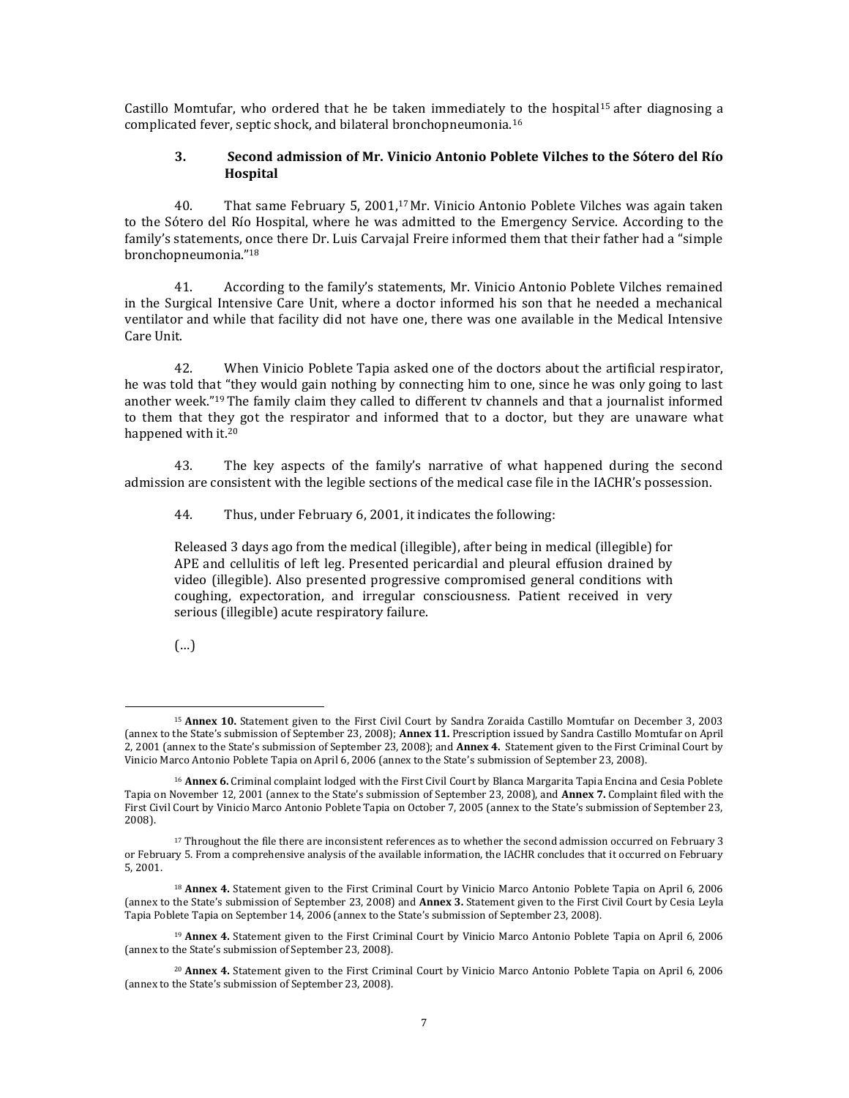Castillo Momtufar, who ordered that he be taken immediately to the hospital<sup>15</sup> after diagnosing a complicated fever, septic shock, and bilateral bronchopneumonia.<sup>16</sup>

#### **3. Second admission of Mr. Vinicio Antonio Poblete Vilches to the Sótero del Río Hospital**

40. That same February 5, 2001,<sup>17</sup> Mr. Vinicio Antonio Poblete Vilches was again taken to the Sótero del Río Hospital, where he was admitted to the Emergency Service. According to the family's statements, once there Dr. Luis Carvajal Freire informed them that their father had a "simple bronchopneumonia."<sup>18</sup>

41. According to the family's statements, Mr. Vinicio Antonio Poblete Vilches remained in the Surgical Intensive Care Unit, where a doctor informed his son that he needed a mechanical ventilator and while that facility did not have one, there was one available in the Medical Intensive Care Unit.

42. When Vinicio Poblete Tapia asked one of the doctors about the artificial respirator, he was told that "they would gain nothing by connecting him to one, since he was only going to last another week."19The family claim they called to different tv channels and that a journalist informed to them that they got the respirator and informed that to a doctor, but they are unaware what happened with it.<sup>20</sup>

43. The key aspects of the family's narrative of what happened during the second admission are consistent with the legible sections of the medical case file in the IACHR's possession.

44. Thus, under February 6, 2001, it indicates the following:

Released 3 days ago from the medical (illegible), after being in medical (illegible) for APE and cellulitis of left leg. Presented pericardial and pleural effusion drained by video (illegible). Also presented progressive compromised general conditions with coughing, expectoration, and irregular consciousness. Patient received in very serious (illegible) acute respiratory failure.

(…)

l <sup>15</sup> **Annex 10.** Statement given to the First Civil Court by Sandra Zoraida Castillo Momtufar on December 3, 2003 (annex to the State's submission of September 23, 2008); **Annex 11.** Prescription issued by Sandra Castillo Momtufar on April 2, 2001 (annex to the State's submission of September 23, 2008); and **Annex 4.** Statement given to the First Criminal Court by Vinicio Marco Antonio Poblete Tapia on April 6, 2006 (annex to the State's submission of September 23, 2008).

<sup>16</sup> **Annex 6.** Criminal complaint lodged with the First Civil Court by Blanca Margarita Tapia Encina and Cesia Poblete Tapia on November 12, 2001 (annex to the State's submission of September 23, 2008), and **Annex 7.** Complaint filed with the First Civil Court by Vinicio Marco Antonio Poblete Tapia on October 7, 2005 (annex to the State's submission of September 23, 2008).

<sup>&</sup>lt;sup>17</sup> Throughout the file there are inconsistent references as to whether the second admission occurred on February 3 or February 5. From a comprehensive analysis of the available information, the IACHR concludes that it occurred on February 5, 2001.

<sup>18</sup> **Annex 4.** Statement given to the First Criminal Court by Vinicio Marco Antonio Poblete Tapia on April 6, 2006 (annex to the State's submission of September 23, 2008) and **Annex 3.** Statement given to the First Civil Court by Cesia Leyla Tapia Poblete Tapia on September 14, 2006 (annex to the State's submission of September 23, 2008).

<sup>19</sup> **Annex 4.** Statement given to the First Criminal Court by Vinicio Marco Antonio Poblete Tapia on April 6, 2006 (annex to the State's submission of September 23, 2008).

<sup>20</sup> **Annex 4.** Statement given to the First Criminal Court by Vinicio Marco Antonio Poblete Tapia on April 6, 2006 (annex to the State's submission of September 23, 2008).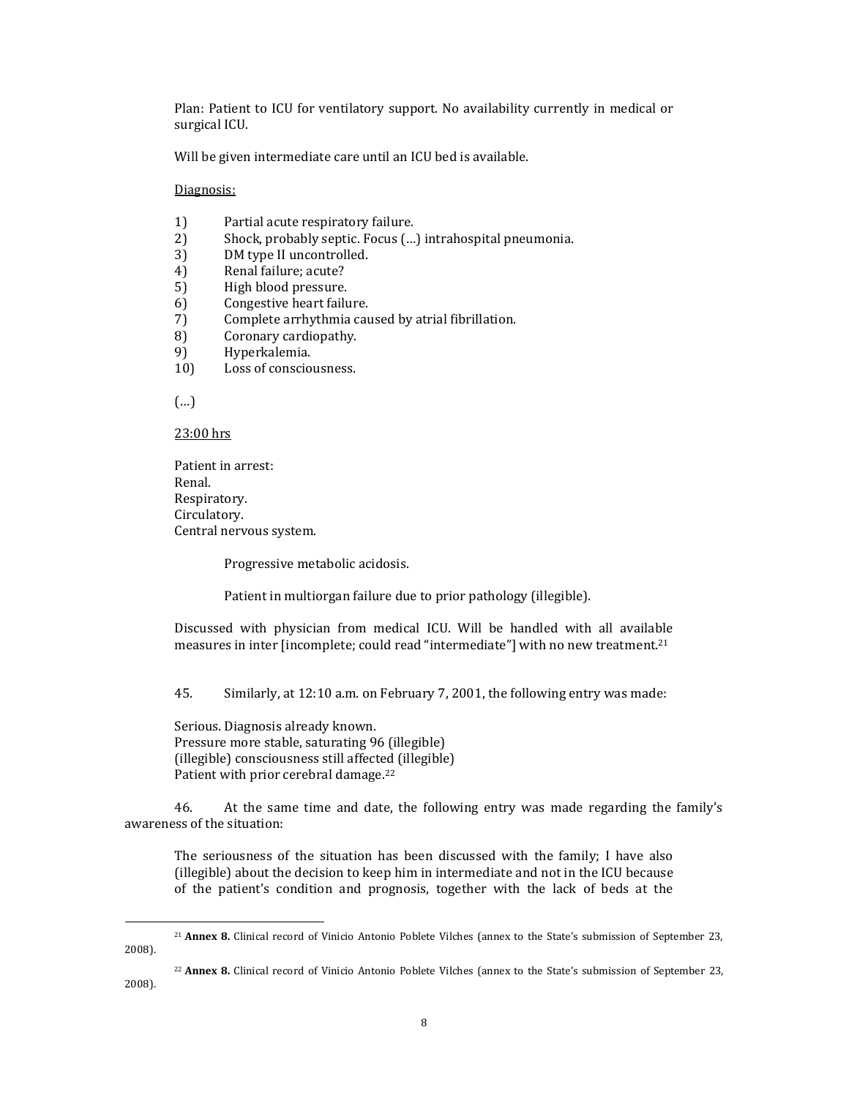Plan: Patient to ICU for ventilatory support. No availability currently in medical or surgical ICU.

Will be given intermediate care until an ICU bed is available.

Diagnosis:

- 1) Partial acute respiratory failure.
- 2) Shock, probably septic. Focus (…) intrahospital pneumonia.
- 3) DM type II uncontrolled.
- 4) Renal failure; acute?
- 5) High blood pressure.
- 6) Congestive heart failure.
- 7) Complete arrhythmia caused by atrial fibrillation.
- 8) Coronary cardiopathy.
- 9) Hyperkalemia.
- 10) Loss of consciousness.

(…)

 $\overline{\phantom{a}}$ 

23:00 hrs

Patient in arrest: Renal. Respiratory. Circulatory. Central nervous system.

Progressive metabolic acidosis.

Patient in multiorgan failure due to prior pathology (illegible).

Discussed with physician from medical ICU. Will be handled with all available measures in inter [incomplete; could read "intermediate"] with no new treatment.<sup>21</sup>

45. Similarly, at 12:10 a.m. on February 7, 2001, the following entry was made:

Serious. Diagnosis already known. Pressure more stable, saturating 96 (illegible) (illegible) consciousness still affected (illegible) Patient with prior cerebral damage. 22

46. At the same time and date, the following entry was made regarding the family's awareness of the situation:

The seriousness of the situation has been discussed with the family; I have also (illegible) about the decision to keep him in intermediate and not in the ICU because of the patient's condition and prognosis, together with the lack of beds at the

<sup>21</sup> **Annex 8.** Clinical record of Vinicio Antonio Poblete Vilches (annex to the State's submission of September 23, 2008).

<sup>22</sup> **Annex 8.** Clinical record of Vinicio Antonio Poblete Vilches (annex to the State's submission of September 23, 2008).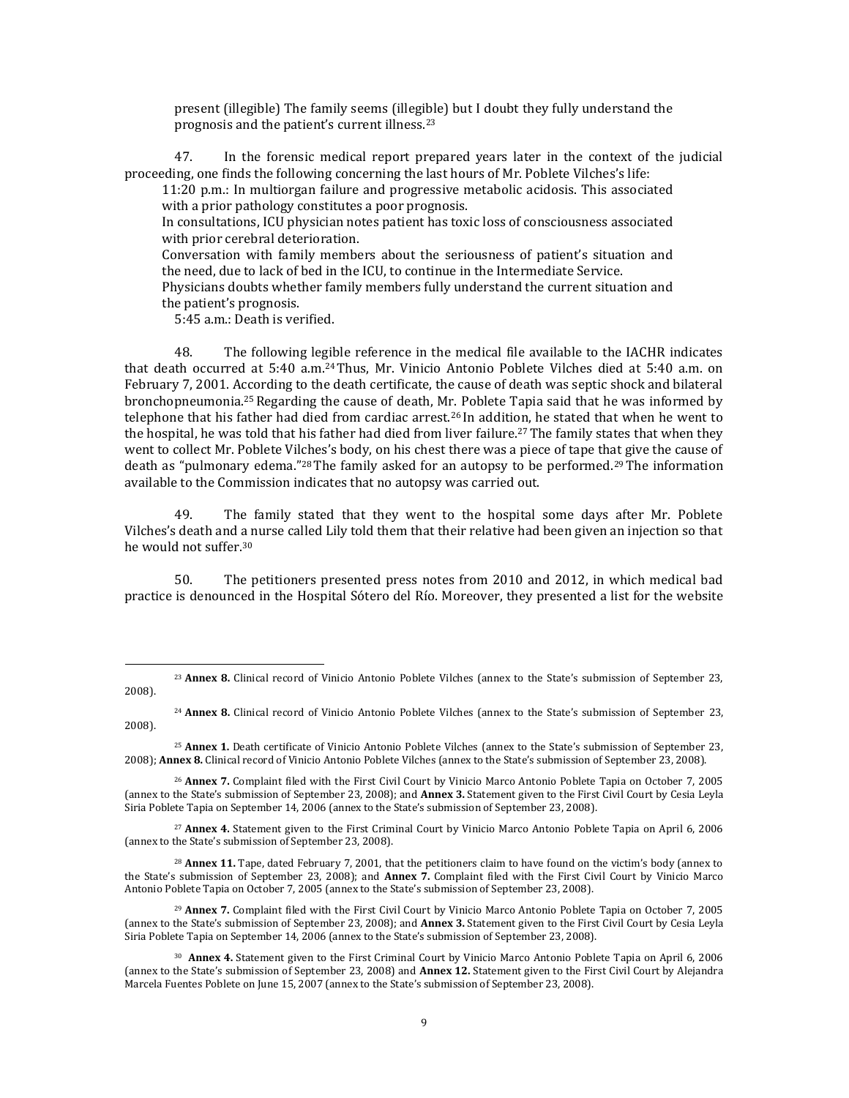present (illegible) The family seems (illegible) but I doubt they fully understand the prognosis and the patient's current illness.<sup>23</sup>

47. In the forensic medical report prepared years later in the context of the judicial proceeding, one finds the following concerning the last hours of Mr. Poblete Vilches's life:

11:20 p.m.: In multiorgan failure and progressive metabolic acidosis. This associated with a prior pathology constitutes a poor prognosis.

In consultations, ICU physician notes patient has toxic loss of consciousness associated with prior cerebral deterioration.

Conversation with family members about the seriousness of patient's situation and the need, due to lack of bed in the ICU, to continue in the Intermediate Service.

Physicians doubts whether family members fully understand the current situation and the patient's prognosis.

5:45 a.m.: Death is verified.

 $\overline{\phantom{a}}$ 

48. The following legible reference in the medical file available to the IACHR indicates that death occurred at 5:40 a.m.24Thus, Mr. Vinicio Antonio Poblete Vilches died at 5:40 a.m. on February 7, 2001. According to the death certificate, the cause of death was septic shock and bilateral bronchopneumonia.25Regarding the cause of death, Mr. Poblete Tapia said that he was informed by telephone that his father had died from cardiac arrest.<sup>26</sup> In addition, he stated that when he went to the hospital, he was told that his father had died from liver failure.<sup>27</sup> The family states that when they went to collect Mr. Poblete Vilches's body, on his chest there was a piece of tape that give the cause of death as "pulmonary edema."<sup>28</sup> The family asked for an autopsy to be performed.<sup>29</sup> The information available to the Commission indicates that no autopsy was carried out.

49. The family stated that they went to the hospital some days after Mr. Poblete Vilches's death and a nurse called Lily told them that their relative had been given an injection so that he would not suffer.<sup>30</sup>

50. The petitioners presented press notes from 2010 and 2012, in which medical bad practice is denounced in the Hospital Sótero del Río. Moreover, they presented a list for the website

<sup>27</sup> **Annex 4.** Statement given to the First Criminal Court by Vinicio Marco Antonio Poblete Tapia on April 6, 2006 (annex to the State's submission of September 23, 2008).

<sup>28</sup> **Annex 11.** Tape, dated February 7, 2001, that the petitioners claim to have found on the victim's body (annex to the State's submission of September 23, 2008); and **Annex 7.** Complaint filed with the First Civil Court by Vinicio Marco Antonio Poblete Tapia on October 7, 2005 (annex to the State's submission of September 23, 2008).

<sup>23</sup> **Annex 8.** Clinical record of Vinicio Antonio Poblete Vilches (annex to the State's submission of September 23, 2008).

<sup>24</sup> **Annex 8.** Clinical record of Vinicio Antonio Poblete Vilches (annex to the State's submission of September 23, 2008).

<sup>25</sup> **Annex 1.** Death certificate of Vinicio Antonio Poblete Vilches (annex to the State's submission of September 23, 2008); **Annex 8.** Clinical record of Vinicio Antonio Poblete Vilches (annex to the State's submission of September 23, 2008).

<sup>26</sup> **Annex 7.** Complaint filed with the First Civil Court by Vinicio Marco Antonio Poblete Tapia on October 7, 2005 (annex to the State's submission of September 23, 2008); and **Annex 3.** Statement given to the First Civil Court by Cesia Leyla Siria Poblete Tapia on September 14, 2006 (annex to the State's submission of September 23, 2008).

<sup>29</sup> **Annex 7.** Complaint filed with the First Civil Court by Vinicio Marco Antonio Poblete Tapia on October 7, 2005 (annex to the State's submission of September 23, 2008); and **Annex 3.** Statement given to the First Civil Court by Cesia Leyla Siria Poblete Tapia on September 14, 2006 (annex to the State's submission of September 23, 2008).

<sup>30</sup> **Annex 4.** Statement given to the First Criminal Court by Vinicio Marco Antonio Poblete Tapia on April 6, 2006 (annex to the State's submission of September 23, 2008) and **Annex 12.** Statement given to the First Civil Court by Alejandra Marcela Fuentes Poblete on June 15, 2007 (annex to the State's submission of September 23, 2008).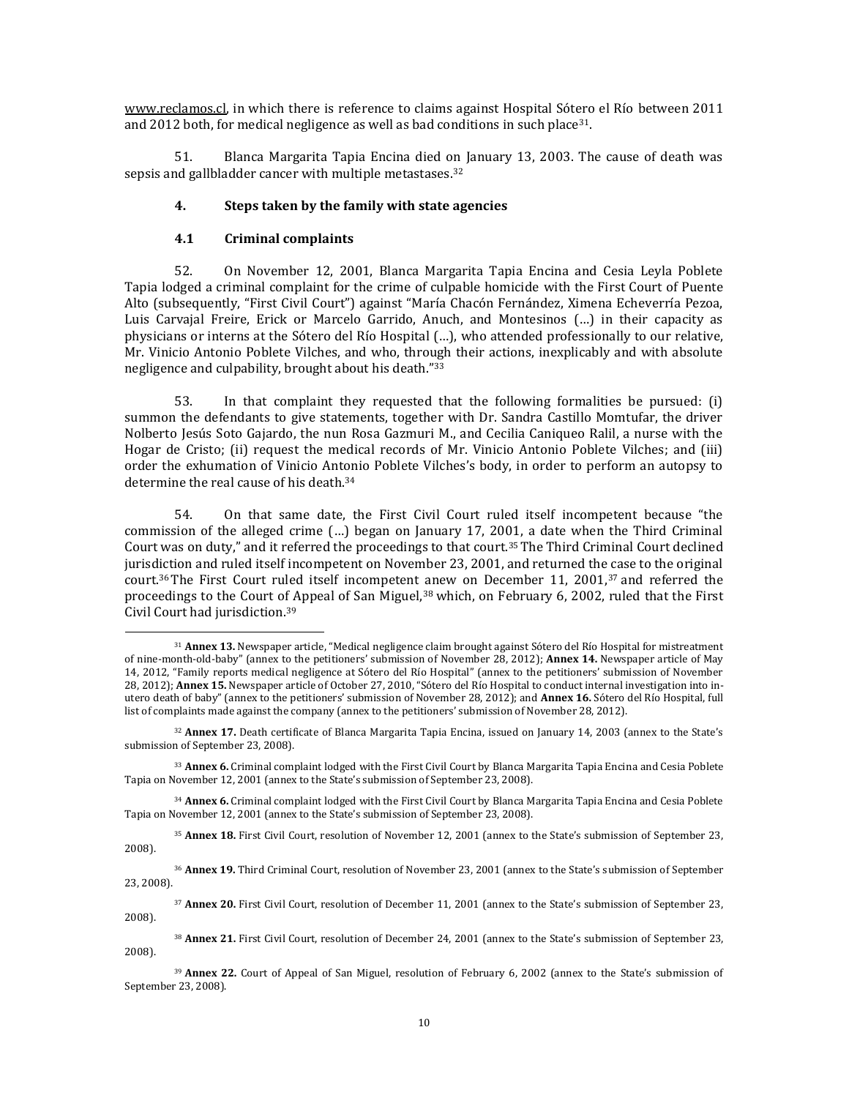[www.reclamos.cl,](http://www.reclamos.cl/) in which there is reference to claims against Hospital Sótero el Río between 2011 and 2012 both, for medical negligence as well as bad conditions in such place31.

51. Blanca Margarita Tapia Encina died on January 13, 2003. The cause of death was sepsis and gallbladder cancer with multiple metastases.<sup>32</sup>

#### **4. Steps taken by the family with state agencies**

# **4.1 Criminal complaints**

l

52. On November 12, 2001, Blanca Margarita Tapia Encina and Cesia Leyla Poblete Tapia lodged a criminal complaint for the crime of culpable homicide with the First Court of Puente Alto (subsequently, "First Civil Court") against "María Chacón Fernández, Ximena Echeverría Pezoa, Luis Carvajal Freire, Erick or Marcelo Garrido, Anuch, and Montesinos (…) in their capacity as physicians or interns at the Sótero del Río Hospital (…), who attended professionally to our relative, Mr. Vinicio Antonio Poblete Vilches, and who, through their actions, inexplicably and with absolute negligence and culpability, brought about his death."<sup>33</sup>

53. In that complaint they requested that the following formalities be pursued: (i) summon the defendants to give statements, together with Dr. Sandra Castillo Momtufar, the driver Nolberto Jesús Soto Gajardo, the nun Rosa Gazmuri M., and Cecilia Caniqueo Ralil, a nurse with the Hogar de Cristo; (ii) request the medical records of Mr. Vinicio Antonio Poblete Vilches; and (iii) order the exhumation of Vinicio Antonio Poblete Vilches's body, in order to perform an autopsy to determine the real cause of his death.<sup>34</sup>

54. On that same date, the First Civil Court ruled itself incompetent because "the commission of the alleged crime (…) began on January 17, 2001, a date when the Third Criminal Court was on duty," and it referred the proceedings to that court.35The Third Criminal Court declined jurisdiction and ruled itself incompetent on November 23, 2001, and returned the case to the original court.<sup>36</sup> The First Court ruled itself incompetent anew on December 11, 2001,<sup>37</sup> and referred the proceedings to the Court of Appeal of San Miguel,<sup>38</sup> which, on February 6, 2002, ruled that the First Civil Court had jurisdiction.<sup>39</sup>

<sup>35</sup> **Annex 18.** First Civil Court, resolution of November 12, 2001 (annex to the State's submission of September 23, 2008).

<sup>36</sup> **Annex 19.** Third Criminal Court, resolution of November 23, 2001 (annex to the State's submission of September 23, 2008).

<sup>37</sup> **Annex 20.** First Civil Court, resolution of December 11, 2001 (annex to the State's submission of September 23, 2008).

<sup>38</sup> **Annex 21.** First Civil Court, resolution of December 24, 2001 (annex to the State's submission of September 23, 2008).

<sup>31</sup> **Annex 13.** Newspaper article, "Medical negligence claim brought against Sótero del Río Hospital for mistreatment of nine-month-old-baby" (annex to the petitioners' submission of November 28, 2012); **Annex 14.** Newspaper article of May 14, 2012, "Family reports medical negligence at Sótero del Río Hospital" (annex to the petitioners' submission of November 28, 2012); **Annex 15.** Newspaper article of October 27, 2010, "Sótero del Río Hospital to conduct internal investigation into inutero death of baby" (annex to the petitioners' submission of November 28, 2012); and **Annex 16.** Sótero del Río Hospital, full list of complaints made against the company (annex to the petitioners' submission of November 28, 2012).

<sup>32</sup> **Annex 17.** Death certificate of Blanca Margarita Tapia Encina, issued on January 14, 2003 (annex to the State's submission of September 23, 2008).

<sup>33</sup> **Annex 6.** Criminal complaint lodged with the First Civil Court by Blanca Margarita Tapia Encina and Cesia Poblete Tapia on November 12, 2001 (annex to the State's submission of September 23, 2008).

<sup>34</sup> **Annex 6.** Criminal complaint lodged with the First Civil Court by Blanca Margarita Tapia Encina and Cesia Poblete Tapia on November 12, 2001 (annex to the State's submission of September 23, 2008).

<sup>39</sup> **Annex 22.** Court of Appeal of San Miguel, resolution of February 6, 2002 (annex to the State's submission of September 23, 2008).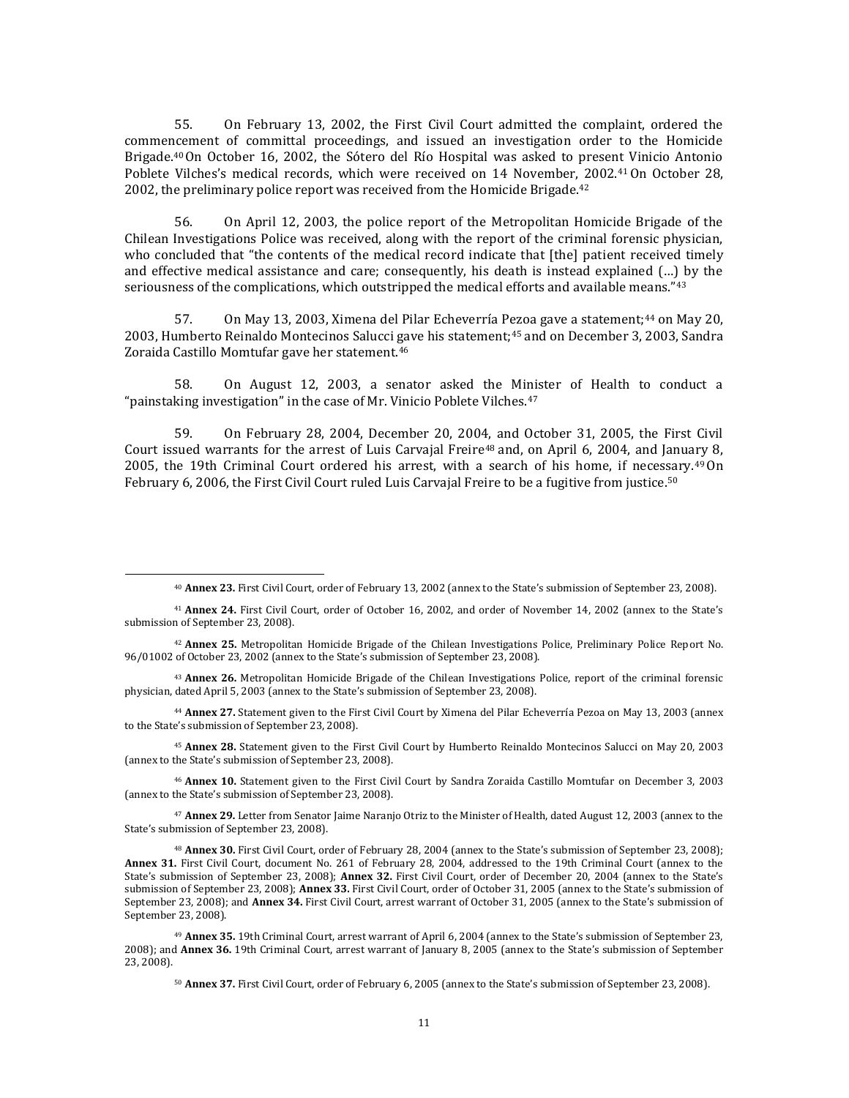55. On February 13, 2002, the First Civil Court admitted the complaint, ordered the commencement of committal proceedings, and issued an investigation order to the Homicide Brigade.<sup>40</sup>On October 16, 2002, the Sótero del Río Hospital was asked to present Vinicio Antonio Poblete Vilches's medical records, which were received on 14 November, 2002.41On October 28, 2002, the preliminary police report was received from the Homicide Brigade.<sup>42</sup>

56. On April 12, 2003, the police report of the Metropolitan Homicide Brigade of the Chilean Investigations Police was received, along with the report of the criminal forensic physician, who concluded that "the contents of the medical record indicate that [the] patient received timely and effective medical assistance and care; consequently, his death is instead explained (…) by the seriousness of the complications, which outstripped the medical efforts and available means."<sup>43</sup>

57. On May 13, 2003, Ximena del Pilar Echeverría Pezoa gave a statement;<sup>44</sup> on May 20, 2003, Humberto Reinaldo Montecinos Salucci gave his statement;<sup>45</sup> and on December 3, 2003, Sandra Zoraida Castillo Momtufar gave her statement.<sup>46</sup>

58. On August 12, 2003, a senator asked the Minister of Health to conduct a "painstaking investigation" in the case of Mr. Vinicio Poblete Vilches.<sup>47</sup>

59. On February 28, 2004, December 20, 2004, and October 31, 2005, the First Civil Court issued warrants for the arrest of Luis Carvajal Freire<sup>48</sup> and, on April 6, 2004, and January 8, 2005, the 19th Criminal Court ordered his arrest, with a search of his home, if necessary.49On February 6, 2006, the First Civil Court ruled Luis Carvajal Freire to be a fugitive from justice.<sup>50</sup>

l

<sup>43</sup> **Annex 26.** Metropolitan Homicide Brigade of the Chilean Investigations Police, report of the criminal forensic physician, dated April 5, 2003 (annex to the State's submission of September 23, 2008).

<sup>44</sup> **Annex 27.** Statement given to the First Civil Court by Ximena del Pilar Echeverría Pezoa on May 13, 2003 (annex to the State's submission of September 23, 2008).

<sup>45</sup> **Annex 28.** Statement given to the First Civil Court by Humberto Reinaldo Montecinos Salucci on May 20, 2003 (annex to the State's submission of September 23, 2008).

<sup>46</sup> **Annex 10.** Statement given to the First Civil Court by Sandra Zoraida Castillo Momtufar on December 3, 2003 (annex to the State's submission of September 23, 2008).

<sup>47</sup> **Annex 29.** Letter from Senator Jaime Naranjo Otriz to the Minister of Health, dated August 12, 2003 (annex to the State's submission of September 23, 2008).

<sup>48</sup> **Annex 30.** First Civil Court, order of February 28, 2004 (annex to the State's submission of September 23, 2008); **Annex 31.** First Civil Court, document No. 261 of February 28, 2004, addressed to the 19th Criminal Court (annex to the State's submission of September 23, 2008); **Annex 32.** First Civil Court, order of December 20, 2004 (annex to the State's submission of September 23, 2008); **Annex 33.** First Civil Court, order of October 31, 2005 (annex to the State's submission of September 23, 2008); and **Annex 34.** First Civil Court, arrest warrant of October 31, 2005 (annex to the State's submission of September 23, 2008).

<sup>40</sup> **Annex 23.** First Civil Court, order of February 13, 2002 (annex to the State's submission of September 23, 2008).

<sup>41</sup> **Annex 24.** First Civil Court, order of October 16, 2002, and order of November 14, 2002 (annex to the State's submission of September 23, 2008).

<sup>42</sup> **Annex 25.** Metropolitan Homicide Brigade of the Chilean Investigations Police, Preliminary Police Report No. 96/01002 of October 23, 2002 (annex to the State's submission of September 23, 2008).

<sup>49</sup> **Annex 35.** 19th Criminal Court, arrest warrant of April 6, 2004 (annex to the State's submission of September 23, 2008); and **Annex 36.** 19th Criminal Court, arrest warrant of January 8, 2005 (annex to the State's submission of September 23, 2008).

<sup>50</sup> **Annex 37.** First Civil Court, order of February 6, 2005 (annex to the State's submission of September 23, 2008).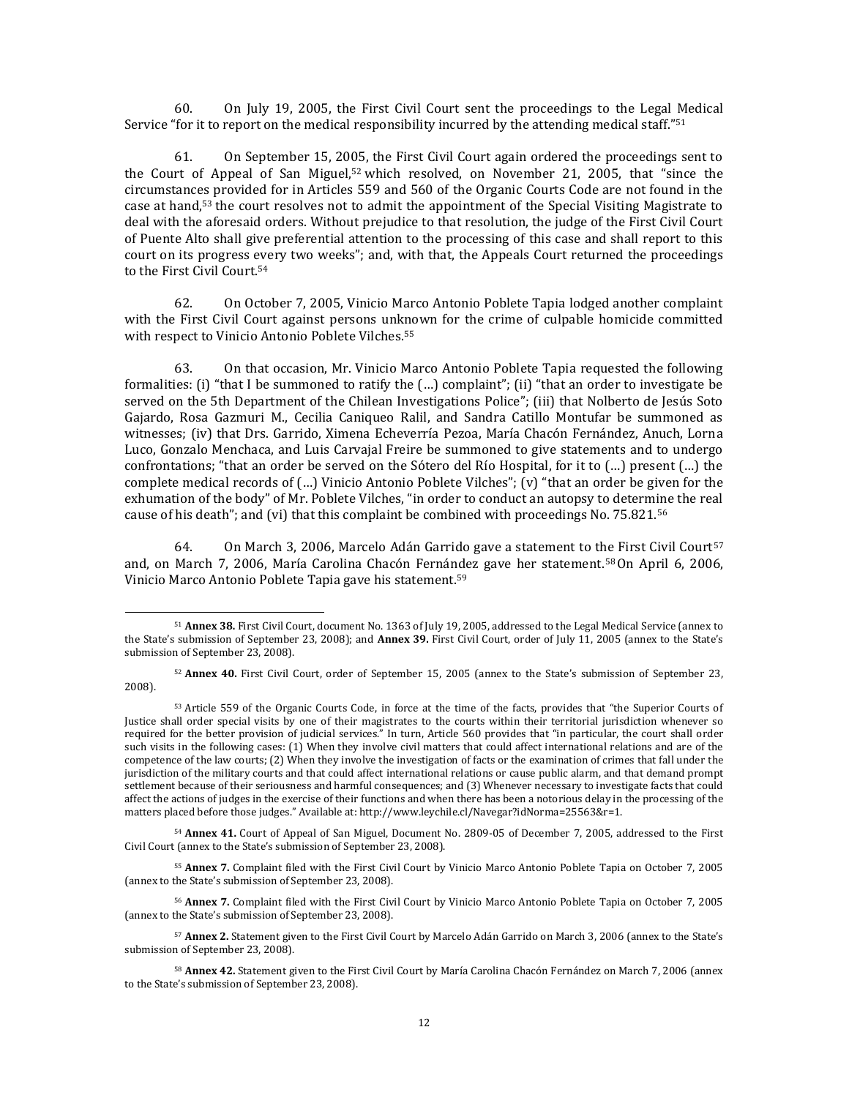60. On July 19, 2005, the First Civil Court sent the proceedings to the Legal Medical Service "for it to report on the medical responsibility incurred by the attending medical staff."<sup>51</sup>

61. On September 15, 2005, the First Civil Court again ordered the proceedings sent to the Court of Appeal of San Miguel,<sup>52</sup> which resolved, on November 21, 2005, that "since the circumstances provided for in Articles 559 and 560 of the Organic Courts Code are not found in the case at hand,<sup>53</sup> the court resolves not to admit the appointment of the Special Visiting Magistrate to deal with the aforesaid orders. Without prejudice to that resolution, the judge of the First Civil Court of Puente Alto shall give preferential attention to the processing of this case and shall report to this court on its progress every two weeks"; and, with that, the Appeals Court returned the proceedings to the First Civil Court.<sup>54</sup>

62. On October 7, 2005, Vinicio Marco Antonio Poblete Tapia lodged another complaint with the First Civil Court against persons unknown for the crime of culpable homicide committed with respect to Vinicio Antonio Poblete Vilches.<sup>55</sup>

63. On that occasion, Mr. Vinicio Marco Antonio Poblete Tapia requested the following formalities: (i) "that I be summoned to ratify the (…) complaint"; (ii) "that an order to investigate be served on the 5th Department of the Chilean Investigations Police"; (iii) that Nolberto de Jesús Soto Gajardo, Rosa Gazmuri M., Cecilia Caniqueo Ralil, and Sandra Catillo Montufar be summoned as witnesses; (iv) that Drs. Garrido, Ximena Echeverría Pezoa, María Chacón Fernández, Anuch, Lorna Luco, Gonzalo Menchaca, and Luis Carvajal Freire be summoned to give statements and to undergo confrontations; "that an order be served on the Sótero del Río Hospital, for it to (…) present (…) the complete medical records of (…) Vinicio Antonio Poblete Vilches"; (v) "that an order be given for the exhumation of the body" of Mr. Poblete Vilches, "in order to conduct an autopsy to determine the real cause of his death"; and (vi) that this complaint be combined with proceedings No. 75.821.<sup>56</sup>

64. On March 3, 2006, Marcelo Adán Garrido gave a statement to the First Civil Court<sup>57</sup> and, on March 7, 2006, María Carolina Chacón Fernández gave her statement.58On April 6, 2006, Vinicio Marco Antonio Poblete Tapia gave his statement.<sup>59</sup>

l

<sup>54</sup> **Annex 41.** Court of Appeal of San Miguel, Document No. 2809-05 of December 7, 2005, addressed to the First Civil Court (annex to the State's submission of September 23, 2008).

<sup>55</sup> **Annex 7.** Complaint filed with the First Civil Court by Vinicio Marco Antonio Poblete Tapia on October 7, 2005 (annex to the State's submission of September 23, 2008).

<sup>56</sup> **Annex 7.** Complaint filed with the First Civil Court by Vinicio Marco Antonio Poblete Tapia on October 7, 2005 (annex to the State's submission of September 23, 2008).

<sup>57</sup> **Annex 2.** Statement given to the First Civil Court by Marcelo Adán Garrido on March 3, 2006 (annex to the State's submission of September 23, 2008).

<sup>58</sup> **Annex 42.** Statement given to the First Civil Court by María Carolina Chacón Fernández on March 7, 2006 (annex to the State's submission of September 23, 2008).

<sup>51</sup> **Annex 38.** First Civil Court, document No. 1363 of July 19, 2005, addressed to the Legal Medical Service (annex to the State's submission of September 23, 2008); and **Annex 39.** First Civil Court, order of July 11, 2005 (annex to the State's submission of September 23, 2008).

<sup>52</sup> **Annex 40.** First Civil Court, order of September 15, 2005 (annex to the State's submission of September 23, 2008).

<sup>53</sup> Article 559 of the Organic Courts Code, in force at the time of the facts, provides that "the Superior Courts of Justice shall order special visits by one of their magistrates to the courts within their territorial jurisdiction whenever so required for the better provision of judicial services." In turn, Article 560 provides that "in particular, the court shall order such visits in the following cases: (1) When they involve civil matters that could affect international relations and are of the competence of the law courts; (2) When they involve the investigation of facts or the examination of crimes that fall under the jurisdiction of the military courts and that could affect international relations or cause public alarm, and that demand prompt settlement because of their seriousness and harmful consequences; and (3) Whenever necessary to investigate facts that could affect the actions of judges in the exercise of their functions and when there has been a notorious delay in the processing of the matters placed before those judges." Available at: http://www.leychile.cl/Navegar?idNorma=25563&r=1.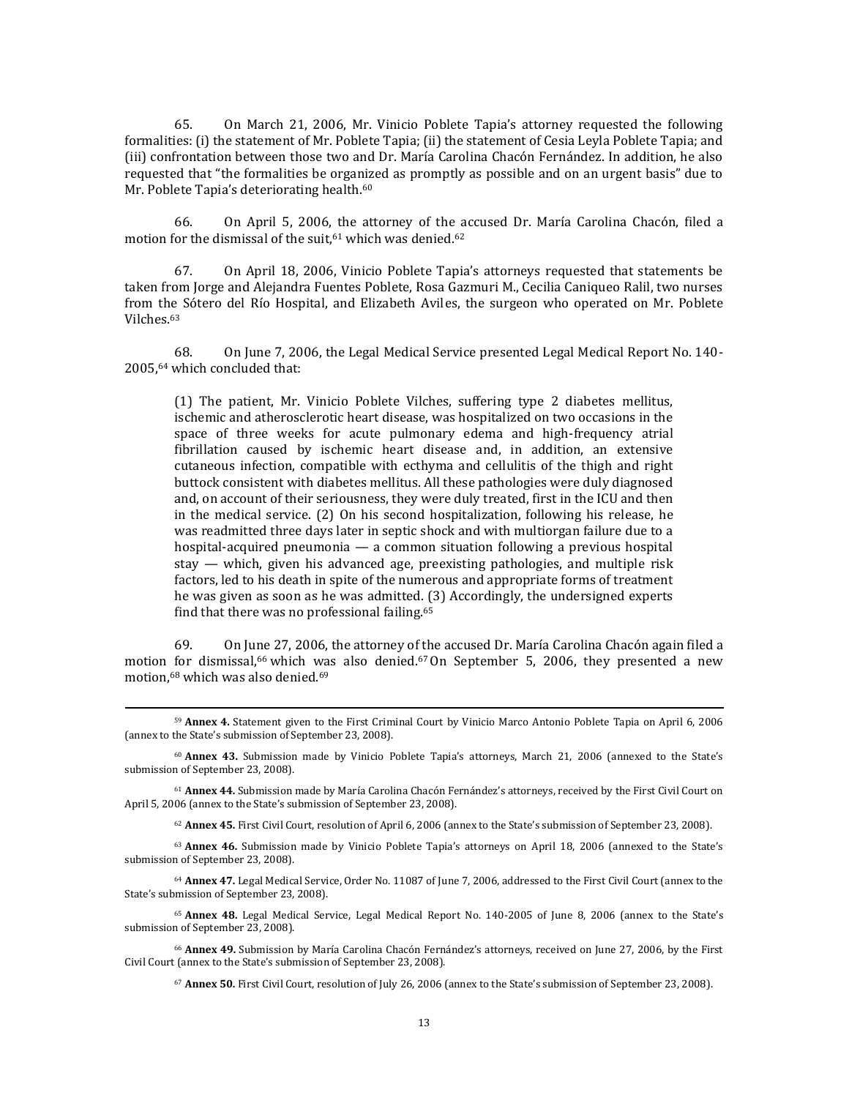65. On March 21, 2006, Mr. Vinicio Poblete Tapia's attorney requested the following formalities: (i) the statement of Mr. Poblete Tapia; (ii) the statement of Cesia Leyla Poblete Tapia; and (iii) confrontation between those two and Dr. María Carolina Chacón Fernández. In addition, he also requested that "the formalities be organized as promptly as possible and on an urgent basis" due to Mr. Poblete Tapia's deteriorating health.<sup>60</sup>

66. On April 5, 2006, the attorney of the accused Dr. María Carolina Chacón, filed a motion for the dismissal of the suit.<sup>61</sup> which was denied.<sup>62</sup>

67. On April 18, 2006, Vinicio Poblete Tapia's attorneys requested that statements be taken from Jorge and Alejandra Fuentes Poblete, Rosa Gazmuri M., Cecilia Caniqueo Ralil, two nurses from the Sótero del Río Hospital, and Elizabeth Aviles, the surgeon who operated on Mr. Poblete Vilches.<sup>63</sup>

68. On June 7, 2006, the Legal Medical Service presented Legal Medical Report No. 140- 2005,<sup>64</sup> which concluded that:

(1) The patient, Mr. Vinicio Poblete Vilches, suffering type 2 diabetes mellitus, ischemic and atherosclerotic heart disease, was hospitalized on two occasions in the space of three weeks for acute pulmonary edema and high-frequency atrial fibrillation caused by ischemic heart disease and, in addition, an extensive cutaneous infection, compatible with ecthyma and cellulitis of the thigh and right buttock consistent with diabetes mellitus. All these pathologies were duly diagnosed and, on account of their seriousness, they were duly treated, first in the ICU and then in the medical service. (2) On his second hospitalization, following his release, he was readmitted three days later in septic shock and with multiorgan failure due to a hospital-acquired pneumonia — a common situation following a previous hospital stay — which, given his advanced age, preexisting pathologies, and multiple risk factors, led to his death in spite of the numerous and appropriate forms of treatment he was given as soon as he was admitted. (3) Accordingly, the undersigned experts find that there was no professional failing.<sup>65</sup>

69. On June 27, 2006, the attorney of the accused Dr. María Carolina Chacón again filed a motion for dismissal,<sup>66</sup> which was also denied.<sup>67</sup> On September 5, 2006, they presented a new motion,<sup>68</sup> which was also denied.<sup>69</sup>

l

<sup>61</sup> **Annex 44.** Submission made by María Carolina Chacón Fernández's attorneys, received by the First Civil Court on April 5, 2006 (annex to the State's submission of September 23, 2008).

<sup>62</sup> **Annex 45.** First Civil Court, resolution of April 6, 2006 (annex to the State's submission of September 23, 2008).

<sup>63</sup> **Annex 46.** Submission made by Vinicio Poblete Tapia's attorneys on April 18, 2006 (annexed to the State's submission of September 23, 2008).

<sup>64</sup> **Annex 47.** Legal Medical Service, Order No. 11087 of June 7, 2006, addressed to the First Civil Court (annex to the State's submission of September 23, 2008).

<sup>65</sup> **Annex 48.** Legal Medical Service, Legal Medical Report No. 140-2005 of June 8, 2006 (annex to the State's submission of September 23, 2008).

<sup>66</sup> **Annex 49.** Submission by María Carolina Chacón Fernández's attorneys, received on June 27, 2006, by the First Civil Court (annex to the State's submission of September 23, 2008).

<sup>67</sup> **Annex 50.** First Civil Court, resolution of July 26, 2006 (annex to the State's submission of September 23, 2008).

<sup>59</sup> **Annex 4.** Statement given to the First Criminal Court by Vinicio Marco Antonio Poblete Tapia on April 6, 2006 (annex to the State's submission of September 23, 2008).

<sup>60</sup> **Annex 43.** Submission made by Vinicio Poblete Tapia's attorneys, March 21, 2006 (annexed to the State's submission of September 23, 2008).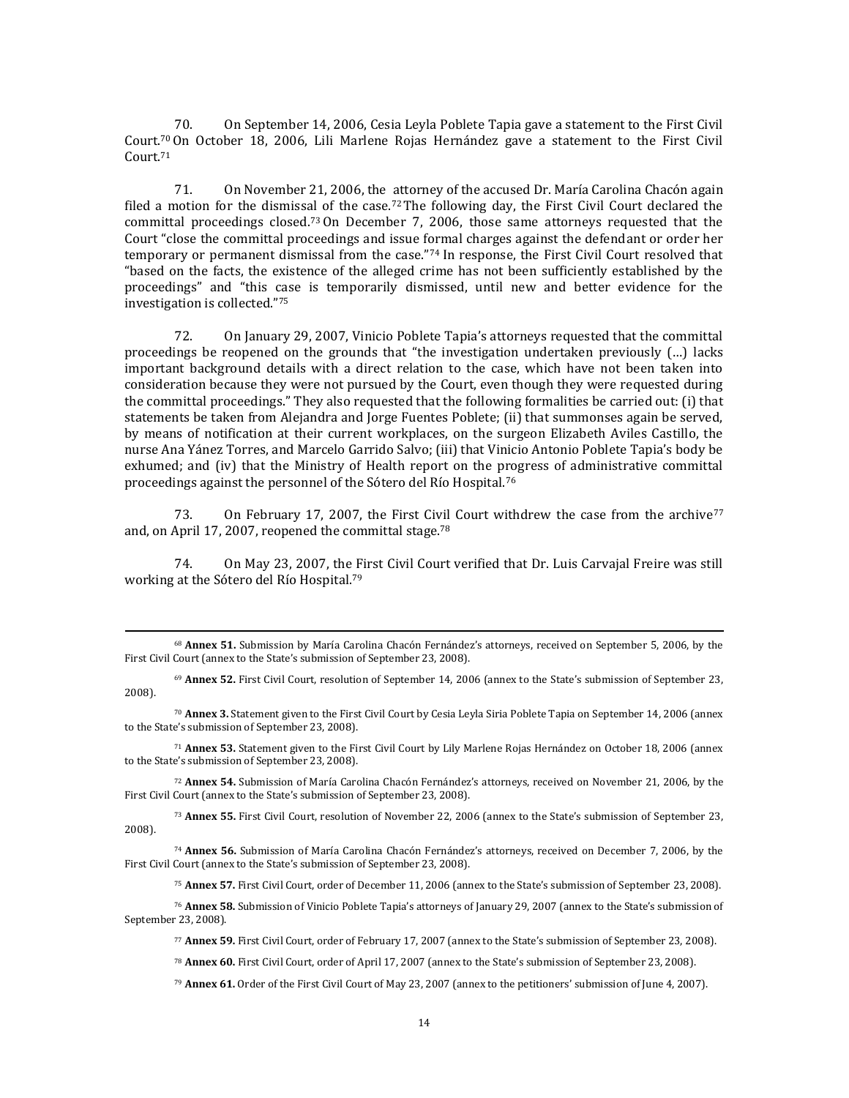70. On September 14, 2006, Cesia Leyla Poblete Tapia gave a statement to the First Civil Court.<sup>70</sup> On October 18, 2006, Lili Marlene Rojas Hernández gave a statement to the First Civil Court.<sup>71</sup>

71. On November 21, 2006, the attorney of the accused Dr. María Carolina Chacón again filed a motion for the dismissal of the case.<sup>72</sup>The following day, the First Civil Court declared the committal proceedings closed.73On December 7, 2006, those same attorneys requested that the Court "close the committal proceedings and issue formal charges against the defendant or order her temporary or permanent dismissal from the case."<sup>74</sup> In response, the First Civil Court resolved that "based on the facts, the existence of the alleged crime has not been sufficiently established by the proceedings" and "this case is temporarily dismissed, until new and better evidence for the investigation is collected."<sup>75</sup>

72. On January 29, 2007, Vinicio Poblete Tapia's attorneys requested that the committal proceedings be reopened on the grounds that "the investigation undertaken previously (…) lacks important background details with a direct relation to the case, which have not been taken into consideration because they were not pursued by the Court, even though they were requested during the committal proceedings." They also requested that the following formalities be carried out: (i) that statements be taken from Alejandra and Jorge Fuentes Poblete; (ii) that summonses again be served, by means of notification at their current workplaces, on the surgeon Elizabeth Aviles Castillo, the nurse Ana Yánez Torres, and Marcelo Garrido Salvo; (iii) that Vinicio Antonio Poblete Tapia's body be exhumed; and (iv) that the Ministry of Health report on the progress of administrative committal proceedings against the personnel of the Sótero del Río Hospital.<sup>76</sup>

73. On February 17, 2007, the First Civil Court withdrew the case from the archive<sup>77</sup> and, on April 17, 2007, reopened the committal stage.<sup>78</sup>

74. On May 23, 2007, the First Civil Court verified that Dr. Luis Carvajal Freire was still working at the Sótero del Río Hospital.<sup>79</sup>

 $\overline{\phantom{a}}$ 

<sup>69</sup> **Annex 52.** First Civil Court, resolution of September 14, 2006 (annex to the State's submission of September 23, 2008).

<sup>70</sup> **Annex 3.** Statement given to the First Civil Court by Cesia Leyla Siria Poblete Tapia on September 14, 2006 (annex to the State's submission of September 23, 2008).

<sup>71</sup> **Annex 53.** Statement given to the First Civil Court by Lily Marlene Rojas Hernández on October 18, 2006 (annex to the State's submission of September 23, 2008).

<sup>72</sup> **Annex 54.** Submission of María Carolina Chacón Fernández's attorneys, received on November 21, 2006, by the First Civil Court (annex to the State's submission of September 23, 2008).

<sup>73</sup> **Annex 55.** First Civil Court, resolution of November 22, 2006 (annex to the State's submission of September 23, 2008).

<sup>74</sup> **Annex 56.** Submission of María Carolina Chacón Fernández's attorneys, received on December 7, 2006, by the First Civil Court (annex to the State's submission of September 23, 2008).

<sup>75</sup> **Annex 57.** First Civil Court, order of December 11, 2006 (annex to the State's submission of September 23, 2008).

<sup>76</sup> **Annex 58.** Submission of Vinicio Poblete Tapia's attorneys of January 29, 2007 (annex to the State's submission of September 23, 2008).

<sup>77</sup> **Annex 59.** First Civil Court, order of February 17, 2007 (annex to the State's submission of September 23, 2008).

<sup>78</sup> **Annex 60.** First Civil Court, order of April 17, 2007 (annex to the State's submission of September 23, 2008).

<sup>79</sup> **Annex 61.** Order of the First Civil Court of May 23, 2007 (annex to the petitioners' submission of June 4, 2007).

<sup>68</sup> **Annex 51.** Submission by María Carolina Chacón Fernández's attorneys, received on September 5, 2006, by the First Civil Court (annex to the State's submission of September 23, 2008).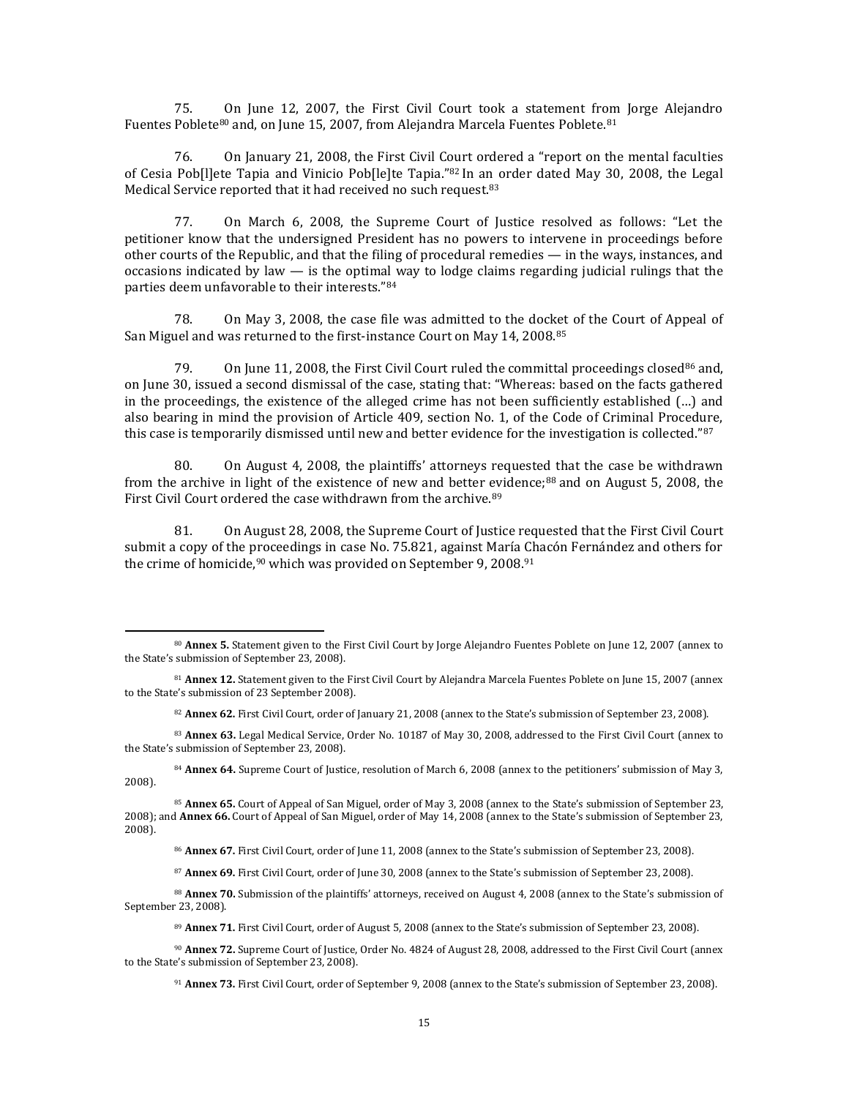75. On June 12, 2007, the First Civil Court took a statement from Jorge Alejandro Fuentes Poblete<sup>80</sup> and, on June 15, 2007, from Alejandra Marcela Fuentes Poblete.<sup>81</sup>

76. On January 21, 2008, the First Civil Court ordered a "report on the mental faculties of Cesia Pob[l]ete Tapia and Vinicio Pob[le]te Tapia."<sup>82</sup> In an order dated May 30, 2008, the Legal Medical Service reported that it had received no such request.<sup>83</sup>

77. On March 6, 2008, the Supreme Court of Justice resolved as follows: "Let the petitioner know that the undersigned President has no powers to intervene in proceedings before other courts of the Republic, and that the filing of procedural remedies — in the ways, instances, and occasions indicated by law  $-$  is the optimal way to lodge claims regarding judicial rulings that the parties deem unfavorable to their interests."<sup>84</sup>

78. On May 3, 2008, the case file was admitted to the docket of the Court of Appeal of San Miguel and was returned to the first-instance Court on May 14, 2008.<sup>85</sup>

79. On June 11, 2008, the First Civil Court ruled the committal proceedings closed<sup>86</sup> and. on June 30, issued a second dismissal of the case, stating that: "Whereas: based on the facts gathered in the proceedings, the existence of the alleged crime has not been sufficiently established (…) and also bearing in mind the provision of Article 409, section No. 1, of the Code of Criminal Procedure, this case is temporarily dismissed until new and better evidence for the investigation is collected."87

80. On August 4, 2008, the plaintiffs' attorneys requested that the case be withdrawn from the archive in light of the existence of new and better evidence; $88$  and on August 5, 2008, the First Civil Court ordered the case withdrawn from the archive.<sup>89</sup>

81. On August 28, 2008, the Supreme Court of Justice requested that the First Civil Court submit a copy of the proceedings in case No. 75.821, against María Chacón Fernández and others for the crime of homicide,  $90$  which was provided on September 9, 2008.  $91$ 

 $\overline{\phantom{a}}$ 

<sup>82</sup> **Annex 62.** First Civil Court, order of January 21, 2008 (annex to the State's submission of September 23, 2008).

<sup>84</sup> **Annex 64.** Supreme Court of Justice, resolution of March 6, 2008 (annex to the petitioners' submission of May 3, 2008).

<sup>85</sup> **Annex 65.** Court of Appeal of San Miguel, order of May 3, 2008 (annex to the State's submission of September 23, 2008); and **Annex 66.** Court of Appeal of San Miguel, order of May 14, 2008 (annex to the State's submission of September 23, 2008).

<sup>86</sup> **Annex 67.** First Civil Court, order of June 11, 2008 (annex to the State's submission of September 23, 2008).

<sup>87</sup> **Annex 69.** First Civil Court, order of June 30, 2008 (annex to the State's submission of September 23, 2008).

88 **Annex 70.** Submission of the plaintiffs' attorneys, received on August 4, 2008 (annex to the State's submission of September 23, 2008).

<sup>89</sup> **Annex 71.** First Civil Court, order of August 5, 2008 (annex to the State's submission of September 23, 2008).

<sup>90</sup> **Annex 72.** Supreme Court of Justice, Order No. 4824 of August 28, 2008, addressed to the First Civil Court (annex to the State's submission of September 23, 2008).

<sup>80</sup> **Annex 5.** Statement given to the First Civil Court by Jorge Alejandro Fuentes Poblete on June 12, 2007 (annex to the State's submission of September 23, 2008).

<sup>81</sup> **Annex 12.** Statement given to the First Civil Court by Alejandra Marcela Fuentes Poblete on June 15, 2007 (annex to the State's submission of 23 September 2008).

<sup>83</sup> **Annex 63.** Legal Medical Service, Order No. 10187 of May 30, 2008, addressed to the First Civil Court (annex to the State's submission of September 23, 2008).

<sup>91</sup> **Annex 73.** First Civil Court, order of September 9, 2008 (annex to the State's submission of September 23, 2008).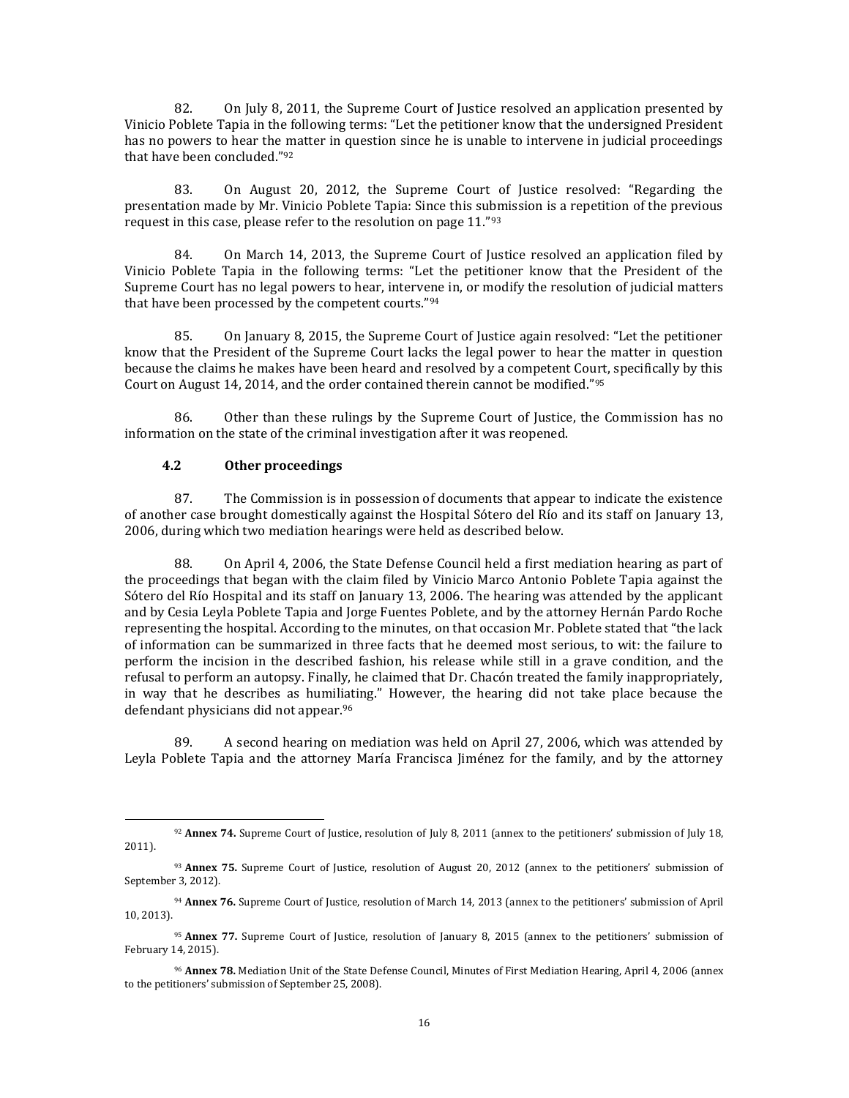82. On July 8, 2011, the Supreme Court of Justice resolved an application presented by Vinicio Poblete Tapia in the following terms: "Let the petitioner know that the undersigned President has no powers to hear the matter in question since he is unable to intervene in judicial proceedings that have been concluded."<sup>92</sup>

83. On August 20, 2012, the Supreme Court of Justice resolved: "Regarding the presentation made by Mr. Vinicio Poblete Tapia: Since this submission is a repetition of the previous request in this case, please refer to the resolution on page 11."<sup>93</sup>

84. On March 14, 2013, the Supreme Court of Justice resolved an application filed by Vinicio Poblete Tapia in the following terms: "Let the petitioner know that the President of the Supreme Court has no legal powers to hear, intervene in, or modify the resolution of judicial matters that have been processed by the competent courts."<sup>94</sup>

85. On January 8, 2015, the Supreme Court of Justice again resolved: "Let the petitioner know that the President of the Supreme Court lacks the legal power to hear the matter in question because the claims he makes have been heard and resolved by a competent Court, specifically by this Court on August 14, 2014, and the order contained therein cannot be modified."<sup>95</sup>

86. Other than these rulings by the Supreme Court of Justice, the Commission has no information on the state of the criminal investigation after it was reopened.

## **4.2 Other proceedings**

l

87. The Commission is in possession of documents that appear to indicate the existence of another case brought domestically against the Hospital Sótero del Río and its staff on January 13, 2006, during which two mediation hearings were held as described below.

88. On April 4, 2006, the State Defense Council held a first mediation hearing as part of the proceedings that began with the claim filed by Vinicio Marco Antonio Poblete Tapia against the Sótero del Río Hospital and its staff on January 13, 2006. The hearing was attended by the applicant and by Cesia Leyla Poblete Tapia and Jorge Fuentes Poblete, and by the attorney Hernán Pardo Roche representing the hospital. According to the minutes, on that occasion Mr. Poblete stated that "the lack of information can be summarized in three facts that he deemed most serious, to wit: the failure to perform the incision in the described fashion, his release while still in a grave condition, and the refusal to perform an autopsy. Finally, he claimed that Dr. Chacón treated the family inappropriately, in way that he describes as humiliating." However, the hearing did not take place because the defendant physicians did not appear.<sup>96</sup>

89. A second hearing on mediation was held on April 27, 2006, which was attended by Leyla Poblete Tapia and the attorney María Francisca Jiménez for the family, and by the attorney

<sup>92</sup> **Annex 74.** Supreme Court of Justice, resolution of July 8, 2011 (annex to the petitioners' submission of July 18, 2011).

<sup>93</sup> **Annex 75.** Supreme Court of Justice, resolution of August 20, 2012 (annex to the petitioners' submission of September 3, 2012).

<sup>94</sup> **Annex 76.** Supreme Court of Justice, resolution of March 14, 2013 (annex to the petitioners' submission of April 10, 2013).

<sup>95</sup> **Annex 77.** Supreme Court of Justice, resolution of January 8, 2015 (annex to the petitioners' submission of February 14, 2015).

<sup>96</sup> **Annex 78.** Mediation Unit of the State Defense Council, Minutes of First Mediation Hearing, April 4, 2006 (annex to the petitioners' submission of September 25, 2008).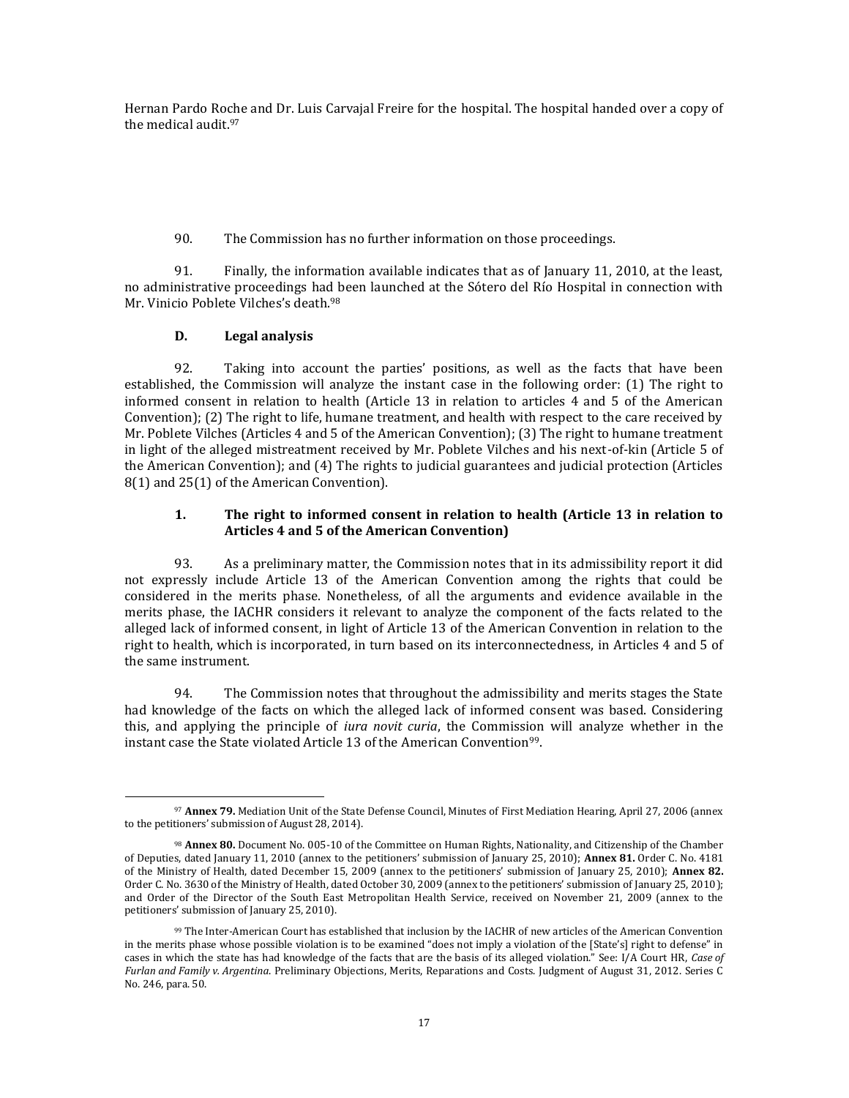Hernan Pardo Roche and Dr. Luis Carvajal Freire for the hospital. The hospital handed over a copy of the medical audit.<sup>97</sup>

90. The Commission has no further information on those proceedings.

91. Finally, the information available indicates that as of January 11, 2010, at the least, no administrative proceedings had been launched at the Sótero del Río Hospital in connection with Mr. Vinicio Poblete Vilches's death.<sup>98</sup>

# **D. Legal analysis**

92. Taking into account the parties' positions, as well as the facts that have been established, the Commission will analyze the instant case in the following order: (1) The right to informed consent in relation to health (Article 13 in relation to articles 4 and 5 of the American Convention); (2) The right to life, humane treatment, and health with respect to the care received by Mr. Poblete Vilches (Articles 4 and 5 of the American Convention); (3) The right to humane treatment in light of the alleged mistreatment received by Mr. Poblete Vilches and his next-of-kin (Article 5 of the American Convention); and (4) The rights to judicial guarantees and judicial protection (Articles 8(1) and 25(1) of the American Convention).

# **1. The right to informed consent in relation to health (Article 13 in relation to Articles 4 and 5 of the American Convention)**

93. As a preliminary matter, the Commission notes that in its admissibility report it did not expressly include Article 13 of the American Convention among the rights that could be considered in the merits phase. Nonetheless, of all the arguments and evidence available in the merits phase, the IACHR considers it relevant to analyze the component of the facts related to the alleged lack of informed consent, in light of Article 13 of the American Convention in relation to the right to health, which is incorporated, in turn based on its interconnectedness, in Articles 4 and 5 of the same instrument.

94. The Commission notes that throughout the admissibility and merits stages the State had knowledge of the facts on which the alleged lack of informed consent was based. Considering this, and applying the principle of *iura novit curia*, the Commission will analyze whether in the instant case the State violated Article 13 of the American Convention<sup>99</sup>.

 $\overline{\phantom{a}}$ <sup>97</sup> **Annex 79.** Mediation Unit of the State Defense Council, Minutes of First Mediation Hearing, April 27, 2006 (annex to the petitioners' submission of August 28, 2014).

<sup>98</sup> **Annex 80.** Document No. 005-10 of the Committee on Human Rights, Nationality, and Citizenship of the Chamber of Deputies, dated January 11, 2010 (annex to the petitioners' submission of January 25, 2010); **Annex 81.** Order C. No. 4181 of the Ministry of Health, dated December 15, 2009 (annex to the petitioners' submission of January 25, 2010); **Annex 82.**  Order C. No. 3630 of the Ministry of Health, dated October 30, 2009 (annex to the petitioners' submission of January 25, 2010); and Order of the Director of the South East Metropolitan Health Service, received on November 21, 2009 (annex to the petitioners' submission of January 25, 2010).

<sup>99</sup> The Inter-American Court has established that inclusion by the IACHR of new articles of the American Convention in the merits phase whose possible violation is to be examined "does not imply a violation of the [State's] right to defense" in cases in which the state has had knowledge of the facts that are the basis of its alleged violation." See: I/A Court HR, *Case of Furlan and Family v. Argentina*. Preliminary Objections, Merits, Reparations and Costs. Judgment of August 31, 2012. Series C No. 246, para. 50.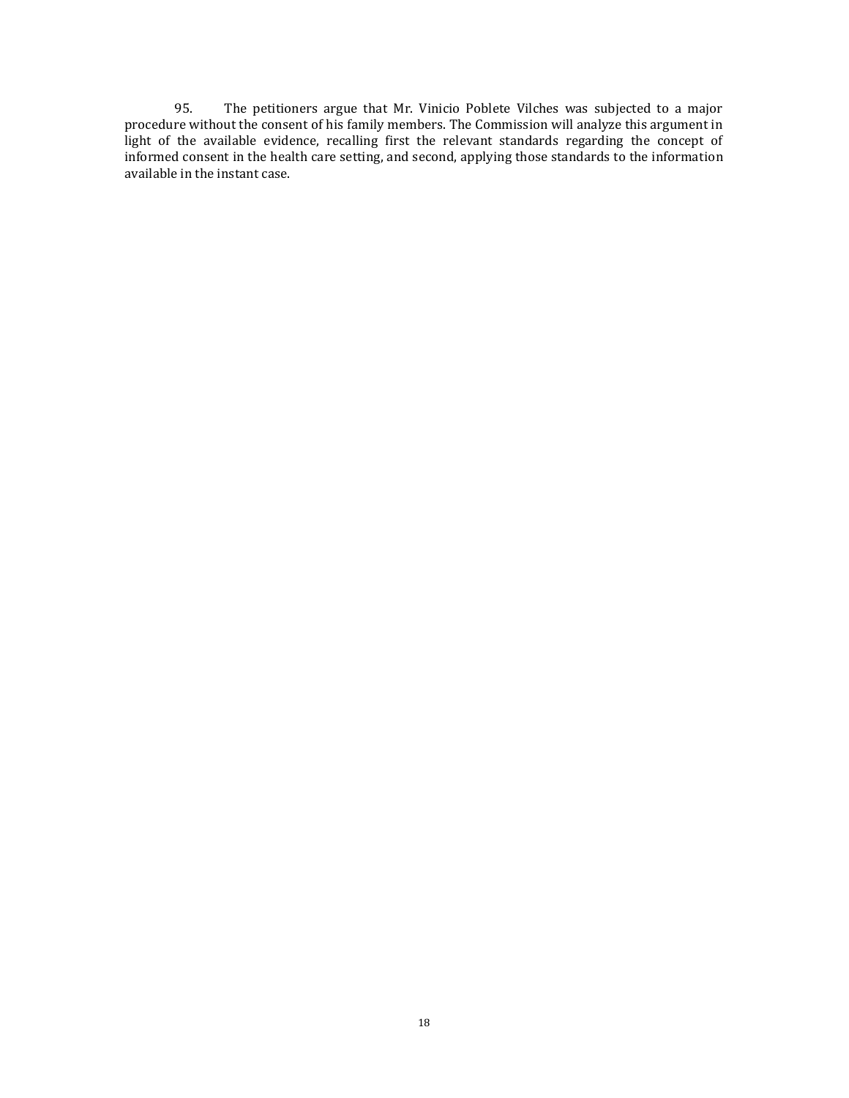95. The petitioners argue that Mr. Vinicio Poblete Vilches was subjected to a major procedure without the consent of his family members. The Commission will analyze this argument in light of the available evidence, recalling first the relevant standards regarding the concept of informed consent in the health care setting, and second, applying those standards to the information available in the instant case.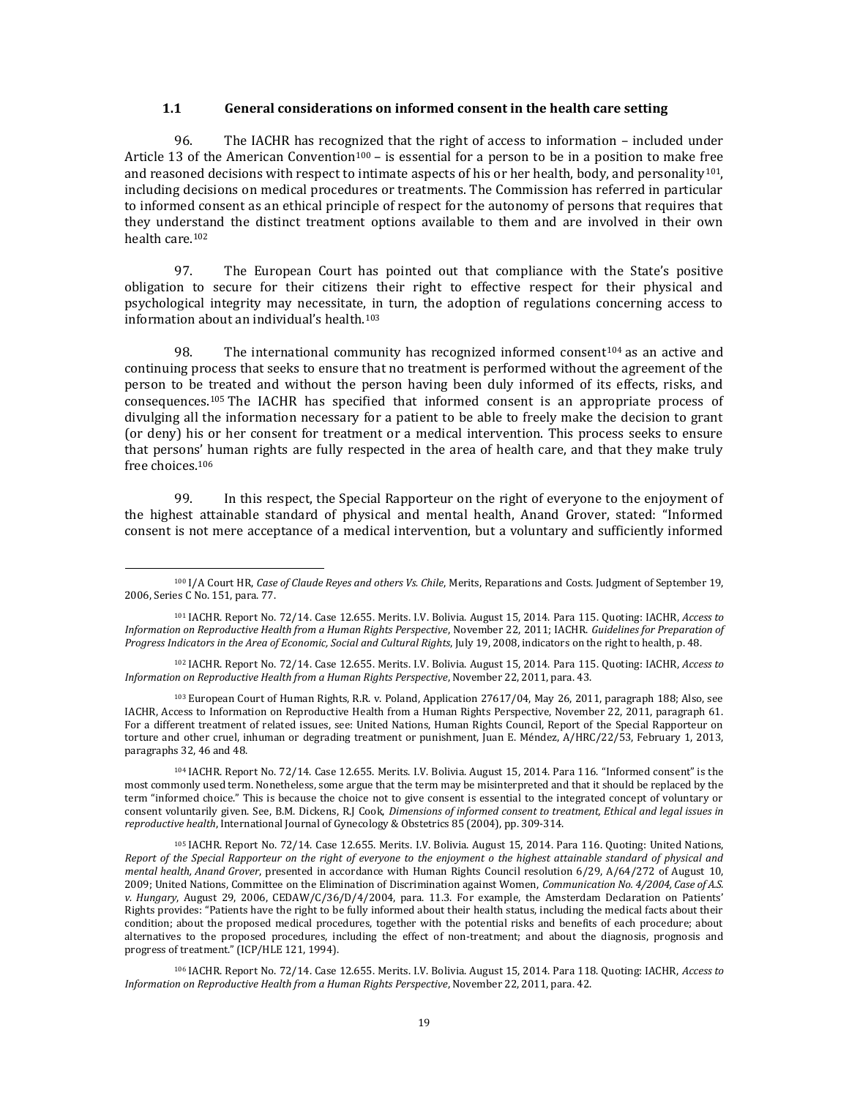#### **1.1 General considerations on informed consent in the health care setting**

96. The IACHR has recognized that the right of access to information – included under Article 13 of the American Convention<sup>100</sup> – is essential for a person to be in a position to make free and reasoned decisions with respect to intimate aspects of his or her health, body, and personality<sup>101</sup>, including decisions on medical procedures or treatments. The Commission has referred in particular to informed consent as an ethical principle of respect for the autonomy of persons that requires that they understand the distinct treatment options available to them and are involved in their own health care.<sup>102</sup>

97. The European Court has pointed out that compliance with the State's positive obligation to secure for their citizens their right to effective respect for their physical and psychological integrity may necessitate, in turn, the adoption of regulations concerning access to information about an individual's health.<sup>103</sup>

98. The international community has recognized informed consent<sup>104</sup> as an active and continuing process that seeks to ensure that no treatment is performed without the agreement of the person to be treated and without the person having been duly informed of its effects, risks, and consequences.<sup>105</sup> The IACHR has specified that informed consent is an appropriate process of divulging all the information necessary for a patient to be able to freely make the decision to grant (or deny) his or her consent for treatment or a medical intervention. This process seeks to ensure that persons' human rights are fully respected in the area of health care, and that they make truly free choices.<sup>106</sup>

99. In this respect, the Special Rapporteur on the right of everyone to the enjoyment of the highest attainable standard of physical and mental health, Anand Grover, stated: "Informed consent is not mere acceptance of a medical intervention, but a voluntary and sufficiently informed

 $\overline{\phantom{a}}$ 

<sup>103</sup> European Court of Human Rights, R.R. v. Poland, Application 27617/04, May 26, 2011, paragraph 188; Also, see IACHR, Access to Information on Reproductive Health from a Human Rights Perspective, November 22, 2011, paragraph 61. For a different treatment of related issues, see: United Nations, Human Rights Council, Report of the Special Rapporteur on torture and other cruel, inhuman or degrading treatment or punishment, Juan E. Méndez, A/HRC/22/53, February 1, 2013, paragraphs 32, 46 and 48.

<sup>104</sup> IACHR. Report No. 72/14. Case 12.655. Merits. I.V. Bolivia. August 15, 2014. Para 116. "Informed consent" is the most commonly used term. Nonetheless, some argue that the term may be misinterpreted and that it should be replaced by the term "informed choice." This is because the choice not to give consent is essential to the integrated concept of voluntary or consent voluntarily given. See, B.M. Dickens, R.J Cook, *Dimensions of informed consent to treatment, Ethical and legal issues in reproductive health*, International Journal of Gynecology & Obstetrics 85 (2004), pp. 309‐314.

<sup>105</sup> IACHR. Report No. 72/14. Case 12.655. Merits. I.V. Bolivia. August 15, 2014. Para 116. Quoting: United Nations, *Report of the Special Rapporteur on the right of everyone to the enjoyment o the highest attainable standard of physical and mental health, Anand Grover*, presented in accordance with Human Rights Council resolution 6/29, A/64/272 of August 10, 2009; United Nations, Committee on the Elimination of Discrimination against Women, *Communication No. 4/2004, Case of A.S. v. Hungary*, August 29, 2006, CEDAW/C/36/D/4/2004, para. 11.3. For example, the Amsterdam Declaration on Patients' Rights provides: "Patients have the right to be fully informed about their health status, including the medical facts about their condition; about the proposed medical procedures, together with the potential risks and benefits of each procedure; about alternatives to the proposed procedures, including the effect of non-treatment; and about the diagnosis, prognosis and progress of treatment." (ICP/HLE 121, 1994).

<sup>106</sup> IACHR. Report No. 72/14. Case 12.655. Merits. I.V. Bolivia. August 15, 2014. Para 118. Quoting: IACHR, *Access to Information on Reproductive Health from a Human Rights Perspective*, November 22, 2011, para. 42.

<sup>100</sup> I/A Court HR, *Case of Claude Reyes and others Vs. Chile*, Merits, Reparations and Costs. Judgment of September 19, 2006, Series C No. 151, para. 77.

<sup>101</sup> IACHR. Report No. 72/14. Case 12.655. Merits. I.V. Bolivia. August 15, 2014. Para 115. Quoting: IACHR, *Access to Information on Reproductive Health from a Human Rights Perspective*, November 22, 2011; IACHR. *Guidelines for Preparation of Progress Indicators in the Area of Economic, Social and Cultural Rights*, July 19, 2008, indicators on the right to health, p. 48.

<sup>102</sup> IACHR. Report No. 72/14. Case 12.655. Merits. I.V. Bolivia. August 15, 2014. Para 115. Quoting: IACHR, *Access to Information on Reproductive Health from a Human Rights Perspective*, November 22, 2011, para. 43.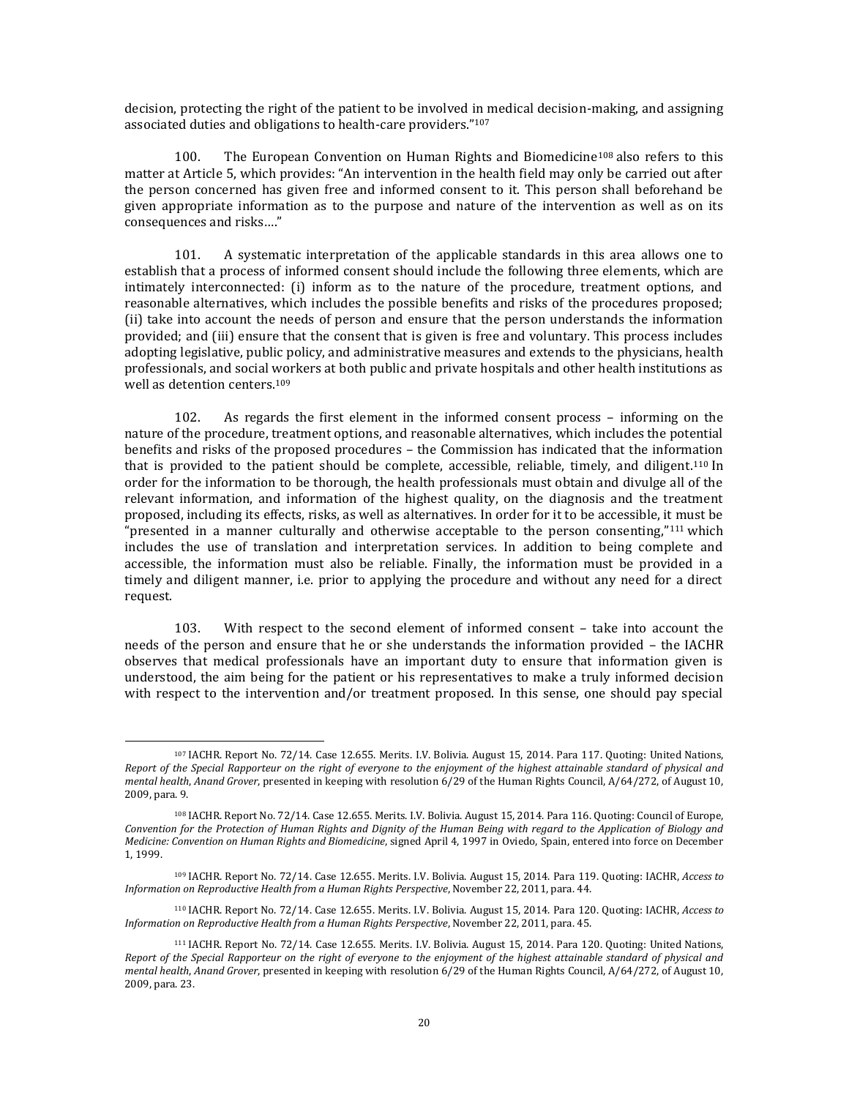decision, protecting the right of the patient to be involved in medical decision-making, and assigning associated duties and obligations to health-care providers."<sup>107</sup>

100. The European Convention on Human Rights and Biomedicine<sup>108</sup> also refers to this matter at Article 5, which provides: "An intervention in the health field may only be carried out after the person concerned has given free and informed consent to it. This person shall beforehand be given appropriate information as to the purpose and nature of the intervention as well as on its consequences and risks…."

101. A systematic interpretation of the applicable standards in this area allows one to establish that a process of informed consent should include the following three elements, which are intimately interconnected: (i) inform as to the nature of the procedure, treatment options, and reasonable alternatives, which includes the possible benefits and risks of the procedures proposed; (ii) take into account the needs of person and ensure that the person understands the information provided; and (iii) ensure that the consent that is given is free and voluntary. This process includes adopting legislative, public policy, and administrative measures and extends to the physicians, health professionals, and social workers at both public and private hospitals and other health institutions as well as detention centers.<sup>109</sup>

102. As regards the first element in the informed consent process – informing on the nature of the procedure, treatment options, and reasonable alternatives, which includes the potential benefits and risks of the proposed procedures – the Commission has indicated that the information that is provided to the patient should be complete, accessible, reliable, timely, and diligent.<sup>110</sup> In order for the information to be thorough, the health professionals must obtain and divulge all of the relevant information, and information of the highest quality, on the diagnosis and the treatment proposed, including its effects, risks, as well as alternatives. In order for it to be accessible, it must be "presented in a manner culturally and otherwise acceptable to the person consenting,"<sup>111</sup> which includes the use of translation and interpretation services. In addition to being complete and accessible, the information must also be reliable. Finally, the information must be provided in a timely and diligent manner, i.e. prior to applying the procedure and without any need for a direct request.

103. With respect to the second element of informed consent – take into account the needs of the person and ensure that he or she understands the information provided – the IACHR observes that medical professionals have an important duty to ensure that information given is understood, the aim being for the patient or his representatives to make a truly informed decision with respect to the intervention and/or treatment proposed. In this sense, one should pay special

l

<sup>107</sup> IACHR. Report No. 72/14. Case 12.655. Merits. I.V. Bolivia. August 15, 2014. Para 117. Quoting: United Nations, *Report of the Special Rapporteur on the right of everyone to the enjoyment of the highest attainable standard of physical and mental health*, *Anand Grover*, presented in keeping with resolution 6/29 of the Human Rights Council, A/64/272, of August 10, 2009, para. 9.

<sup>108</sup> IACHR. Report No. 72/14. Case 12.655. Merits. I.V. Bolivia. August 15, 2014. Para 116. Quoting: Council of Europe, *Convention for the Protection of Human Rights and Dignity of the Human Being with regard to the Application of Biology and Medicine: Convention on Human Rights and Biomedicine*, signed April 4, 1997 in Oviedo, Spain, entered into force on December 1, 1999.

<sup>109</sup> IACHR. Report No. 72/14. Case 12.655. Merits. I.V. Bolivia. August 15, 2014. Para 119. Quoting: IACHR, *Access to Information on Reproductive Health from a Human Rights Perspective*, November 22, 2011, para. 44.

<sup>110</sup> IACHR. Report No. 72/14. Case 12.655. Merits. I.V. Bolivia. August 15, 2014. Para 120. Quoting: IACHR, *Access to Information on Reproductive Health from a Human Rights Perspective*, November 22, 2011, para. 45.

<sup>111</sup> IACHR. Report No. 72/14. Case 12.655. Merits. I.V. Bolivia. August 15, 2014. Para 120. Quoting: United Nations, *Report of the Special Rapporteur on the right of everyone to the enjoyment of the highest attainable standard of physical and mental health*, *Anand Grover*, presented in keeping with resolution 6/29 of the Human Rights Council, A/64/272, of August 10, 2009, para. 23.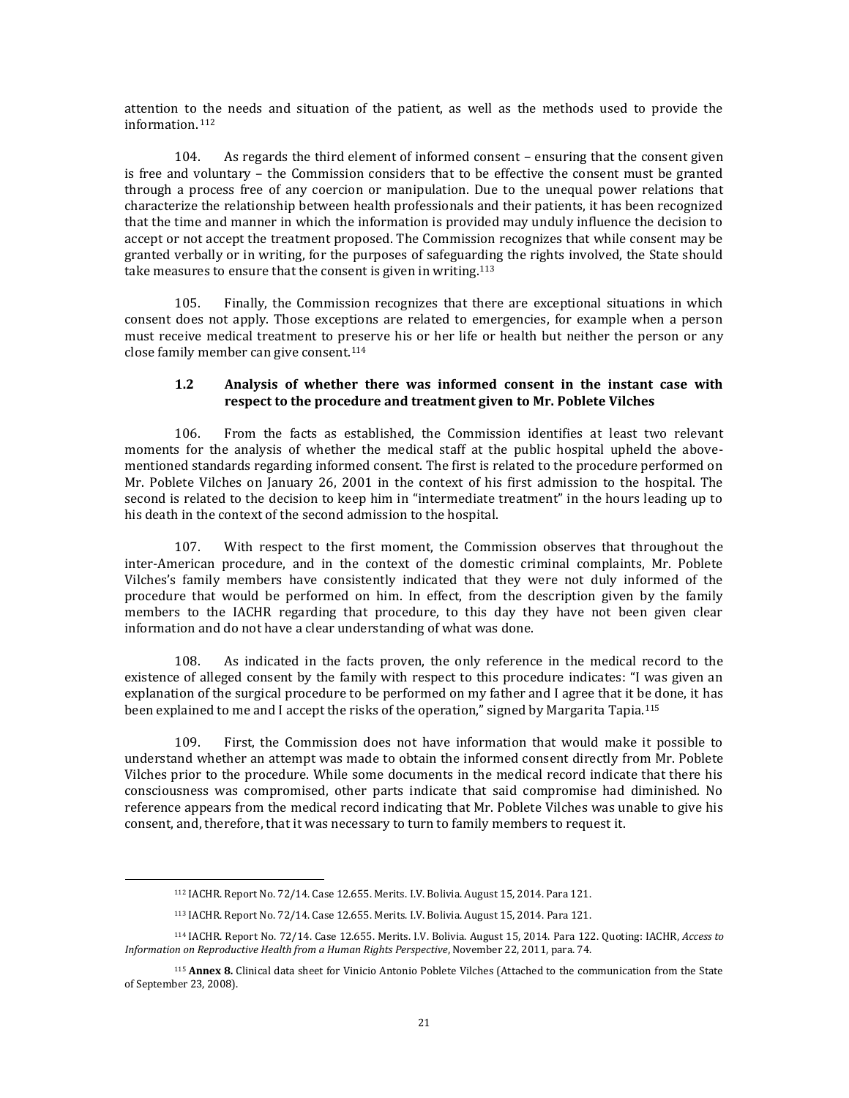attention to the needs and situation of the patient, as well as the methods used to provide the information. <sup>112</sup>

104. As regards the third element of informed consent – ensuring that the consent given is free and voluntary – the Commission considers that to be effective the consent must be granted through a process free of any coercion or manipulation. Due to the unequal power relations that characterize the relationship between health professionals and their patients, it has been recognized that the time and manner in which the information is provided may unduly influence the decision to accept or not accept the treatment proposed. The Commission recognizes that while consent may be granted verbally or in writing, for the purposes of safeguarding the rights involved, the State should take measures to ensure that the consent is given in writing.<sup>113</sup>

105. Finally, the Commission recognizes that there are exceptional situations in which consent does not apply. Those exceptions are related to emergencies, for example when a person must receive medical treatment to preserve his or her life or health but neither the person or any close family member can give consent.<sup>114</sup>

## **1.2 Analysis of whether there was informed consent in the instant case with respect to the procedure and treatment given to Mr. Poblete Vilches**

106. From the facts as established, the Commission identifies at least two relevant moments for the analysis of whether the medical staff at the public hospital upheld the abovementioned standards regarding informed consent. The first is related to the procedure performed on Mr. Poblete Vilches on January 26, 2001 in the context of his first admission to the hospital. The second is related to the decision to keep him in "intermediate treatment" in the hours leading up to his death in the context of the second admission to the hospital.

107. With respect to the first moment, the Commission observes that throughout the inter-American procedure, and in the context of the domestic criminal complaints, Mr. Poblete Vilches's family members have consistently indicated that they were not duly informed of the procedure that would be performed on him. In effect, from the description given by the family members to the IACHR regarding that procedure, to this day they have not been given clear information and do not have a clear understanding of what was done.

108. As indicated in the facts proven, the only reference in the medical record to the existence of alleged consent by the family with respect to this procedure indicates: "I was given an explanation of the surgical procedure to be performed on my father and I agree that it be done, it has been explained to me and I accept the risks of the operation," signed by Margarita Tapia.<sup>115</sup>

109. First, the Commission does not have information that would make it possible to understand whether an attempt was made to obtain the informed consent directly from Mr. Poblete Vilches prior to the procedure. While some documents in the medical record indicate that there his consciousness was compromised, other parts indicate that said compromise had diminished. No reference appears from the medical record indicating that Mr. Poblete Vilches was unable to give his consent, and, therefore, that it was necessary to turn to family members to request it.

 $\overline{\phantom{a}}$ 

<sup>112</sup> IACHR. Report No. 72/14. Case 12.655. Merits. I.V. Bolivia. August 15, 2014. Para 121.

<sup>113</sup> IACHR. Report No. 72/14. Case 12.655. Merits. I.V. Bolivia. August 15, 2014. Para 121.

<sup>114</sup> IACHR. Report No. 72/14. Case 12.655. Merits. I.V. Bolivia. August 15, 2014. Para 122. Quoting: IACHR, *Access to Information on Reproductive Health from a Human Rights Perspective*, November 22, 2011, para. 74.

<sup>115</sup> **Annex 8.** Clinical data sheet for Vinicio Antonio Poblete Vilches (Attached to the communication from the State of September 23, 2008).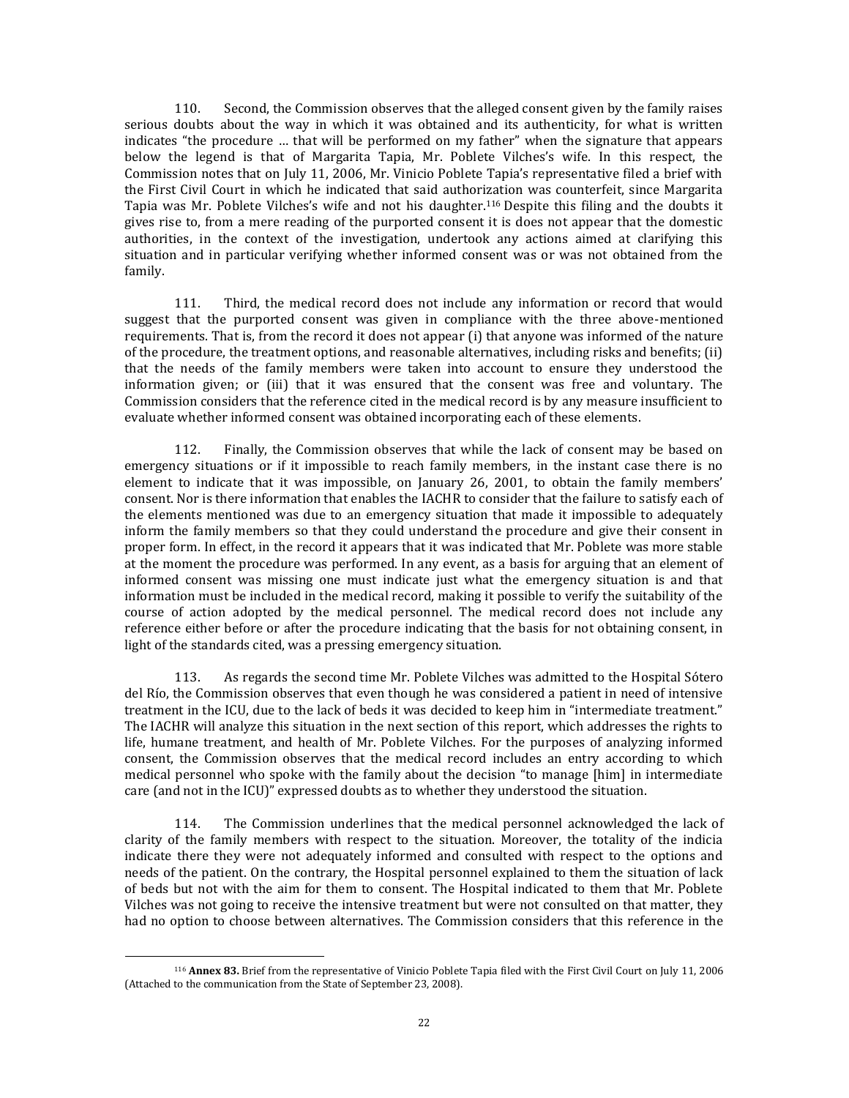110. Second, the Commission observes that the alleged consent given by the family raises serious doubts about the way in which it was obtained and its authenticity, for what is written indicates "the procedure … that will be performed on my father" when the signature that appears below the legend is that of Margarita Tapia, Mr. Poblete Vilches's wife. In this respect, the Commission notes that on July 11, 2006, Mr. Vinicio Poblete Tapia's representative filed a brief with the First Civil Court in which he indicated that said authorization was counterfeit, since Margarita Tapia was Mr. Poblete Vilches's wife and not his daughter.<sup>116</sup> Despite this filing and the doubts it gives rise to, from a mere reading of the purported consent it is does not appear that the domestic authorities, in the context of the investigation, undertook any actions aimed at clarifying this situation and in particular verifying whether informed consent was or was not obtained from the family.

111. Third, the medical record does not include any information or record that would suggest that the purported consent was given in compliance with the three above-mentioned requirements. That is, from the record it does not appear (i) that anyone was informed of the nature of the procedure, the treatment options, and reasonable alternatives, including risks and benefits; (ii) that the needs of the family members were taken into account to ensure they understood the information given; or (iii) that it was ensured that the consent was free and voluntary. The Commission considers that the reference cited in the medical record is by any measure insufficient to evaluate whether informed consent was obtained incorporating each of these elements.

112. Finally, the Commission observes that while the lack of consent may be based on emergency situations or if it impossible to reach family members, in the instant case there is no element to indicate that it was impossible, on January 26, 2001, to obtain the family members' consent. Nor is there information that enables the IACHR to consider that the failure to satisfy each of the elements mentioned was due to an emergency situation that made it impossible to adequately inform the family members so that they could understand the procedure and give their consent in proper form. In effect, in the record it appears that it was indicated that Mr. Poblete was more stable at the moment the procedure was performed. In any event, as a basis for arguing that an element of informed consent was missing one must indicate just what the emergency situation is and that information must be included in the medical record, making it possible to verify the suitability of the course of action adopted by the medical personnel. The medical record does not include any reference either before or after the procedure indicating that the basis for not obtaining consent, in light of the standards cited, was a pressing emergency situation.

113. As regards the second time Mr. Poblete Vilches was admitted to the Hospital Sótero del Río, the Commission observes that even though he was considered a patient in need of intensive treatment in the ICU, due to the lack of beds it was decided to keep him in "intermediate treatment." The IACHR will analyze this situation in the next section of this report, which addresses the rights to life, humane treatment, and health of Mr. Poblete Vilches. For the purposes of analyzing informed consent, the Commission observes that the medical record includes an entry according to which medical personnel who spoke with the family about the decision "to manage [him] in intermediate care (and not in the ICU)" expressed doubts as to whether they understood the situation.

114. The Commission underlines that the medical personnel acknowledged the lack of clarity of the family members with respect to the situation. Moreover, the totality of the indicia indicate there they were not adequately informed and consulted with respect to the options and needs of the patient. On the contrary, the Hospital personnel explained to them the situation of lack of beds but not with the aim for them to consent. The Hospital indicated to them that Mr. Poblete Vilches was not going to receive the intensive treatment but were not consulted on that matter, they had no option to choose between alternatives. The Commission considers that this reference in the

 $\overline{\phantom{a}}$ 

<sup>116</sup> **Annex 83.** Brief from the representative of Vinicio Poblete Tapia filed with the First Civil Court on July 11, 2006 (Attached to the communication from the State of September 23, 2008).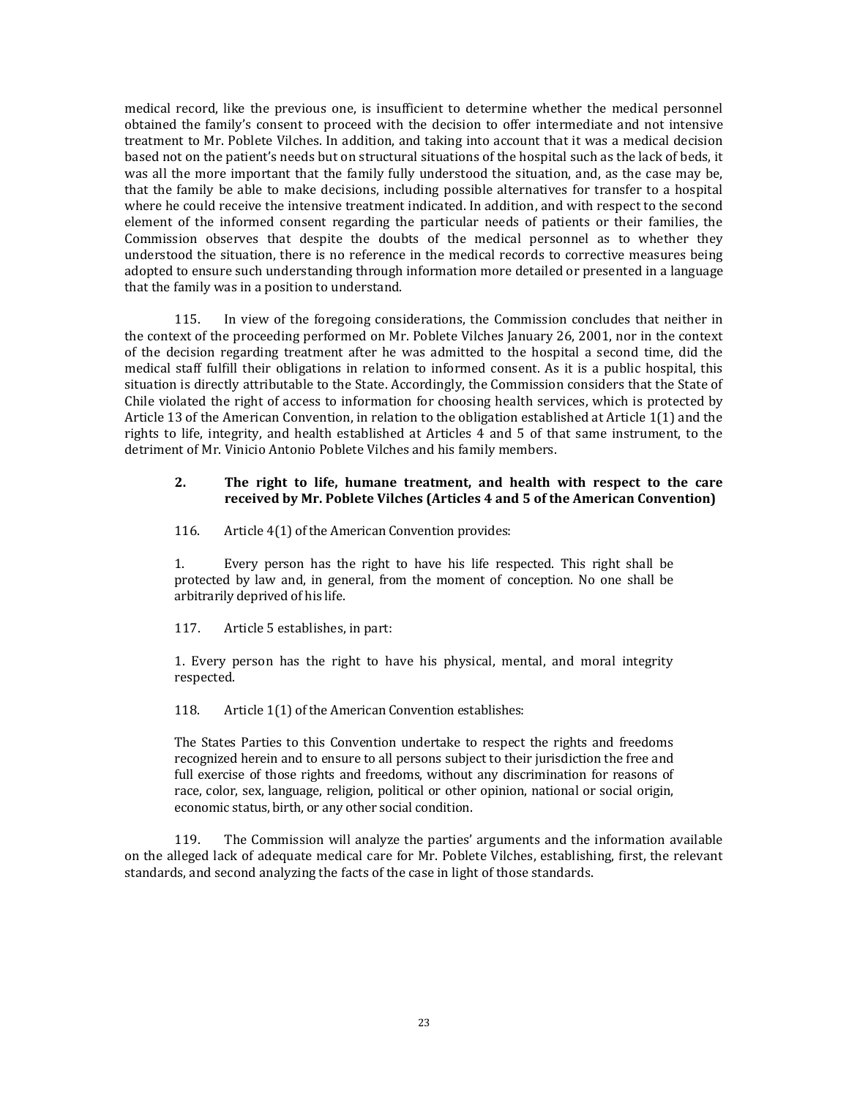medical record, like the previous one, is insufficient to determine whether the medical personnel obtained the family's consent to proceed with the decision to offer intermediate and not intensive treatment to Mr. Poblete Vilches. In addition, and taking into account that it was a medical decision based not on the patient's needs but on structural situations of the hospital such as the lack of beds, it was all the more important that the family fully understood the situation, and, as the case may be, that the family be able to make decisions, including possible alternatives for transfer to a hospital where he could receive the intensive treatment indicated. In addition, and with respect to the second element of the informed consent regarding the particular needs of patients or their families, the Commission observes that despite the doubts of the medical personnel as to whether they understood the situation, there is no reference in the medical records to corrective measures being adopted to ensure such understanding through information more detailed or presented in a language that the family was in a position to understand.

115. In view of the foregoing considerations, the Commission concludes that neither in the context of the proceeding performed on Mr. Poblete Vilches January 26, 2001, nor in the context of the decision regarding treatment after he was admitted to the hospital a second time, did the medical staff fulfill their obligations in relation to informed consent. As it is a public hospital, this situation is directly attributable to the State. Accordingly, the Commission considers that the State of Chile violated the right of access to information for choosing health services, which is protected by Article 13 of the American Convention, in relation to the obligation established at Article 1(1) and the rights to life, integrity, and health established at Articles 4 and 5 of that same instrument, to the detriment of Mr. Vinicio Antonio Poblete Vilches and his family members.

#### **2. The right to life, humane treatment, and health with respect to the care received by Mr. Poblete Vilches (Articles 4 and 5 of the American Convention)**

116. Article 4(1) of the American Convention provides:

1. Every person has the right to have his life respected. This right shall be protected by law and, in general, from the moment of conception. No one shall be arbitrarily deprived of his life.

117. Article 5 establishes, in part:

1. Every person has the right to have his physical, mental, and moral integrity respected.

118. Article 1(1) of the American Convention establishes:

The States Parties to this Convention undertake to respect the rights and freedoms recognized herein and to ensure to all persons subject to their jurisdiction the free and full exercise of those rights and freedoms, without any discrimination for reasons of race, color, sex, language, religion, political or other opinion, national or social origin, economic status, birth, or any other social condition.

119. The Commission will analyze the parties' arguments and the information available on the alleged lack of adequate medical care for Mr. Poblete Vilches, establishing, first, the relevant standards, and second analyzing the facts of the case in light of those standards.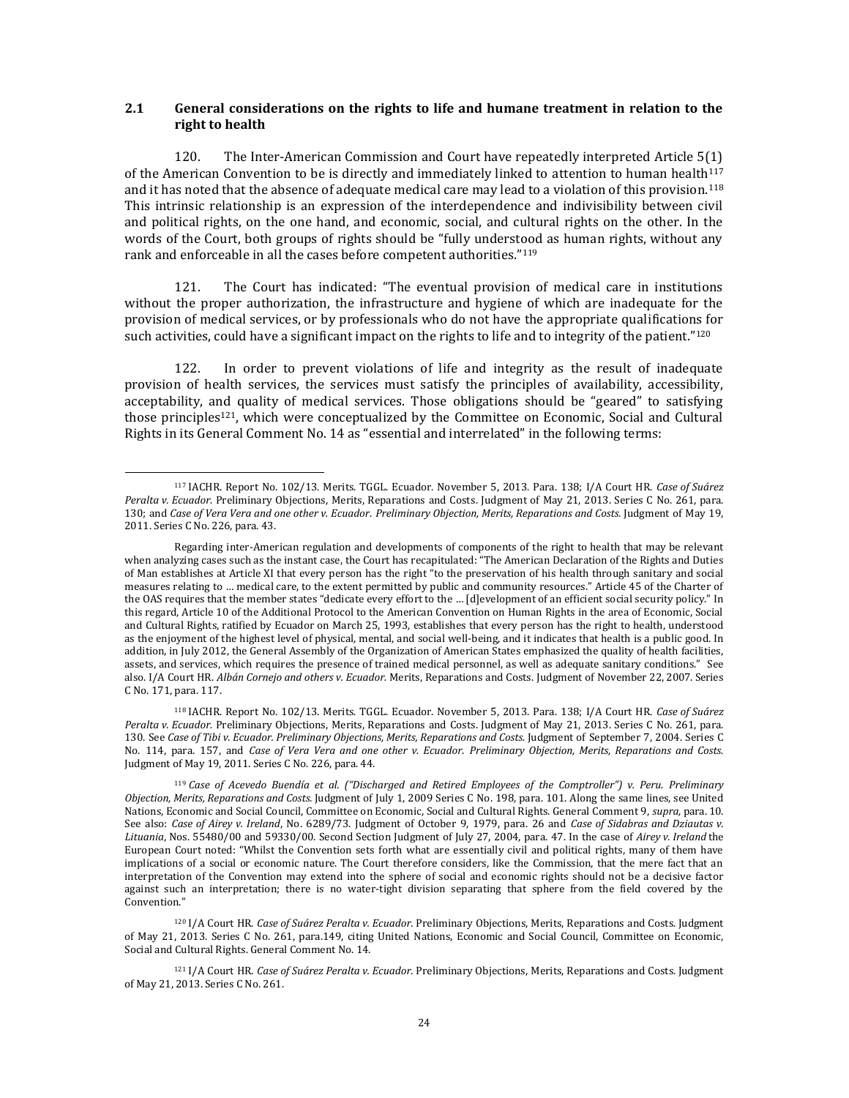#### **2.1 General considerations on the rights to life and humane treatment in relation to the right to health**

120. The Inter-American Commission and Court have repeatedly interpreted Article 5(1) of the American Convention to be is directly and immediately linked to attention to human health $117$ and it has noted that the absence of adequate medical care may lead to a violation of this provision.<sup>118</sup> This intrinsic relationship is an expression of the interdependence and indivisibility between civil and political rights, on the one hand, and economic, social, and cultural rights on the other. In the words of the Court, both groups of rights should be "fully understood as human rights, without any rank and enforceable in all the cases before competent authorities."<sup>119</sup>

121. The Court has indicated: "The eventual provision of medical care in institutions without the proper authorization, the infrastructure and hygiene of which are inadequate for the provision of medical services, or by professionals who do not have the appropriate qualifications for such activities, could have a significant impact on the rights to life and to integrity of the patient."<sup>120</sup>

122. In order to prevent violations of life and integrity as the result of inadequate provision of health services, the services must satisfy the principles of availability, accessibility, acceptability, and quality of medical services. Those obligations should be "geared" to satisfying those principles<sup>121</sup>, which were conceptualized by the Committee on Economic, Social and Cultural Rights in its General Comment No. 14 as "essential and interrelated" in the following terms:

 $\overline{\phantom{a}}$ 

<sup>117</sup> IACHR. Report No. 102/13. Merits. TGGL. Ecuador. November 5, 2013. Para. 138[; I/A Court HR.](http://joomla.corteidh.or.cr:8080/joomla/es/jurisprudencia-oc-avanzado/38-jurisprudencia/2049-corte-idh-caso-suarez-peralta-vs-ecuador-excepciones-preliminares-fondo-reparaciones-y-costas-sentencia-de-21-de-mayo-de-2013-serie-c-no-261) *Case of Suárez Peralta v. Ecuador.* [Preliminary Objections, Merits, Reparations and Costs. Judgment of May 21, 2013. Series C No. 261,](http://joomla.corteidh.or.cr:8080/joomla/es/jurisprudencia-oc-avanzado/38-jurisprudencia/2049-corte-idh-caso-suarez-peralta-vs-ecuador-excepciones-preliminares-fondo-reparaciones-y-costas-sentencia-de-21-de-mayo-de-2013-serie-c-no-261) para. 130; and *Case of Vera Vera and one other v. Ecuador*. *Preliminary Objection, Merits, Reparations and Costs.* Judgment of May 19, 2011. Series C No. 226, para. 43.

Regarding inter-American regulation and developments of components of the right to health that may be relevant when analyzing cases such as the instant case, the Court has recapitulated: "The American Declaration of the Rights and Duties of Man establishes at Article XI that every person has the right "to the preservation of his health through sanitary and social measures relating to … medical care, to the extent permitted by public and community resources." Article 45 of the Charter of the OAS requires that the member states "dedicate every effort to the … [d]evelopment of an efficient social security policy." In this regard, Article 10 of the Additional Protocol to the American Convention on Human Rights in the area of Economic, Social and Cultural Rights, ratified by Ecuador on March 25, 1993, establishes that every person has the right to health, understood as the enjoyment of the highest level of physical, mental, and social well-being, and it indicates that health is a public good. In addition, in July 2012, the General Assembly of the Organization of American States emphasized the quality of health facilities, assets, and services, which requires the presence of trained medical personnel, as well as adequate sanitary conditions." See also. I/A Court HR. *Albán Cornejo and others v. Ecuador.* [Merits, Reparations and Costs. Judgment of November 22, 2007. Series](http://joomla.corteidh.or.cr:8080/joomla/es/jurisprudencia-oc-avanzado/38-jurisprudencia/2049-corte-idh-caso-suarez-peralta-vs-ecuador-excepciones-preliminares-fondo-reparaciones-y-costas-sentencia-de-21-de-mayo-de-2013-serie-c-no-261)  [C No. 1](http://joomla.corteidh.or.cr:8080/joomla/es/jurisprudencia-oc-avanzado/38-jurisprudencia/2049-corte-idh-caso-suarez-peralta-vs-ecuador-excepciones-preliminares-fondo-reparaciones-y-costas-sentencia-de-21-de-mayo-de-2013-serie-c-no-261)71, para. 117.

<sup>118</sup> IACHR. Report No. 102/13. Merits. TGGL. Ecuador. November 5, 2013. Para. 138[; I/A Court HR.](http://joomla.corteidh.or.cr:8080/joomla/es/jurisprudencia-oc-avanzado/38-jurisprudencia/2049-corte-idh-caso-suarez-peralta-vs-ecuador-excepciones-preliminares-fondo-reparaciones-y-costas-sentencia-de-21-de-mayo-de-2013-serie-c-no-261) *Case of Suárez Peralta v. Ecuador.* Preliminary Objections, Merits, Reparations and [Costs. Judgment of May 21, 2013. Series C No. 261,](http://joomla.corteidh.or.cr:8080/joomla/es/jurisprudencia-oc-avanzado/38-jurisprudencia/2049-corte-idh-caso-suarez-peralta-vs-ecuador-excepciones-preliminares-fondo-reparaciones-y-costas-sentencia-de-21-de-mayo-de-2013-serie-c-no-261) para. 130. See *Case of Tibi v. Ecuador. Preliminary Objections, Merits, Reparations and Costs.* Judgment of September 7, 2004. Series C No. 114, para. 157, and *Case of Vera Vera and one other v. Ecuador*. *Preliminary Objection, Merits, Reparations and Costs.*  Judgment of May 19, 2011. Series C No. 226, para. 44.

<sup>119</sup> *Case of Acevedo Buendía et al. ("Discharged and Retired Employees of the Comptroller") v. Peru. Preliminary Objection, Merits, Reparations and Costs.* Judgment of July 1, 2009 Series C No. 198, para. 101. Along the same lines, see United Nations, Economic and Social Council, Committee on Economic, Social and Cultural Rights. General Comment 9, *supra,* para. 10. See also: *Case of Airey v. Ireland*, No. 6289/73. Judgment of October 9, 1979, para. 26 and *Case of Sidabras and Dziautas v. Lituania*, Nos. 55480/00 and 59330/00. Second Section Judgment of July 27, 2004, para. 47. In the case of *Airey v. Ireland* the European Court noted: "Whilst the Convention sets forth what are essentially civil and political rights, many of them have implications of a social or economic nature. The Court therefore considers, like the Commission, that the mere fact that an interpretation of the Convention may extend into the sphere of social and economic rights should not be a decisive factor against such an interpretation; there is no water-tight division separating that sphere from the field covered by the Convention."

<sup>120</sup> I/A Court HR. *Case of Suárez Peralta v. Ecuador.* [Preliminary Objections, Merits, Reparations and Costs. Judgment](http://joomla.corteidh.or.cr:8080/joomla/es/jurisprudencia-oc-avanzado/38-jurisprudencia/2049-corte-idh-caso-suarez-peralta-vs-ecuador-excepciones-preliminares-fondo-reparaciones-y-costas-sentencia-de-21-de-mayo-de-2013-serie-c-no-261)  [of May 21, 2013. Series C No. 261,](http://joomla.corteidh.or.cr:8080/joomla/es/jurisprudencia-oc-avanzado/38-jurisprudencia/2049-corte-idh-caso-suarez-peralta-vs-ecuador-excepciones-preliminares-fondo-reparaciones-y-costas-sentencia-de-21-de-mayo-de-2013-serie-c-no-261) para.149, citing United Nations, Economic and Social Council, Committee on Economic, Social and Cultural Rights. General Comment No. 14.

<sup>121</sup> I/A Court HR. *Case of Suárez Peralta v. Ecuador.* [Preliminary Objections, Merits, Reparations and Costs. Judgment](http://joomla.corteidh.or.cr:8080/joomla/es/jurisprudencia-oc-avanzado/38-jurisprudencia/2049-corte-idh-caso-suarez-peralta-vs-ecuador-excepciones-preliminares-fondo-reparaciones-y-costas-sentencia-de-21-de-mayo-de-2013-serie-c-no-261)  [of May 21, 2013. Series C No. 261.](http://joomla.corteidh.or.cr:8080/joomla/es/jurisprudencia-oc-avanzado/38-jurisprudencia/2049-corte-idh-caso-suarez-peralta-vs-ecuador-excepciones-preliminares-fondo-reparaciones-y-costas-sentencia-de-21-de-mayo-de-2013-serie-c-no-261)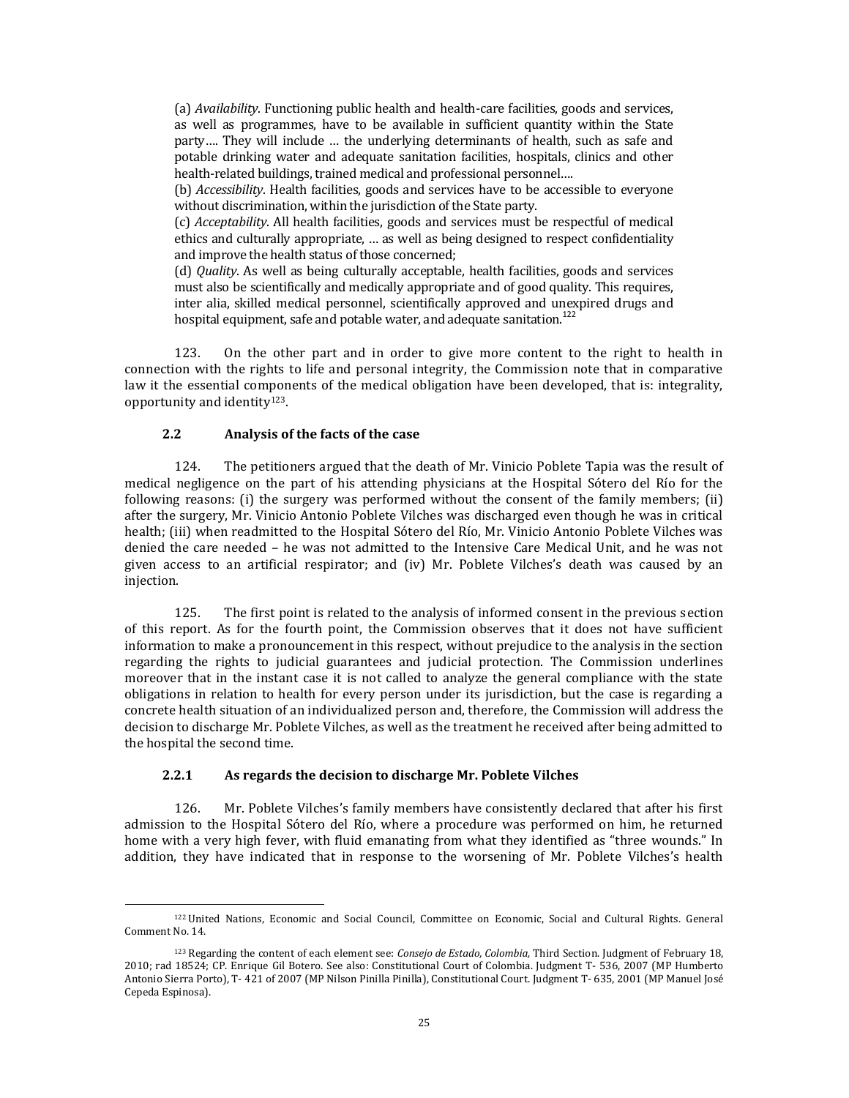(a) *Availability*. Functioning public health and health-care facilities, goods and services, as well as programmes, have to be available in sufficient quantity within the State party…. They will include … the underlying determinants of health, such as safe and potable drinking water and adequate sanitation facilities, hospitals, clinics and other health-related buildings, trained medical and professional personnel….

(b) *Accessibility*. Health facilities, goods and services have to be accessible to everyone without discrimination, within the jurisdiction of the State party.

(c) *Acceptability*. All health facilities, goods and services must be respectful of medical ethics and culturally appropriate, … as well as being designed to respect confidentiality and improve the health status of those concerned;

(d) *Quality*. As well as being culturally acceptable, health facilities, goods and services must also be scientifically and medically appropriate and of good quality. This requires, inter alia, skilled medical personnel, scientifically approved and unexpired drugs and hospital equipment, safe and potable water, and adequate sanitation.<sup>122</sup>

123. On the other part and in order to give more content to the right to health in connection with the rights to life and personal integrity, the Commission note that in comparative law it the essential components of the medical obligation have been developed, that is: integrality, opportunity and identity <sup>123</sup>.

# **2.2 Analysis of the facts of the case**

 $\overline{\phantom{a}}$ 

124. The petitioners argued that the death of Mr. Vinicio Poblete Tapia was the result of medical negligence on the part of his attending physicians at the Hospital Sótero del Río for the following reasons: (i) the surgery was performed without the consent of the family members; (ii) after the surgery, Mr. Vinicio Antonio Poblete Vilches was discharged even though he was in critical health; (iii) when readmitted to the Hospital Sótero del Río, Mr. Vinicio Antonio Poblete Vilches was denied the care needed – he was not admitted to the Intensive Care Medical Unit, and he was not given access to an artificial respirator; and (iv) Mr. Poblete Vilches's death was caused by an injection.

125. The first point is related to the analysis of informed consent in the previous section of this report. As for the fourth point, the Commission observes that it does not have sufficient information to make a pronouncement in this respect, without prejudice to the analysis in the section regarding the rights to judicial guarantees and judicial protection. The Commission underlines moreover that in the instant case it is not called to analyze the general compliance with the state obligations in relation to health for every person under its jurisdiction, but the case is regarding a concrete health situation of an individualized person and, therefore, the Commission will address the decision to discharge Mr. Poblete Vilches, as well as the treatment he received after being admitted to the hospital the second time.

#### **2.2.1 As regards the decision to discharge Mr. Poblete Vilches**

126. Mr. Poblete Vilches's family members have consistently declared that after his first admission to the Hospital Sótero del Río, where a procedure was performed on him, he returned home with a very high fever, with fluid emanating from what they identified as "three wounds." In addition, they have indicated that in response to the worsening of Mr. Poblete Vilches's health

<sup>122</sup> United Nations, Economic and Social Council, Committee on Economic, Social and Cultural Rights. General Comment No. 14.

<sup>123</sup> Regarding the content of each element see: *Consejo de Estado, Colombia,* Third Section. Judgment of February 18, 2010; rad 18524; CP. Enrique Gil Botero. See also: Constitutional Court of Colombia. Judgment T- 536, 2007 (MP Humberto Antonio Sierra Porto), T- 421 of 2007 (MP Nilson Pinilla Pinilla), Constitutional Court. Judgment T- 635, 2001 (MP Manuel José Cepeda Espinosa).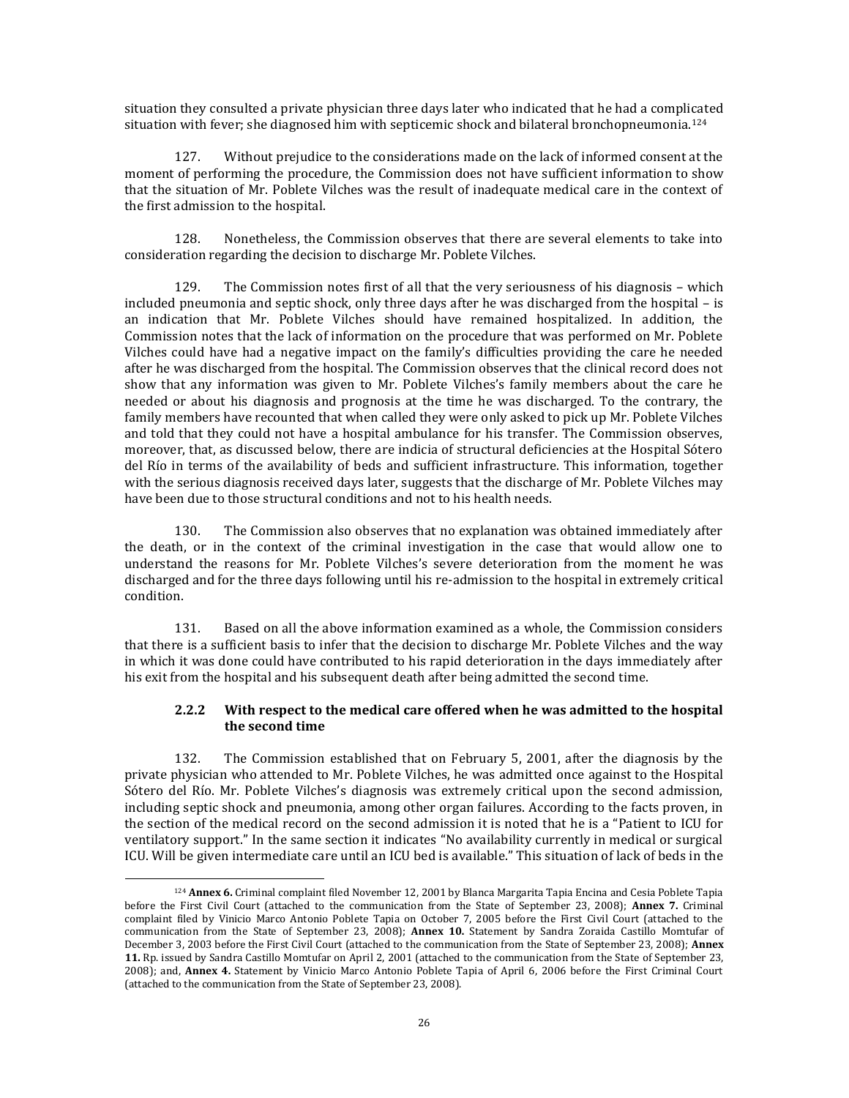situation they consulted a private physician three days later who indicated that he had a complicated situation with fever; she diagnosed him with septicemic shock and bilateral bronchopneumonia.<sup>124</sup>

127. Without prejudice to the considerations made on the lack of informed consent at the moment of performing the procedure, the Commission does not have sufficient information to show that the situation of Mr. Poblete Vilches was the result of inadequate medical care in the context of the first admission to the hospital.

128. Nonetheless, the Commission observes that there are several elements to take into consideration regarding the decision to discharge Mr. Poblete Vilches.

129. The Commission notes first of all that the very seriousness of his diagnosis – which included pneumonia and septic shock, only three days after he was discharged from the hospital – is an indication that Mr. Poblete Vilches should have remained hospitalized. In addition, the Commission notes that the lack of information on the procedure that was performed on Mr. Poblete Vilches could have had a negative impact on the family's difficulties providing the care he needed after he was discharged from the hospital. The Commission observes that the clinical record does not show that any information was given to Mr. Poblete Vilches's family members about the care he needed or about his diagnosis and prognosis at the time he was discharged. To the contrary, the family members have recounted that when called they were only asked to pick up Mr. Poblete Vilches and told that they could not have a hospital ambulance for his transfer. The Commission observes, moreover, that, as discussed below, there are indicia of structural deficiencies at the Hospital Sótero del Río in terms of the availability of beds and sufficient infrastructure. This information, together with the serious diagnosis received days later, suggests that the discharge of Mr. Poblete Vilches may have been due to those structural conditions and not to his health needs.

130. The Commission also observes that no explanation was obtained immediately after the death, or in the context of the criminal investigation in the case that would allow one to understand the reasons for Mr. Poblete Vilches's severe deterioration from the moment he was discharged and for the three days following until his re-admission to the hospital in extremely critical condition.

131. Based on all the above information examined as a whole, the Commission considers that there is a sufficient basis to infer that the decision to discharge Mr. Poblete Vilches and the way in which it was done could have contributed to his rapid deterioration in the days immediately after his exit from the hospital and his subsequent death after being admitted the second time.

# **2.2.2 With respect to the medical care offered when he was admitted to the hospital the second time**

132. The Commission established that on February 5, 2001, after the diagnosis by the private physician who attended to Mr. Poblete Vilches, he was admitted once against to the Hospital Sótero del Río. Mr. Poblete Vilches's diagnosis was extremely critical upon the second admission, including septic shock and pneumonia, among other organ failures. According to the facts proven, in the section of the medical record on the second admission it is noted that he is a "Patient to ICU for ventilatory support." In the same section it indicates "No availability currently in medical or surgical ICU. Will be given intermediate care until an ICU bed is available." This situation of lack of beds in the

 $\overline{\phantom{a}}$ 

<sup>124</sup> **Annex 6.** Criminal complaint filed November 12, 2001 by Blanca Margarita Tapia Encina and Cesia Poblete Tapia before the First Civil Court (attached to the communication from the State of September 23, 2008); **Annex 7.** Criminal complaint filed by Vinicio Marco Antonio Poblete Tapia on October 7, 2005 before the First Civil Court (attached to the communication from the State of September 23, 2008); **Annex 10.** Statement by Sandra Zoraida Castillo Momtufar of December 3, 2003 before the First Civil Court (attached to the communication from the State of September 23, 2008); **Annex 11.** Rp. issued by Sandra Castillo Momtufar on April 2, 2001 (attached to the communication from the State of September 23, 2008); and, **Annex 4.** Statement by Vinicio Marco Antonio Poblete Tapia of April 6, 2006 before the First Criminal Court (attached to the communication from the State of September 23, 2008).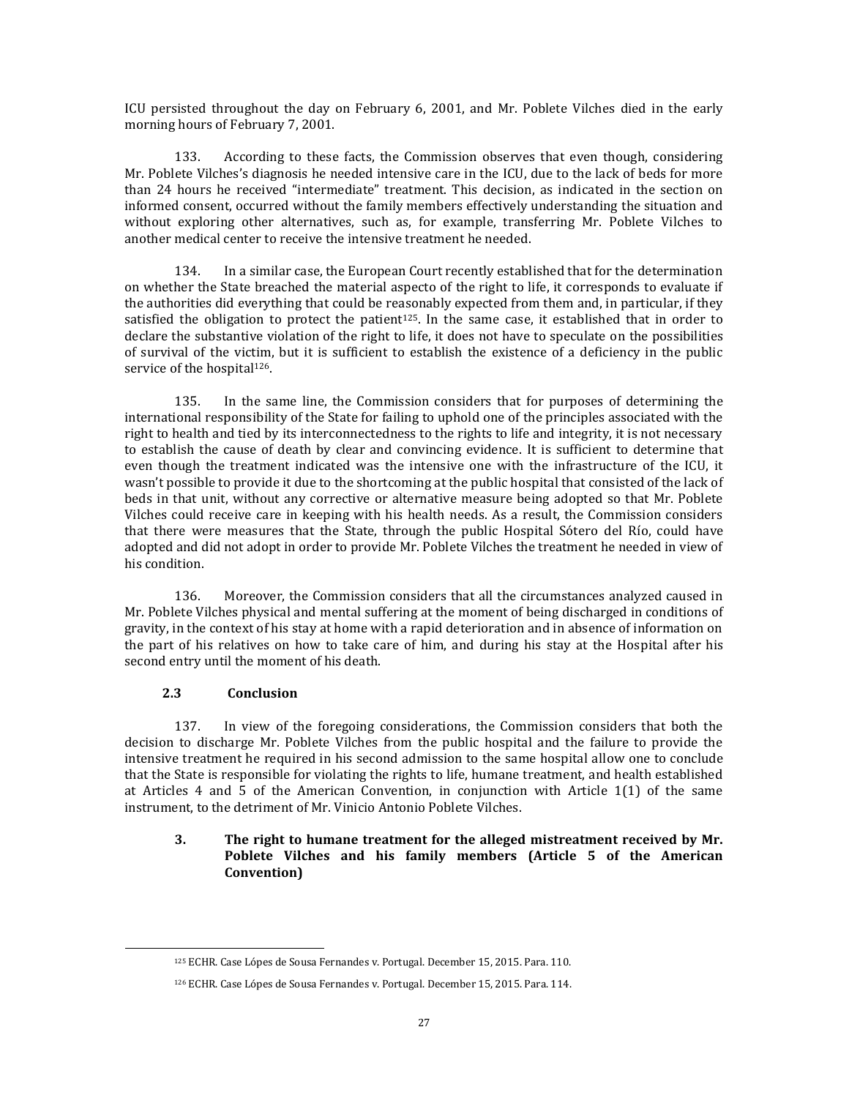ICU persisted throughout the day on February 6, 2001, and Mr. Poblete Vilches died in the early morning hours of February 7, 2001.

133. According to these facts, the Commission observes that even though, considering Mr. Poblete Vilches's diagnosis he needed intensive care in the ICU, due to the lack of beds for more than 24 hours he received "intermediate" treatment. This decision, as indicated in the section on informed consent, occurred without the family members effectively understanding the situation and without exploring other alternatives, such as, for example, transferring Mr. Poblete Vilches to another medical center to receive the intensive treatment he needed.

134. In a similar case, the European Court recently established that for the determination on whether the State breached the material aspecto of the right to life, it corresponds to evaluate if the authorities did everything that could be reasonably expected from them and, in particular, if they satisfied the obligation to protect the patient<sup>125</sup>. In the same case, it established that in order to declare the substantive violation of the right to life, it does not have to speculate on the possibilities of survival of the victim, but it is sufficient to establish the existence of a deficiency in the public service of the hospital<sup>126</sup>.

135. In the same line, the Commission considers that for purposes of determining the international responsibility of the State for failing to uphold one of the principles associated with the right to health and tied by its interconnectedness to the rights to life and integrity, it is not necessary to establish the cause of death by clear and convincing evidence. It is sufficient to determine that even though the treatment indicated was the intensive one with the infrastructure of the ICU, it wasn't possible to provide it due to the shortcoming at the public hospital that consisted of the lack of beds in that unit, without any corrective or alternative measure being adopted so that Mr. Poblete Vilches could receive care in keeping with his health needs. As a result, the Commission considers that there were measures that the State, through the public Hospital Sótero del Río, could have adopted and did not adopt in order to provide Mr. Poblete Vilches the treatment he needed in view of his condition.

136. Moreover, the Commission considers that all the circumstances analyzed caused in Mr. Poblete Vilches physical and mental suffering at the moment of being discharged in conditions of gravity, in the context of his stay at home with a rapid deterioration and in absence of information on the part of his relatives on how to take care of him, and during his stay at the Hospital after his second entry until the moment of his death.

# **2.3 Conclusion**

 $\overline{\phantom{a}}$ 

137. In view of the foregoing considerations, the Commission considers that both the decision to discharge Mr. Poblete Vilches from the public hospital and the failure to provide the intensive treatment he required in his second admission to the same hospital allow one to conclude that the State is responsible for violating the rights to life, humane treatment, and health established at Articles 4 and 5 of the American Convention, in conjunction with Article 1(1) of the same instrument, to the detriment of Mr. Vinicio Antonio Poblete Vilches.

# **3. The right to humane treatment for the alleged mistreatment received by Mr. Poblete Vilches and his family members (Article 5 of the American Convention)**

<sup>125</sup> ECHR. Case Lópes de Sousa Fernandes v. Portugal. December 15, 2015. Para. 110.

<sup>126</sup> ECHR. Case Lópes de Sousa Fernandes v. Portugal. December 15, 2015. Para. 114.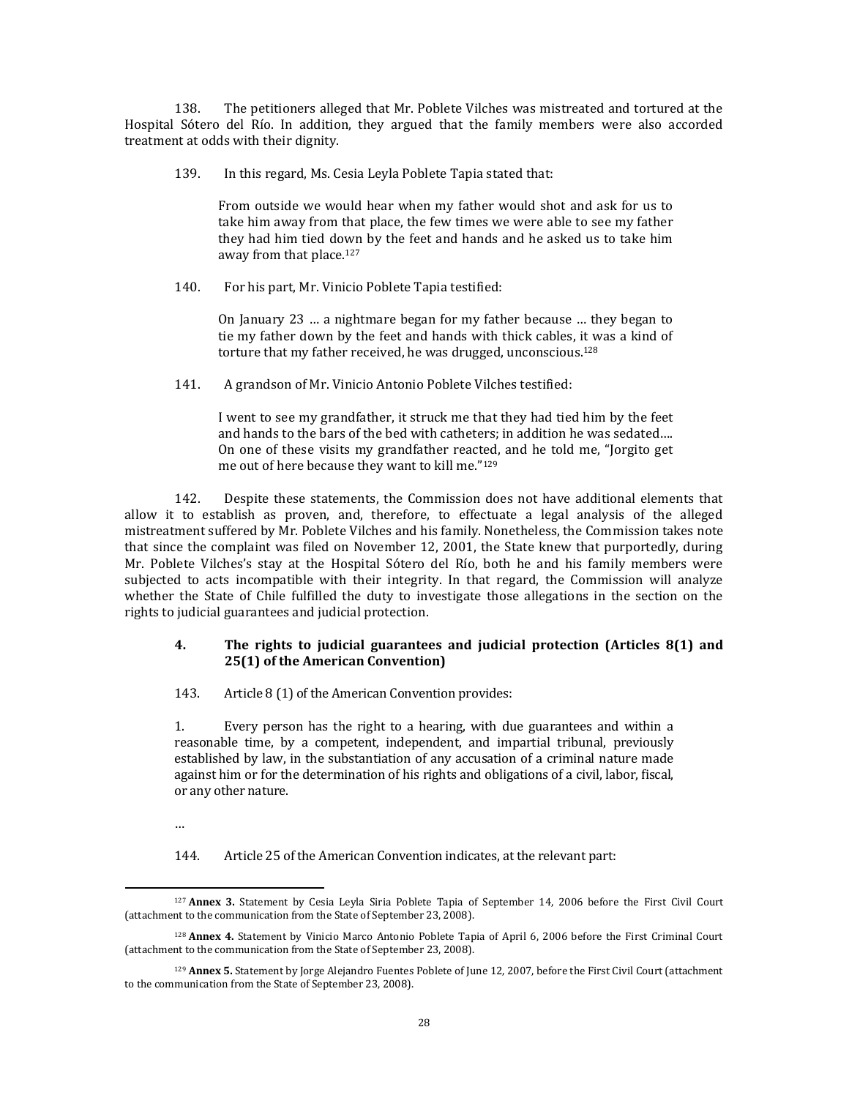138. The petitioners alleged that Mr. Poblete Vilches was mistreated and tortured at the Hospital Sótero del Río. In addition, they argued that the family members were also accorded treatment at odds with their dignity.

139. In this regard, Ms. Cesia Leyla Poblete Tapia stated that:

From outside we would hear when my father would shot and ask for us to take him away from that place, the few times we were able to see my father they had him tied down by the feet and hands and he asked us to take him away from that place.<sup>127</sup>

140. For his part, Mr. Vinicio Poblete Tapia testified:

On January 23 … a nightmare began for my father because … they began to tie my father down by the feet and hands with thick cables, it was a kind of torture that my father received, he was drugged, unconscious.<sup>128</sup>

141. A grandson of Mr. Vinicio Antonio Poblete Vilches testified:

I went to see my grandfather, it struck me that they had tied him by the feet and hands to the bars of the bed with catheters; in addition he was sedated…. On one of these visits my grandfather reacted, and he told me, "Jorgito get me out of here because they want to kill me."<sup>129</sup>

142. Despite these statements, the Commission does not have additional elements that allow it to establish as proven, and, therefore, to effectuate a legal analysis of the alleged mistreatment suffered by Mr. Poblete Vilches and his family. Nonetheless, the Commission takes note that since the complaint was filed on November 12, 2001, the State knew that purportedly, during Mr. Poblete Vilches's stay at the Hospital Sótero del Río, both he and his family members were subjected to acts incompatible with their integrity. In that regard, the Commission will analyze whether the State of Chile fulfilled the duty to investigate those allegations in the section on the rights to judicial guarantees and judicial protection.

### **4. The rights to judicial guarantees and judicial protection (Articles 8(1) and 25(1) of the American Convention)**

143. Article 8 (1) of the American Convention provides:

1. Every person has the right to a hearing, with due guarantees and within a reasonable time, by a competent, independent, and impartial tribunal, previously established by law, in the substantiation of any accusation of a criminal nature made against him or for the determination of his rights and obligations of a civil, labor, fiscal, or any other nature.

144. Article 25 of the American Convention indicates, at the relevant part:

<sup>…</sup>

 $\overline{\phantom{a}}$ <sup>127</sup> **Annex 3.** Statement by Cesia Leyla Siria Poblete Tapia of September 14, 2006 before the First Civil Court (attachment to the communication from the State of September 23, 2008).

<sup>128</sup> **Annex 4.** Statement by Vinicio Marco Antonio Poblete Tapia of April 6, 2006 before the First Criminal Court (attachment to the communication from the State of September 23, 2008).

<sup>129</sup> **Annex 5.** Statement by Jorge Alejandro Fuentes Poblete of June 12, 2007, before the First Civil Court (attachment to the communication from the State of September 23, 2008).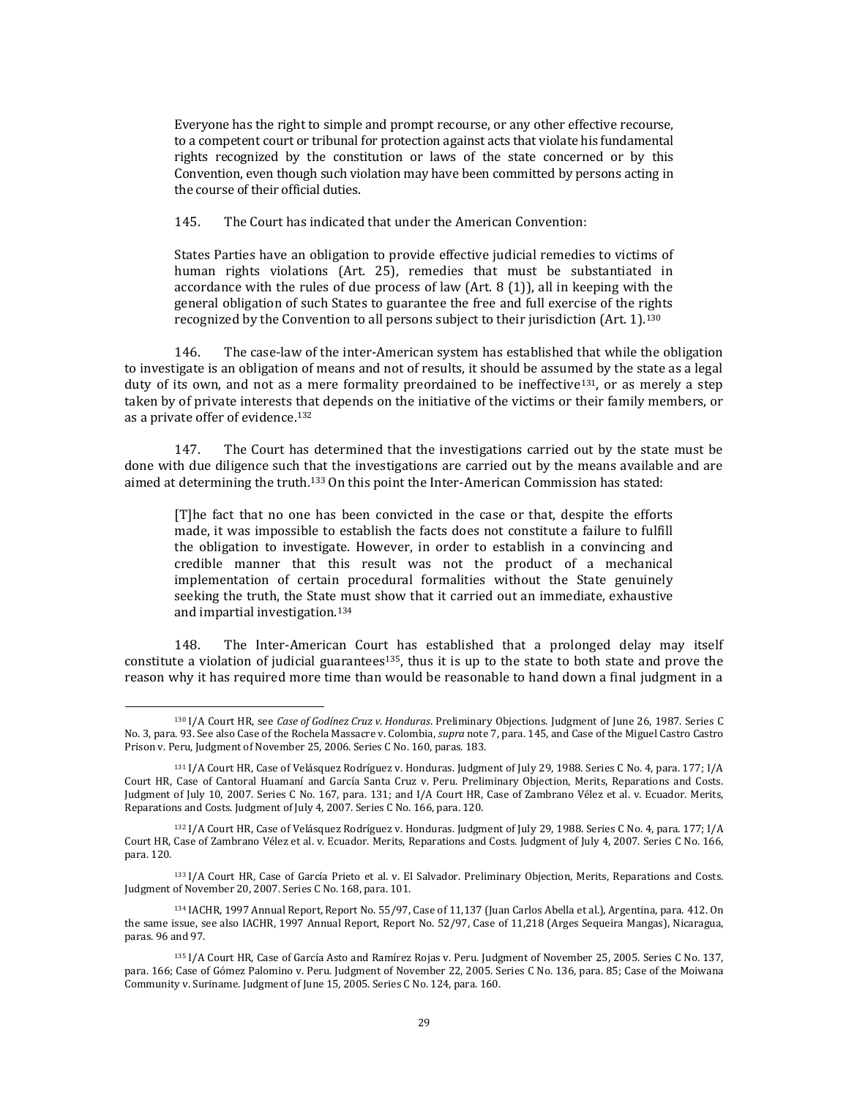Everyone has the right to simple and prompt recourse, or any other effective recourse, to a competent court or tribunal for protection against acts that violate his fundamental rights recognized by the constitution or laws of the state concerned or by this Convention, even though such violation may have been committed by persons acting in the course of their official duties.

145. The Court has indicated that under the American Convention:

States Parties have an obligation to provide effective judicial remedies to victims of human rights violations (Art. 25), remedies that must be substantiated in accordance with the rules of due process of law (Art. 8 (1)), all in keeping with the general obligation of such States to guarantee the free and full exercise of the rights recognized by the Convention to all persons subject to their jurisdiction (Art. 1).<sup>130</sup>

146. The case-law of the inter-American system has established that while the obligation to investigate is an obligation of means and not of results, it should be assumed by the state as a legal duty of its own, and not as a mere formality preordained to be ineffective<sup>131</sup>, or as merely a step taken by of private interests that depends on the initiative of the victims or their family members, or as a private offer of evidence.<sup>132</sup>

147. The Court has determined that the investigations carried out by the state must be done with due diligence such that the investigations are carried out by the means available and are aimed at determining the truth.<sup>133</sup> On this point the Inter-American Commission has stated:

[T]he fact that no one has been convicted in the case or that, despite the efforts made, it was impossible to establish the facts does not constitute a failure to fulfill the obligation to investigate. However, in order to establish in a convincing and credible manner that this result was not the product of a mechanical implementation of certain procedural formalities without the State genuinely seeking the truth, the State must show that it carried out an immediate, exhaustive and impartial investigation.<sup>134</sup>

148. The Inter-American Court has established that a prolonged delay may itself constitute a violation of judicial guarantees<sup>135</sup>, thus it is up to the state to both state and prove the reason why it has required more time than would be reasonable to hand down a final judgment in a

l

<sup>133</sup> I/A Court HR, Case of García Prieto et al. v. El Salvador. Preliminary Objection, Merits, Reparations and Costs. Judgment of November 20, 2007. Series C No. 168, para. 101.

<sup>130</sup> I/A Court HR, see *Case of Godínez Cruz v. Honduras*. Preliminary Objections. Judgment of June 26, 1987. Series C No. 3, para. 93. See also Case of the Rochela Massacre v. Colombia, *supra* note 7, para. 145, and Case of the Miguel Castro Castro Prison v. Peru, Judgment of November 25, 2006. Series C No. 160, paras. 183.

<sup>131</sup> I/A Court HR, Case of Velásquez Rodríguez v. Honduras. Judgment of July 29, 1988. Series C No. 4, para. 177; I/A Court HR, Case of Cantoral Huamaní and García Santa Cruz v. Peru. Preliminary Objection, Merits, Reparations and Costs. Judgment of July 10, 2007. Series C No. 167, para. 131; and I/A Court HR, Case of Zambrano Vélez et al. v. Ecuador. Merits, Reparations and Costs. Judgment of July 4, 2007. Series C No. 166, para. 120.

<sup>132</sup> I/A Court HR, Case of Velásquez Rodríguez v. Honduras. Judgment of July 29, 1988. Series C No. 4, para. 177; I/A Court HR, Case of Zambrano Vélez et al. v. Ecuador. Merits, Reparations and Costs. Judgment of July 4, 2007. Series C No. 166, para. 120.

<sup>134</sup> IACHR, 1997 Annual Report, Report No. 55/97, Case of 11,137 (Juan Carlos Abella et al.), Argentina, para. 412. On the same issue, see also IACHR, 1997 Annual Report, Report No. 52/97, Case of 11,218 (Arges Sequeira Mangas), Nicaragua, paras. 96 and 97.

<sup>135</sup> I/A Court HR, Case of García Asto and Ramírez Rojas v. Peru. Judgment of November 25, 2005. Series C No. 137, para. 166; Case of Gómez Palomino v. Peru. Judgment of November 22, 2005. Series C No. 136, para. 85; Case of the Moiwana Community v. Suriname. Judgment of June 15, 2005. Series C No. 124, para. 160.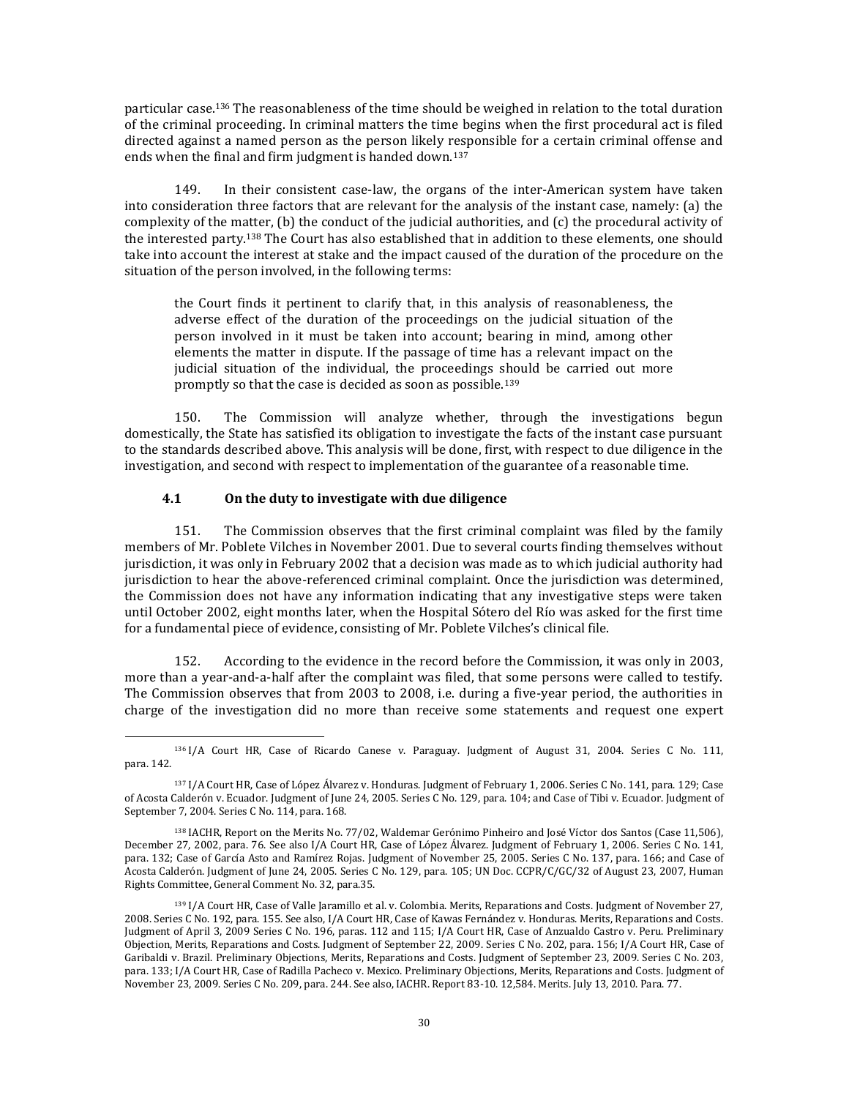particular case.<sup>136</sup> The reasonableness of the time should be weighed in relation to the total duration of the criminal proceeding. In criminal matters the time begins when the first procedural act is filed directed against a named person as the person likely responsible for a certain criminal offense and ends when the final and firm judgment is handed down.<sup>137</sup>

149. In their consistent case-law, the organs of the inter-American system have taken into consideration three factors that are relevant for the analysis of the instant case, namely: (a) the complexity of the matter, (b) the conduct of the judicial authorities, and (c) the procedural activity of the interested party.<sup>138</sup> The Court has also established that in addition to these elements, one should take into account the interest at stake and the impact caused of the duration of the procedure on the situation of the person involved, in the following terms:

the Court finds it pertinent to clarify that, in this analysis of reasonableness, the adverse effect of the duration of the proceedings on the judicial situation of the person involved in it must be taken into account; bearing in mind, among other elements the matter in dispute. If the passage of time has a relevant impact on the judicial situation of the individual, the proceedings should be carried out more promptly so that the case is decided as soon as possible.<sup>139</sup>

150. The Commission will analyze whether, through the investigations begun domestically, the State has satisfied its obligation to investigate the facts of the instant case pursuant to the standards described above. This analysis will be done, first, with respect to due diligence in the investigation, and second with respect to implementation of the guarantee of a reasonable time.

### **4.1 On the duty to investigate with due diligence**

l

151. The Commission observes that the first criminal complaint was filed by the family members of Mr. Poblete Vilches in November 2001. Due to several courts finding themselves without jurisdiction, it was only in February 2002 that a decision was made as to which judicial authority had jurisdiction to hear the above-referenced criminal complaint. Once the jurisdiction was determined, the Commission does not have any information indicating that any investigative steps were taken until October 2002, eight months later, when the Hospital Sótero del Río was asked for the first time for a fundamental piece of evidence, consisting of Mr. Poblete Vilches's clinical file.

152. According to the evidence in the record before the Commission, it was only in 2003, more than a year-and-a-half after the complaint was filed, that some persons were called to testify. The Commission observes that from 2003 to 2008, i.e. during a five-year period, the authorities in charge of the investigation did no more than receive some statements and request one expert

<sup>136</sup> I/A Court HR, Case of Ricardo Canese v. Paraguay. Judgment of August 31, 2004. Series C No. 111, para. 142.

<sup>137</sup> I/A Court HR, Case of López Álvarez v. Honduras. Judgment of February 1, 2006. Series C No. 141, para. 129; Case of Acosta Calderón v. Ecuador. Judgment of June 24, 2005. Series C No. 129, para. 104; and Case of Tibi v. Ecuador. Judgment of September 7, 2004. Series C No. 114, para. 168.

<sup>138</sup> IACHR, Report on the Merits No. 77/02, Waldemar Gerónimo Pinheiro and José Víctor dos Santos (Case 11,506), December 27, 2002, para. 76. See also I/A Court HR, Case of López Álvarez. Judgment of February 1, 2006. Series C No. 141, para. 132; Case of García Asto and Ramírez Rojas. Judgment of November 25, 2005. Series C No. 137, para. 166; and Case of Acosta Calderón. Judgment of June 24, 2005. Series C No. 129, para. 105; UN Doc. CCPR/C/GC/32 of August 23, 2007, Human Rights Committee, General Comment No. 32, para.35.

<sup>&</sup>lt;sup>139</sup> I/A Court HR, Case of Valle Jaramillo et al. v. Colombia. Merits, Reparations and Costs. Judgment of November 27, 2008. Series C No. 192, para. 155. See also, I/A Court HR, Case of Kawas Fernández v. Honduras. Merits, Reparations and Costs. Judgment of April 3, 2009 Series C No. 196, paras. 112 and 115; I/A Court HR, Case of Anzualdo Castro v. Peru. Preliminary Objection, Merits, Reparations and Costs. Judgment of September 22, 2009. Series C No. 202, para. 156; I/A Court HR, Case of Garibaldi v. Brazil. Preliminary Objections, Merits, Reparations and Costs. Judgment of September 23, 2009. Series C No. 203, para. 133; I/A Court HR, Case of Radilla Pacheco v. Mexico. Preliminary Objections, Merits, Reparations and Costs. Judgment of November 23, 2009. Series C No. 209, para. 244. See also, IACHR. Report 83-10. 12,584. Merits. July 13, 2010. Para. 77.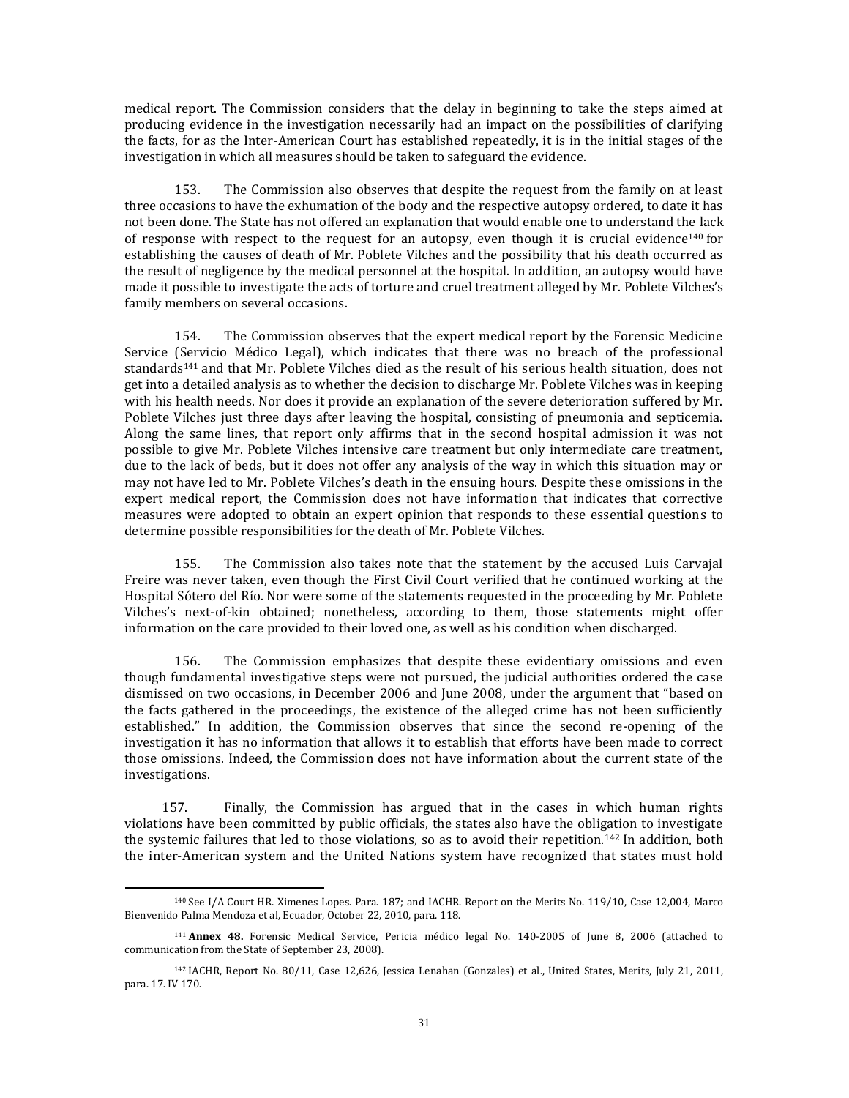medical report. The Commission considers that the delay in beginning to take the steps aimed at producing evidence in the investigation necessarily had an impact on the possibilities of clarifying the facts, for as the Inter-American Court has established repeatedly, it is in the initial stages of the investigation in which all measures should be taken to safeguard the evidence.

153. The Commission also observes that despite the request from the family on at least three occasions to have the exhumation of the body and the respective autopsy ordered, to date it has not been done. The State has not offered an explanation that would enable one to understand the lack of response with respect to the request for an autopsy, even though it is crucial evidence<sup>140</sup> for establishing the causes of death of Mr. Poblete Vilches and the possibility that his death occurred as the result of negligence by the medical personnel at the hospital. In addition, an autopsy would have made it possible to investigate the acts of torture and cruel treatment alleged by Mr. Poblete Vilches's family members on several occasions.

154. The Commission observes that the expert medical report by the Forensic Medicine Service (Servicio Médico Legal), which indicates that there was no breach of the professional standards<sup>141</sup> and that Mr. Poblete Vilches died as the result of his serious health situation, does not get into a detailed analysis as to whether the decision to discharge Mr. Poblete Vilches was in keeping with his health needs. Nor does it provide an explanation of the severe deterioration suffered by Mr. Poblete Vilches just three days after leaving the hospital, consisting of pneumonia and septicemia. Along the same lines, that report only affirms that in the second hospital admission it was not possible to give Mr. Poblete Vilches intensive care treatment but only intermediate care treatment, due to the lack of beds, but it does not offer any analysis of the way in which this situation may or may not have led to Mr. Poblete Vilches's death in the ensuing hours. Despite these omissions in the expert medical report, the Commission does not have information that indicates that corrective measures were adopted to obtain an expert opinion that responds to these essential questions to determine possible responsibilities for the death of Mr. Poblete Vilches.

155. The Commission also takes note that the statement by the accused Luis Carvajal Freire was never taken, even though the First Civil Court verified that he continued working at the Hospital Sótero del Río. Nor were some of the statements requested in the proceeding by Mr. Poblete Vilches's next-of-kin obtained; nonetheless, according to them, those statements might offer information on the care provided to their loved one, as well as his condition when discharged.

156. The Commission emphasizes that despite these evidentiary omissions and even though fundamental investigative steps were not pursued, the judicial authorities ordered the case dismissed on two occasions, in December 2006 and June 2008, under the argument that "based on the facts gathered in the proceedings, the existence of the alleged crime has not been sufficiently established." In addition, the Commission observes that since the second re-opening of the investigation it has no information that allows it to establish that efforts have been made to correct those omissions. Indeed, the Commission does not have information about the current state of the investigations.

157. Finally, the Commission has argued that in the cases in which human rights violations have been committed by public officials, the states also have the obligation to investigate the systemic failures that led to those violations, so as to avoid their repetition.<sup>142</sup> In addition, both the inter-American system and the United Nations system have recognized that states must hold

 $\overline{a}$ 

<sup>140</sup> See I/A Court HR. Ximenes Lopes. Para. 187; and IACHR. Report on the Merits No. 119/10, Case 12,004, Marco Bienvenido Palma Mendoza et al, Ecuador, October 22, 2010, para. 118.

<sup>141</sup> **Annex 48.** Forensic Medical Service, Pericia médico legal No. 140-2005 of June 8, 2006 (attached to communication from the State of September 23, 2008).

<sup>142</sup> IACHR, Report No. 80/11, Case 12,626, Jessica Lenahan (Gonzales) et al., United States, Merits, July 21, 2011, para. 17. IV 170.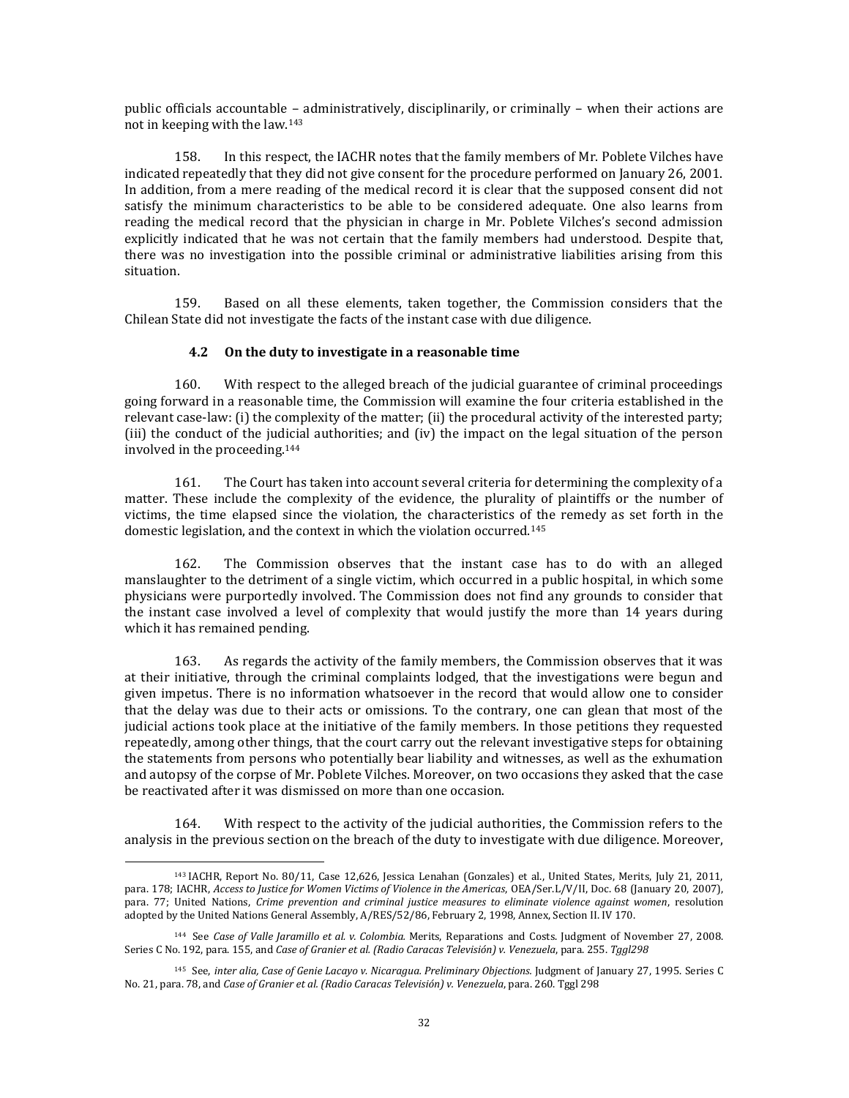public officials accountable – administratively, disciplinarily, or criminally – when their actions are not in keeping with the law.<sup>143</sup>

158. In this respect, the IACHR notes that the family members of Mr. Poblete Vilches have indicated repeatedly that they did not give consent for the procedure performed on January 26, 2001. In addition, from a mere reading of the medical record it is clear that the supposed consent did not satisfy the minimum characteristics to be able to be considered adequate. One also learns from reading the medical record that the physician in charge in Mr. Poblete Vilches's second admission explicitly indicated that he was not certain that the family members had understood. Despite that, there was no investigation into the possible criminal or administrative liabilities arising from this situation.

159. Based on all these elements, taken together, the Commission considers that the Chilean State did not investigate the facts of the instant case with due diligence.

## **4.2 On the duty to investigate in a reasonable time**

160. With respect to the alleged breach of the judicial guarantee of criminal proceedings going forward in a reasonable time, the Commission will examine the four criteria established in the relevant case-law: (i) the complexity of the matter; (ii) the procedural activity of the interested party; (iii) the conduct of the judicial authorities; and (iv) the impact on the legal situation of the person involved in the proceeding.<sup>144</sup>

161. The Court has taken into account several criteria for determining the complexity of a matter. These include the complexity of the evidence, the plurality of plaintiffs or the number of victims, the time elapsed since the violation, the characteristics of the remedy as set forth in the domestic legislation, and the context in which the violation occurred.<sup>145</sup>

162. The Commission observes that the instant case has to do with an alleged manslaughter to the detriment of a single victim, which occurred in a public hospital, in which some physicians were purportedly involved. The Commission does not find any grounds to consider that the instant case involved a level of complexity that would justify the more than 14 years during which it has remained pending.

163. As regards the activity of the family members, the Commission observes that it was at their initiative, through the criminal complaints lodged, that the investigations were begun and given impetus. There is no information whatsoever in the record that would allow one to consider that the delay was due to their acts or omissions. To the contrary, one can glean that most of the judicial actions took place at the initiative of the family members. In those petitions they requested repeatedly, among other things, that the court carry out the relevant investigative steps for obtaining the statements from persons who potentially bear liability and witnesses, as well as the exhumation and autopsy of the corpse of Mr. Poblete Vilches. Moreover, on two occasions they asked that the case be reactivated after it was dismissed on more than one occasion.

164. With respect to the activity of the judicial authorities, the Commission refers to the analysis in the previous section on the breach of the duty to investigate with due diligence. Moreover,

 $\overline{a}$ 

<sup>143</sup> IACHR, Report No. 80/11, Case 12,626, Jessica Lenahan (Gonzales) et al., United States, Merits, July 21, 2011, para. 178; IACHR, *Access to Justice for Women Victims of Violence in the Americas*, OEA/Ser.L/V/II, Doc. 68 (January 20, 2007), para. 77; United Nations, *Crime prevention and criminal justice measures to eliminate violence against women*, resolution adopted by the United Nations General Assembly, A/RES/52/86, February 2, 1998, Annex, Section II. IV 170.

<sup>144</sup> See *Case of Valle Jaramillo et al. v. Colombia.* Merits, Reparations and Costs. Judgment of November 27, 2008. Series C No. 192, para. 155, and *Case of Granier et al. (Radio Caracas Televisión) v. Venezuela*, para. 255. *Tggl298*

<sup>145</sup> See, *inter alia, Case of Genie Lacayo v. Nicaragua. Preliminary Objections.* Judgment of January 27, 1995. Series C No. 21, para. 78, and *Case of Granier et al. (Radio Caracas Televisión) v. Venezuela*, para. 260. Tggl 298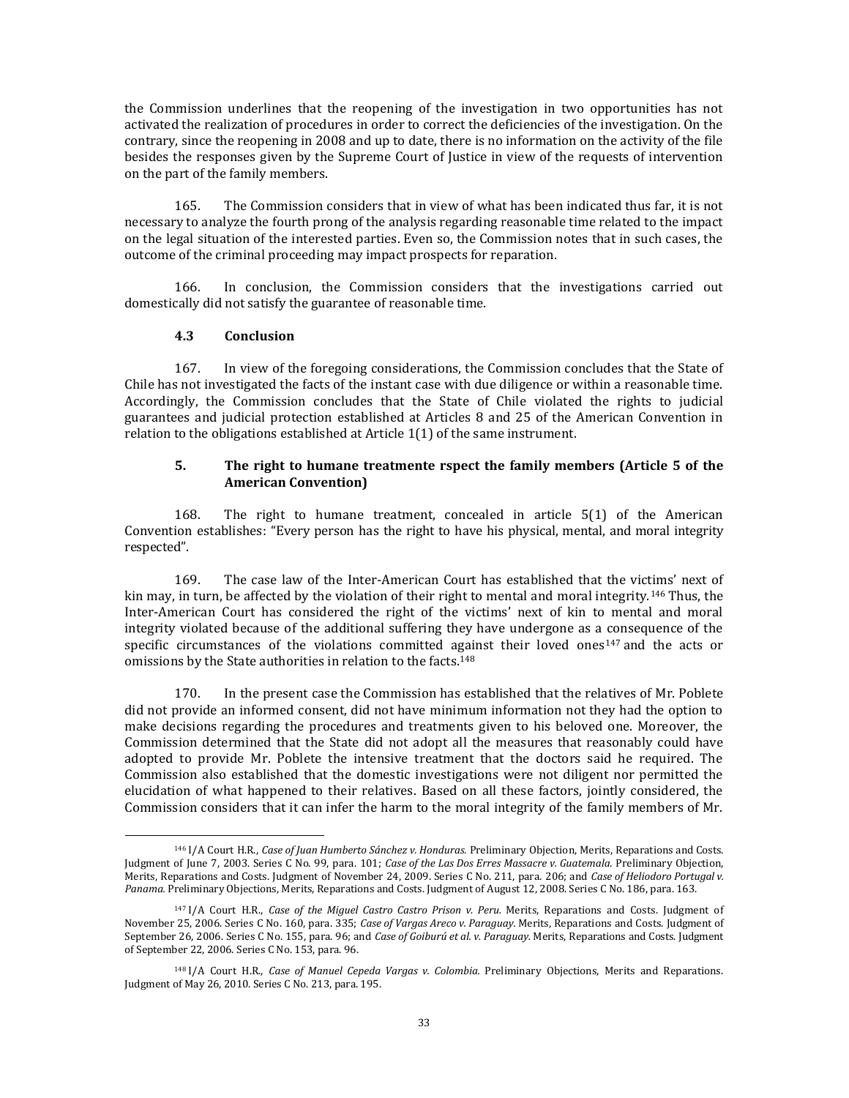the Commission underlines that the reopening of the investigation in two opportunities has not activated the realization of procedures in order to correct the deficiencies of the investigation. On the contrary, since the reopening in 2008 and up to date, there is no information on the activity of the file besides the responses given by the Supreme Court of Justice in view of the requests of intervention on the part of the family members.

165. The Commission considers that in view of what has been indicated thus far, it is not necessary to analyze the fourth prong of the analysis regarding reasonable time related to the impact on the legal situation of the interested parties. Even so, the Commission notes that in such cases, the outcome of the criminal proceeding may impact prospects for reparation.

166. In conclusion, the Commission considers that the investigations carried out domestically did not satisfy the guarantee of reasonable time.

# **4.3 Conclusion**

l

167. In view of the foregoing considerations, the Commission concludes that the State of Chile has not investigated the facts of the instant case with due diligence or within a reasonable time. Accordingly, the Commission concludes that the State of Chile violated the rights to judicial guarantees and judicial protection established at Articles 8 and 25 of the American Convention in relation to the obligations established at Article 1(1) of the same instrument.

### **5. The right to humane treatmente rspect the family members (Article 5 of the American Convention)**

168. The right to humane treatment, concealed in article 5(1) of the American Convention establishes: "Every person has the right to have his physical, mental, and moral integrity respected".

169. The case law of the Inter-American Court has established that the victims' next of kin may, in turn, be affected by the violation of their right to mental and moral integrity.<sup>146</sup> Thus, the Inter-American Court has considered the right of the victims' next of kin to mental and moral integrity violated because of the additional suffering they have undergone as a consequence of the specific circumstances of the violations committed against their loved ones<sup>147</sup> and the acts or omissions by the State authorities in relation to the facts.<sup>148</sup>

170. In the present case the Commission has established that the relatives of Mr. Poblete did not provide an informed consent, did not have minimum information not they had the option to make decisions regarding the procedures and treatments given to his beloved one. Moreover, the Commission determined that the State did not adopt all the measures that reasonably could have adopted to provide Mr. Poblete the intensive treatment that the doctors said he required. The Commission also established that the domestic investigations were not diligent nor permitted the elucidation of what happened to their relatives. Based on all these factors, jointly considered, the Commission considers that it can infer the harm to the moral integrity of the family members of Mr.

<sup>146</sup> I/A Court H.R., *Case of Juan Humberto Sánchez v. Honduras.* Preliminary Objection, Merits, Reparations and Costs. Judgment of June 7, 2003. Series C No. 99, para. 101; *Case of the Las Dos Erres Massacre v. Guatemala.* Preliminary Objection, Merits, Reparations and Costs. Judgment of November 24, 2009. Series C No. 211, para. 206; and *Case of Heliodoro Portugal v. Panama.* Preliminary Objections, Merits, Reparations and Costs. Judgment of August 12, 2008. Series C No. 186, para. 163.

<sup>147</sup> I/A Court H.R., *Case of the Miguel Castro Castro Prison v. Peru.* Merits, Reparations and Costs. Judgment of November 25, 2006. Series C No. 160, para. 335; *Case of Vargas Areco v. Paraguay.* Merits, Reparations and Costs. Judgment of September 26, 2006. Series C No. 155, para. 96; and *Case of Goiburú et al. v. Paraguay.* Merits, Reparations and Costs. Judgment of September 22, 2006. Series C No. 153, para. 96.

<sup>148</sup> I/A Court H.R., *Case of Manuel Cepeda Vargas v. Colombia.* Preliminary Objections, Merits and Reparations. Judgment of May 26, 2010. Series C No. 213, para. 195.